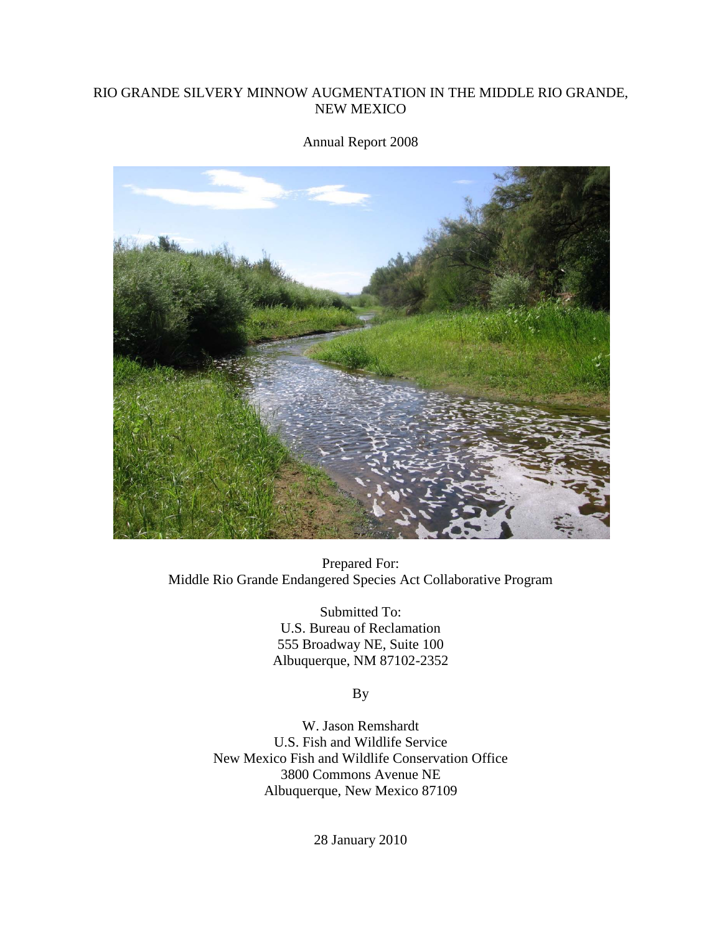# RIO GRANDE SILVERY MINNOW AUGMENTATION IN THE MIDDLE RIO GRANDE, NEW MEXICO



Annual Report 2008

Prepared For: Middle Rio Grande Endangered Species Act Collaborative Program

> Submitted To: U.S. Bureau of Reclamation 555 Broadway NE, Suite 100 Albuquerque, NM 87102-2352

> > By

W. Jason Remshardt U.S. Fish and Wildlife Service New Mexico Fish and Wildlife Conservation Office 3800 Commons Avenue NE Albuquerque, New Mexico 87109

28 January 2010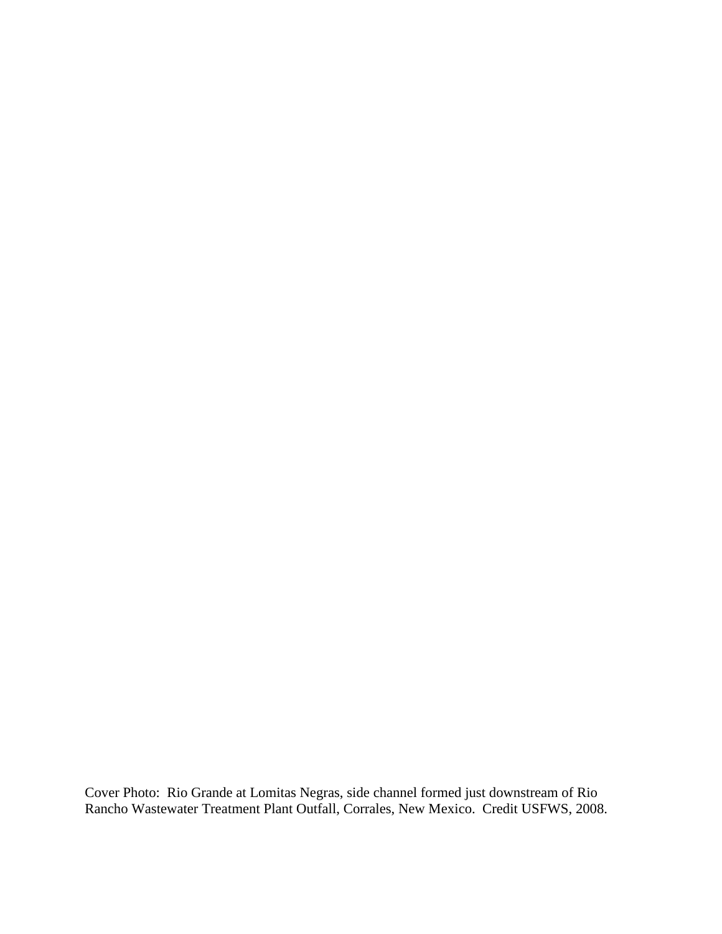Cover Photo: Rio Grande at Lomitas Negras, side channel formed just downstream of Rio Rancho Wastewater Treatment Plant Outfall, Corrales, New Mexico. Credit USFWS, 2008.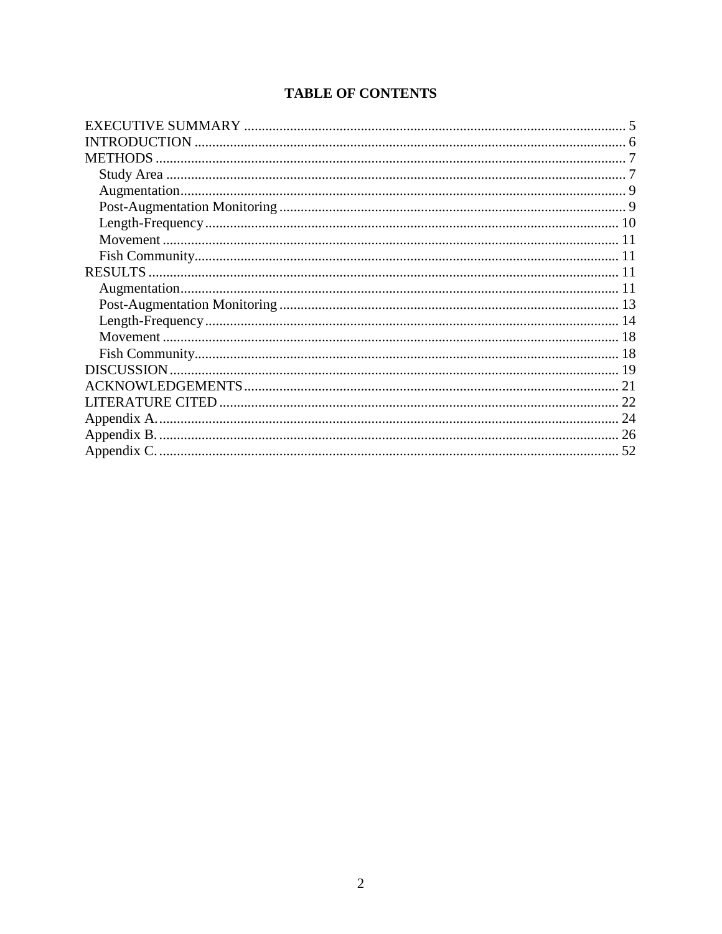# **TABLE OF CONTENTS**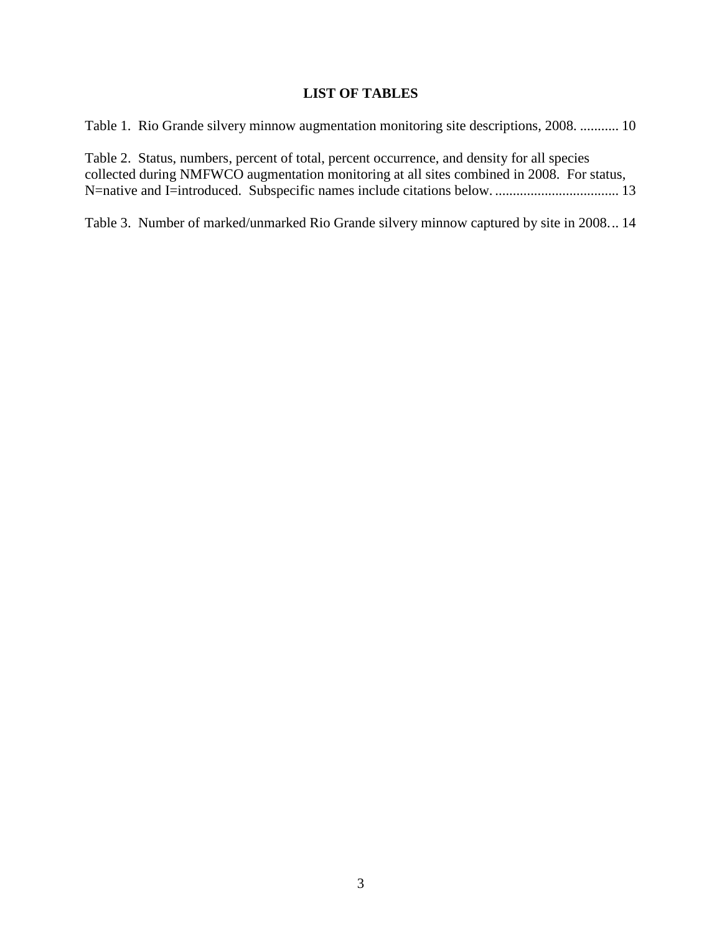# **LIST OF TABLES**

| Table 1. Rio Grande silvery minnow augmentation monitoring site descriptions, 2008.  10                                                                                                   |  |
|-------------------------------------------------------------------------------------------------------------------------------------------------------------------------------------------|--|
| Table 2. Status, numbers, percent of total, percent occurrence, and density for all species<br>collected during NMFWCO augmentation monitoring at all sites combined in 2008. For status, |  |

[Table 3. Number of marked/unmarked Rio Grande silvery minnow captured by site in 2008...](#page-14-1) 14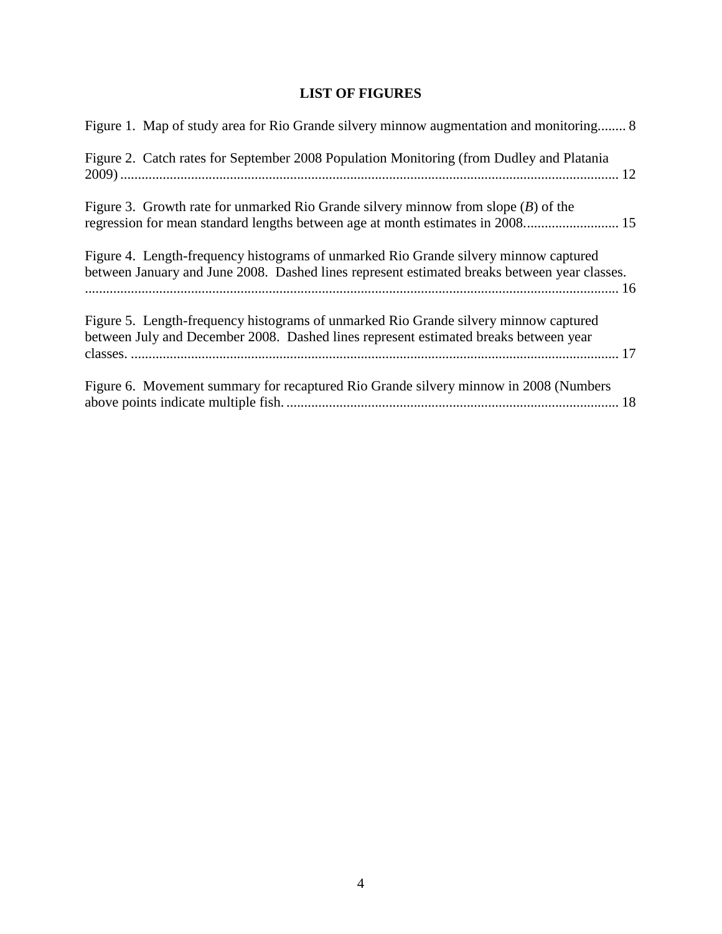# **LIST OF FIGURES**

| Figure 1. Map of study area for Rio Grande silvery minnow augmentation and monitoring 8                                                                                              |
|--------------------------------------------------------------------------------------------------------------------------------------------------------------------------------------|
| Figure 2. Catch rates for September 2008 Population Monitoring (from Dudley and Platania                                                                                             |
| Figure 3. Growth rate for unmarked Rio Grande silvery minnow from slope $(B)$ of the                                                                                                 |
| Figure 4. Length-frequency histograms of unmarked Rio Grande silvery minnow captured<br>between January and June 2008. Dashed lines represent estimated breaks between year classes. |
| Figure 5. Length-frequency histograms of unmarked Rio Grande silvery minnow captured<br>between July and December 2008. Dashed lines represent estimated breaks between year         |
| Figure 6. Movement summary for recaptured Rio Grande silvery minnow in 2008 (Numbers                                                                                                 |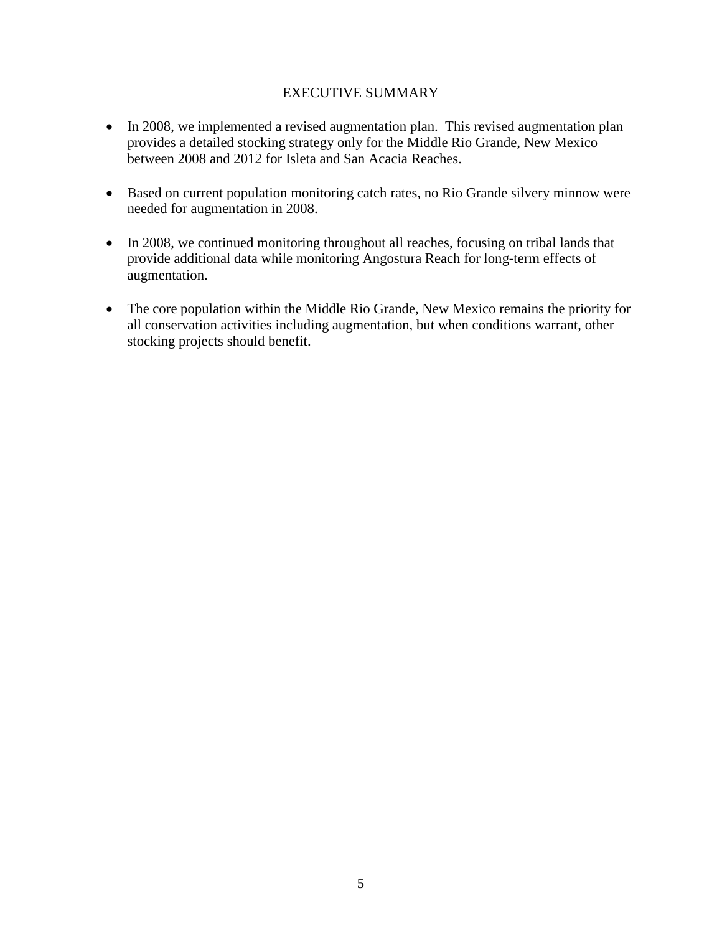# EXECUTIVE SUMMARY

- <span id="page-5-0"></span>• In 2008, we implemented a revised augmentation plan. This revised augmentation plan provides a detailed stocking strategy only for the Middle Rio Grande, New Mexico between 2008 and 2012 for Isleta and San Acacia Reaches.
- Based on current population monitoring catch rates, no Rio Grande silvery minnow were needed for augmentation in 2008.
- In 2008, we continued monitoring throughout all reaches, focusing on tribal lands that provide additional data while monitoring Angostura Reach for long-term effects of augmentation.
- The core population within the Middle Rio Grande, New Mexico remains the priority for all conservation activities including augmentation, but when conditions warrant, other stocking projects should benefit.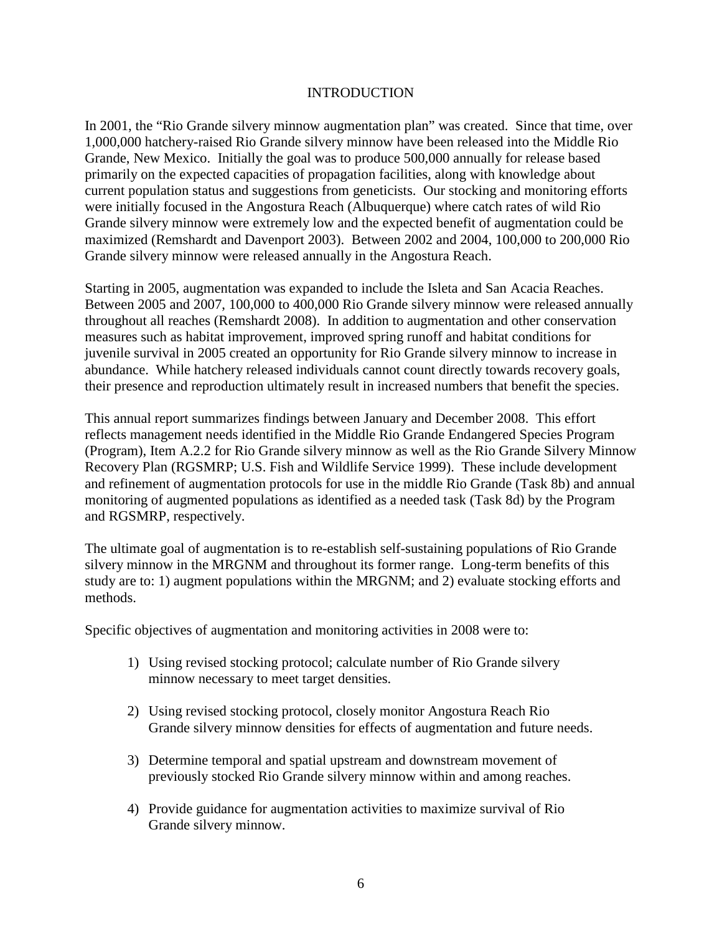### **INTRODUCTION**

<span id="page-6-0"></span>In 2001, the "Rio Grande silvery minnow augmentation plan" was created. Since that time, over 1,000,000 hatchery-raised Rio Grande silvery minnow have been released into the Middle Rio Grande, New Mexico. Initially the goal was to produce 500,000 annually for release based primarily on the expected capacities of propagation facilities, along with knowledge about current population status and suggestions from geneticists. Our stocking and monitoring efforts were initially focused in the Angostura Reach (Albuquerque) where catch rates of wild Rio Grande silvery minnow were extremely low and the expected benefit of augmentation could be maximized (Remshardt and Davenport 2003). Between 2002 and 2004, 100,000 to 200,000 Rio Grande silvery minnow were released annually in the Angostura Reach.

Starting in 2005, augmentation was expanded to include the Isleta and San Acacia Reaches. Between 2005 and 2007, 100,000 to 400,000 Rio Grande silvery minnow were released annually throughout all reaches (Remshardt 2008). In addition to augmentation and other conservation measures such as habitat improvement, improved spring runoff and habitat conditions for juvenile survival in 2005 created an opportunity for Rio Grande silvery minnow to increase in abundance. While hatchery released individuals cannot count directly towards recovery goals, their presence and reproduction ultimately result in increased numbers that benefit the species.

This annual report summarizes findings between January and December 2008. This effort reflects management needs identified in the Middle Rio Grande Endangered Species Program (Program), Item A.2.2 for Rio Grande silvery minnow as well as the Rio Grande Silvery Minnow Recovery Plan (RGSMRP; U.S. Fish and Wildlife Service 1999). These include development and refinement of augmentation protocols for use in the middle Rio Grande (Task 8b) and annual monitoring of augmented populations as identified as a needed task (Task 8d) by the Program and RGSMRP, respectively.

The ultimate goal of augmentation is to re-establish self-sustaining populations of Rio Grande silvery minnow in the MRGNM and throughout its former range. Long-term benefits of this study are to: 1) augment populations within the MRGNM; and 2) evaluate stocking efforts and methods.

Specific objectives of augmentation and monitoring activities in 2008 were to:

- 1) Using revised stocking protocol; calculate number of Rio Grande silvery minnow necessary to meet target densities.
- 2) Using revised stocking protocol, closely monitor Angostura Reach Rio Grande silvery minnow densities for effects of augmentation and future needs.
- 3) Determine temporal and spatial upstream and downstream movement of previously stocked Rio Grande silvery minnow within and among reaches.
- 4) Provide guidance for augmentation activities to maximize survival of Rio Grande silvery minnow.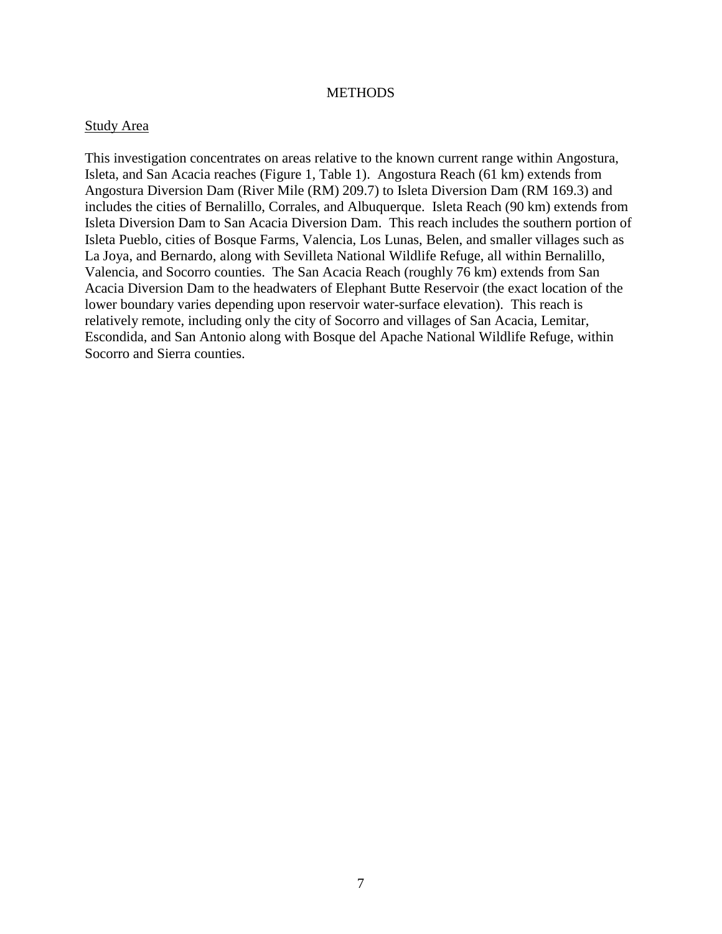### **METHODS**

#### <span id="page-7-1"></span><span id="page-7-0"></span>Study Area

This investigation concentrates on areas relative to the known current range within Angostura, Isleta, and San Acacia reaches (Figure 1, Table 1). Angostura Reach (61 km) extends from Angostura Diversion Dam (River Mile (RM) 209.7) to Isleta Diversion Dam (RM 169.3) and includes the cities of Bernalillo, Corrales, and Albuquerque. Isleta Reach (90 km) extends from Isleta Diversion Dam to San Acacia Diversion Dam. This reach includes the southern portion of Isleta Pueblo, cities of Bosque Farms, Valencia, Los Lunas, Belen, and smaller villages such as La Joya, and Bernardo, along with Sevilleta National Wildlife Refuge, all within Bernalillo, Valencia, and Socorro counties. The San Acacia Reach (roughly 76 km) extends from San Acacia Diversion Dam to the headwaters of Elephant Butte Reservoir (the exact location of the lower boundary varies depending upon reservoir water-surface elevation). This reach is relatively remote, including only the city of Socorro and villages of San Acacia, Lemitar, Escondida, and San Antonio along with Bosque del Apache National Wildlife Refuge, within Socorro and Sierra counties.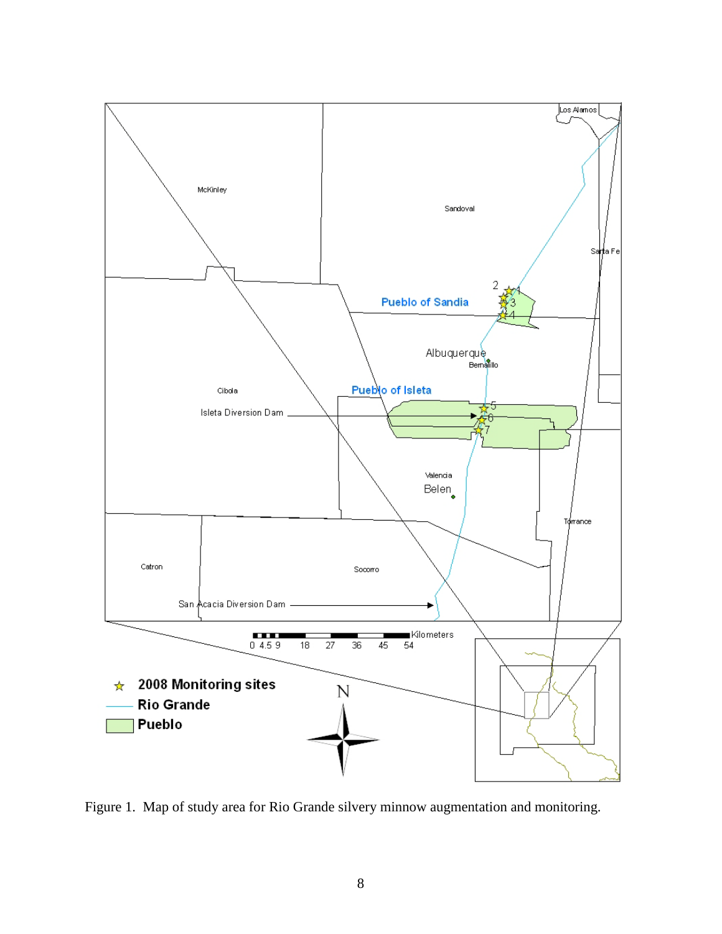

<span id="page-8-0"></span>Figure 1. Map of study area for Rio Grande silvery minnow augmentation and monitoring.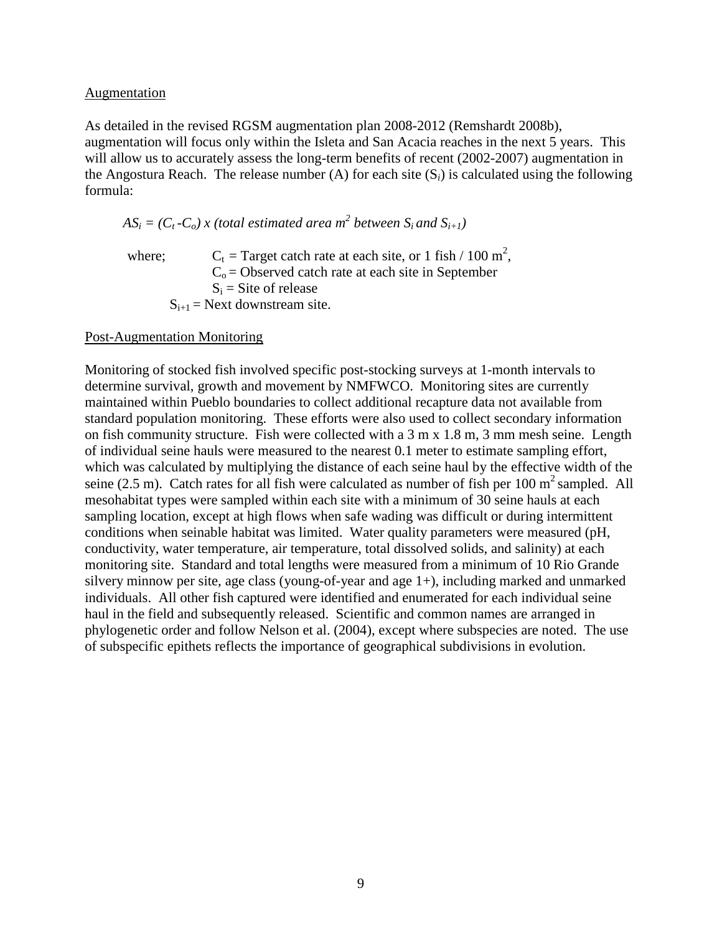### <span id="page-9-0"></span>Augmentation

As detailed in the revised RGSM augmentation plan 2008-2012 (Remshardt 2008b), augmentation will focus only within the Isleta and San Acacia reaches in the next 5 years. This will allow us to accurately assess the long-term benefits of recent (2002-2007) augmentation in the Angostura Reach. The release number (A) for each site  $(S_i)$  is calculated using the following formula:

 $AS_i = (C_i - C_o)$  x (total estimated area m<sup>2</sup> between  $S_i$  and  $S_{i+1}$ ) where;  $C_t = \text{Target catch rate at each site, or 1 fish} / 100 \text{ m}^2$ ,  $C<sub>o</sub>$  = Observed catch rate at each site in September  $S_i$  = Site of release  $S_{i+1}$  = Next downstream site.

## <span id="page-9-1"></span>Post-Augmentation Monitoring

Monitoring of stocked fish involved specific post-stocking surveys at 1-month intervals to determine survival, growth and movement by NMFWCO. Monitoring sites are currently maintained within Pueblo boundaries to collect additional recapture data not available from standard population monitoring. These efforts were also used to collect secondary information on fish community structure. Fish were collected with a 3 m x 1.8 m, 3 mm mesh seine. Length of individual seine hauls were measured to the nearest 0.1 meter to estimate sampling effort, which was calculated by multiplying the distance of each seine haul by the effective width of the seine (2.5 m). Catch rates for all fish were calculated as number of fish per  $100 \text{ m}^2$  sampled. All mesohabitat types were sampled within each site with a minimum of 30 seine hauls at each sampling location, except at high flows when safe wading was difficult or during intermittent conditions when seinable habitat was limited. Water quality parameters were measured (pH, conductivity, water temperature, air temperature, total dissolved solids, and salinity) at each monitoring site. Standard and total lengths were measured from a minimum of 10 Rio Grande silvery minnow per site, age class (young-of-year and age 1+), including marked and unmarked individuals. All other fish captured were identified and enumerated for each individual seine haul in the field and subsequently released. Scientific and common names are arranged in phylogenetic order and follow Nelson et al. (2004), except where subspecies are noted. The use of subspecific epithets reflects the importance of geographical subdivisions in evolution.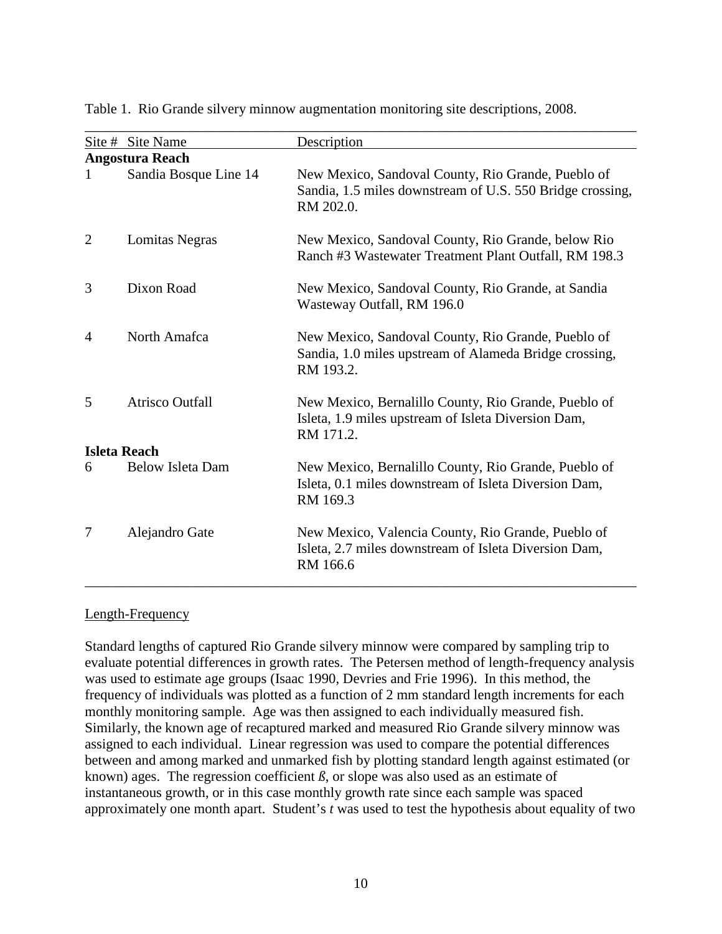|                | Site # Site Name        | Description                                                                                                                  |  |  |  |  |
|----------------|-------------------------|------------------------------------------------------------------------------------------------------------------------------|--|--|--|--|
|                | <b>Angostura Reach</b>  |                                                                                                                              |  |  |  |  |
| 1              | Sandia Bosque Line 14   | New Mexico, Sandoval County, Rio Grande, Pueblo of<br>Sandia, 1.5 miles downstream of U.S. 550 Bridge crossing,<br>RM 202.0. |  |  |  |  |
| $\overline{2}$ | <b>Lomitas Negras</b>   | New Mexico, Sandoval County, Rio Grande, below Rio<br>Ranch #3 Wastewater Treatment Plant Outfall, RM 198.3                  |  |  |  |  |
| 3              | Dixon Road              | New Mexico, Sandoval County, Rio Grande, at Sandia<br>Wasteway Outfall, RM 196.0                                             |  |  |  |  |
| 4              | North Amafca            | New Mexico, Sandoval County, Rio Grande, Pueblo of<br>Sandia, 1.0 miles upstream of Alameda Bridge crossing,<br>RM 193.2.    |  |  |  |  |
| 5              | <b>Atrisco Outfall</b>  | New Mexico, Bernalillo County, Rio Grande, Pueblo of<br>Isleta, 1.9 miles upstream of Isleta Diversion Dam,<br>RM 171.2.     |  |  |  |  |
|                | <b>Isleta Reach</b>     |                                                                                                                              |  |  |  |  |
| 6              | <b>Below Isleta Dam</b> | New Mexico, Bernalillo County, Rio Grande, Pueblo of<br>Isleta, 0.1 miles downstream of Isleta Diversion Dam,<br>RM 169.3    |  |  |  |  |
| 7              | Alejandro Gate          | New Mexico, Valencia County, Rio Grande, Pueblo of<br>Isleta, 2.7 miles downstream of Isleta Diversion Dam,<br>RM 166.6      |  |  |  |  |

<span id="page-10-1"></span>Table 1. Rio Grande silvery minnow augmentation monitoring site descriptions, 2008.

## <span id="page-10-0"></span>Length-Frequency

Standard lengths of captured Rio Grande silvery minnow were compared by sampling trip to evaluate potential differences in growth rates. The Petersen method of length-frequency analysis was used to estimate age groups (Isaac 1990, Devries and Frie 1996). In this method, the frequency of individuals was plotted as a function of 2 mm standard length increments for each monthly monitoring sample. Age was then assigned to each individually measured fish. Similarly, the known age of recaptured marked and measured Rio Grande silvery minnow was assigned to each individual. Linear regression was used to compare the potential differences between and among marked and unmarked fish by plotting standard length against estimated (or known) ages. The regression coefficient  $\beta$ , or slope was also used as an estimate of instantaneous growth, or in this case monthly growth rate since each sample was spaced approximately one month apart. Student's *t* was used to test the hypothesis about equality of two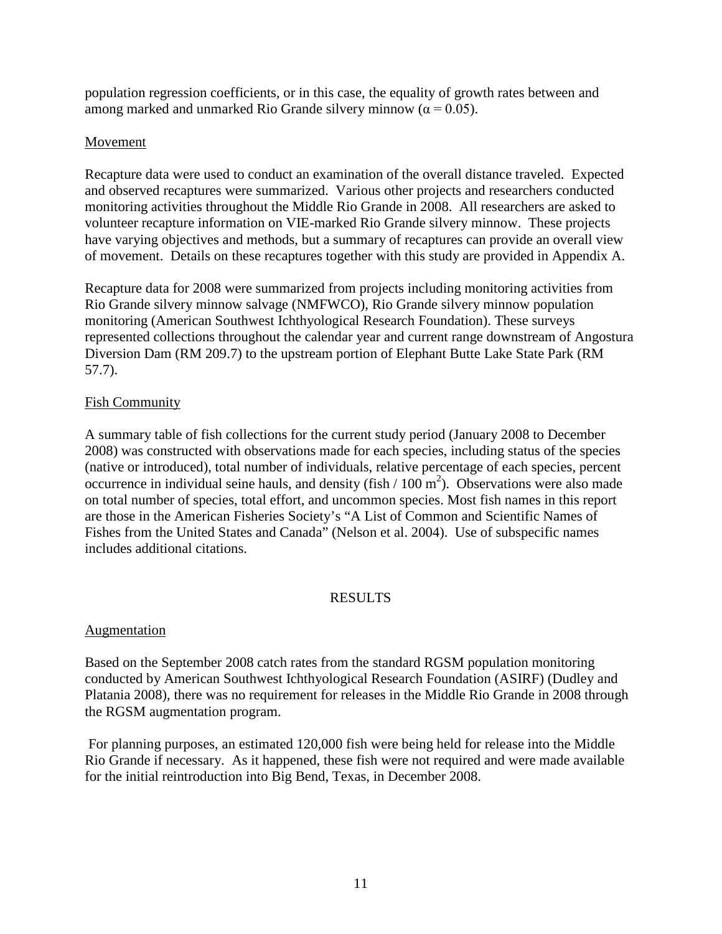population regression coefficients, or in this case, the equality of growth rates between and among marked and unmarked Rio Grande silvery minnow ( $\alpha = 0.05$ ).

# <span id="page-11-0"></span>Movement

Recapture data were used to conduct an examination of the overall distance traveled. Expected and observed recaptures were summarized. Various other projects and researchers conducted monitoring activities throughout the Middle Rio Grande in 2008. All researchers are asked to volunteer recapture information on VIE-marked Rio Grande silvery minnow. These projects have varying objectives and methods, but a summary of recaptures can provide an overall view of movement. Details on these recaptures together with this study are provided in Appendix A.

Recapture data for 2008 were summarized from projects including monitoring activities from Rio Grande silvery minnow salvage (NMFWCO), Rio Grande silvery minnow population monitoring (American Southwest Ichthyological Research Foundation). These surveys represented collections throughout the calendar year and current range downstream of Angostura Diversion Dam (RM 209.7) to the upstream portion of Elephant Butte Lake State Park (RM 57.7).

# <span id="page-11-1"></span>Fish Community

A summary table of fish collections for the current study period (January 2008 to December 2008) was constructed with observations made for each species, including status of the species (native or introduced), total number of individuals, relative percentage of each species, percent occurrence in individual seine hauls, and density (fish  $/ 100 \text{ m}^2$ ). Observations were also made on total number of species, total effort, and uncommon species. Most fish names in this report are those in the American Fisheries Society's "A List of Common and Scientific Names of Fishes from the United States and Canada" (Nelson et al. 2004). Use of subspecific names includes additional citations.

# RESULTS

## <span id="page-11-3"></span><span id="page-11-2"></span>Augmentation

Based on the September 2008 catch rates from the standard RGSM population monitoring conducted by American Southwest Ichthyological Research Foundation (ASIRF) (Dudley and Platania 2008), there was no requirement for releases in the Middle Rio Grande in 2008 through the RGSM augmentation program.

For planning purposes, an estimated 120,000 fish were being held for release into the Middle Rio Grande if necessary. As it happened, these fish were not required and were made available for the initial reintroduction into Big Bend, Texas, in December 2008.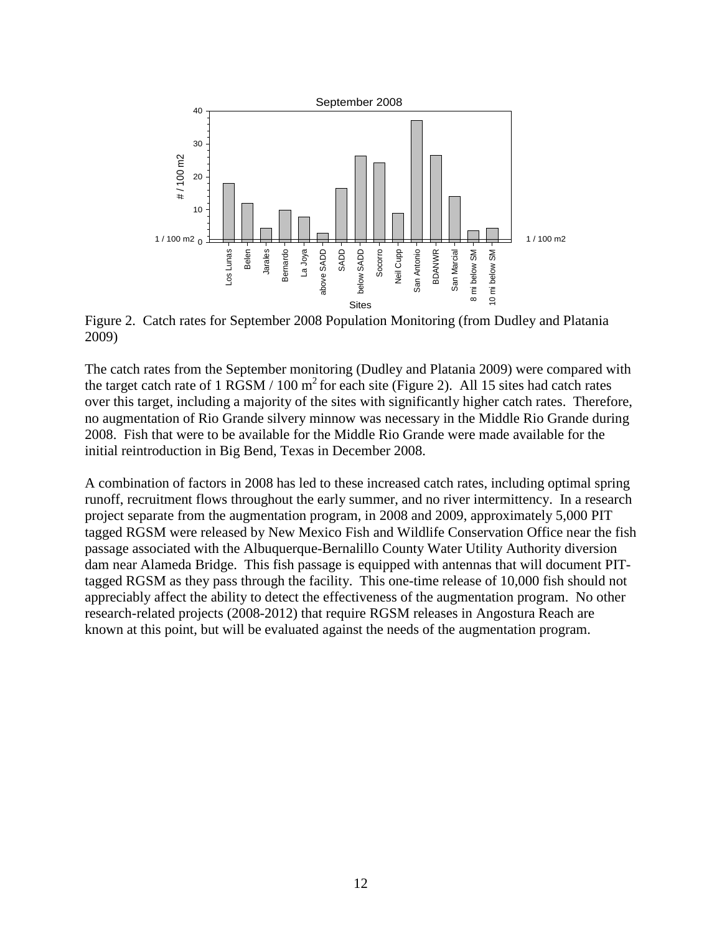

<span id="page-12-0"></span>Figure 2. Catch rates for September 2008 Population Monitoring (from Dudley and Platania 2009)

The catch rates from the September monitoring (Dudley and Platania 2009) were compared with the target catch rate of 1 RGSM / 100  $m^2$  for each site [\(Figure 2\)](#page-12-0). All 15 sites had catch rates over this target, including a majority of the sites with significantly higher catch rates. Therefore, no augmentation of Rio Grande silvery minnow was necessary in the Middle Rio Grande during 2008. Fish that were to be available for the Middle Rio Grande were made available for the initial reintroduction in Big Bend, Texas in December 2008.

A combination of factors in 2008 has led to these increased catch rates, including optimal spring runoff, recruitment flows throughout the early summer, and no river intermittency. In a research project separate from the augmentation program, in 2008 and 2009, approximately 5,000 PIT tagged RGSM were released by New Mexico Fish and Wildlife Conservation Office near the fish passage associated with the Albuquerque-Bernalillo County Water Utility Authority diversion dam near Alameda Bridge. This fish passage is equipped with antennas that will document PITtagged RGSM as they pass through the facility. This one-time release of 10,000 fish should not appreciably affect the ability to detect the effectiveness of the augmentation program. No other research-related projects (2008-2012) that require RGSM releases in Angostura Reach are known at this point, but will be evaluated against the needs of the augmentation program.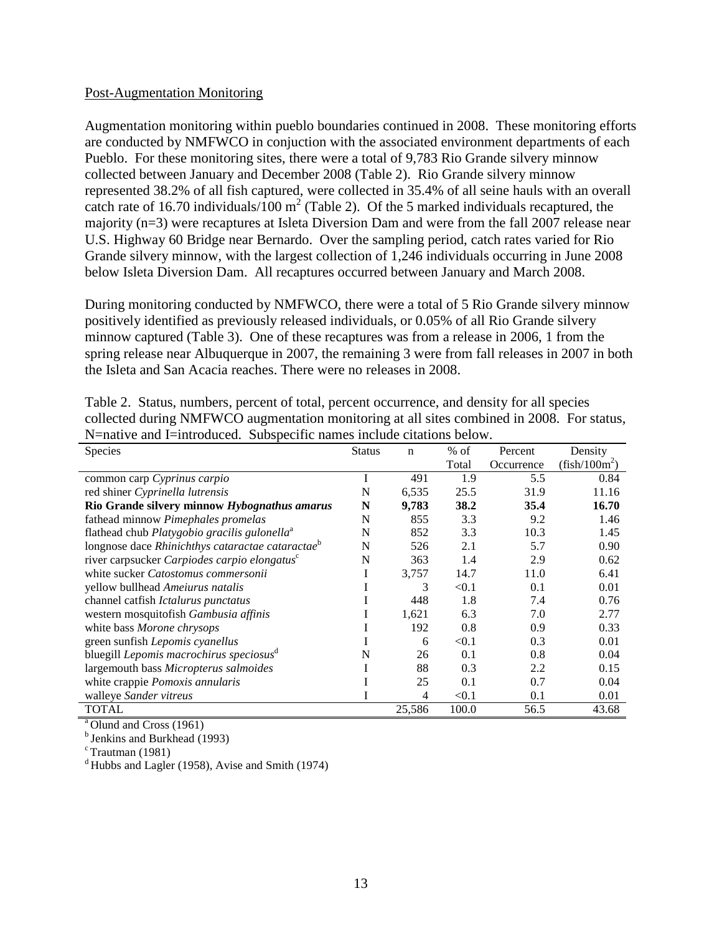### <span id="page-13-0"></span>Post-Augmentation Monitoring

Augmentation monitoring within pueblo boundaries continued in 2008. These monitoring efforts are conducted by NMFWCO in conjuction with the associated environment departments of each Pueblo. For these monitoring sites, there were a total of 9,783 Rio Grande silvery minnow collected between January and December 2008 [\(Table 2\)](#page-13-1). Rio Grande silvery minnow represented 38.2% of all fish captured, were collected in 35.4% of all seine hauls with an overall catch rate of 16.70 individuals/100  $m^2$  [\(Table 2\)](#page-13-1). Of the 5 marked individuals recaptured, the majority (n=3) were recaptures at Isleta Diversion Dam and were from the fall 2007 release near U.S. Highway 60 Bridge near Bernardo. Over the sampling period, catch rates varied for Rio Grande silvery minnow, with the largest collection of 1,246 individuals occurring in June 2008 below Isleta Diversion Dam. All recaptures occurred between January and March 2008.

During monitoring conducted by NMFWCO, there were a total of 5 Rio Grande silvery minnow positively identified as previously released individuals, or 0.05% of all Rio Grande silvery minnow captured [\(Table 3\)](#page-14-1). One of these recaptures was from a release in 2006, 1 from the spring release near Albuquerque in 2007, the remaining 3 were from fall releases in 2007 in both the Isleta and San Acacia reaches. There were no releases in 2008.

| $11$ -nau $v$ c and $1$ -niu $\sigma$ udecu. Du $\sigma$ specific names merude chauons ocio $w$ . |               |             |        |            |                 |  |
|---------------------------------------------------------------------------------------------------|---------------|-------------|--------|------------|-----------------|--|
| <b>Species</b>                                                                                    | <b>Status</b> | $\mathbf n$ | $%$ of | Percent    | Density         |  |
|                                                                                                   |               |             | Total  | Occurrence | $(fish/100m^2)$ |  |
| common carp Cyprinus carpio                                                                       |               | 491         | 1.9    | 5.5        | 0.84            |  |
| red shiner Cyprinella lutrensis                                                                   | N             | 6,535       | 25.5   | 31.9       | 11.16           |  |
| Rio Grande silvery minnow Hybognathus amarus                                                      | N             | 9,783       | 38.2   | 35.4       | 16.70           |  |
| fathead minnow Pimephales promelas                                                                | N             | 855         | 3.3    | 9.2        | 1.46            |  |
| flathead chub Platygobio gracilis gulonella <sup>a</sup>                                          | N             | 852         | 3.3    | 10.3       | 1.45            |  |
| longnose dace Rhinichthys cataractae cataractae <sup>o</sup>                                      | N             | 526         | 2.1    | 5.7        | 0.90            |  |
| river carpsucker Carpiodes carpio elongatus <sup>c</sup>                                          | N             | 363         | 1.4    | 2.9        | 0.62            |  |
| white sucker <i>Catostomus commersonii</i>                                                        |               | 3,757       | 14.7   | 11.0       | 6.41            |  |
| yellow bullhead Ameiurus natalis                                                                  |               | 3           | < 0.1  | 0.1        | 0.01            |  |
| channel catfish Ictalurus punctatus                                                               |               | 448         | 1.8    | 7.4        | 0.76            |  |
| western mosquitofish Gambusia affinis                                                             |               | 1,621       | 6.3    | 7.0        | 2.77            |  |
| white bass Morone chrysops                                                                        |               | 192         | 0.8    | 0.9        | 0.33            |  |
| green sunfish Lepomis cyanellus                                                                   |               | 6           | < 0.1  | 0.3        | 0.01            |  |
| bluegill Lepomis macrochirus speciosus <sup>a</sup>                                               | N             | 26          | 0.1    | 0.8        | 0.04            |  |
| largemouth bass Micropterus salmoides                                                             |               | 88          | 0.3    | 2.2        | 0.15            |  |
| white crappie Pomoxis annularis                                                                   |               | 25          | 0.1    | 0.7        | 0.04            |  |
| walleye Sander vitreus                                                                            |               | 4           | < 0.1  | 0.1        | 0.01            |  |
| <b>TOTAL</b>                                                                                      |               | 25,586      | 100.0  | 56.5       | 43.68           |  |

<span id="page-13-1"></span>Table 2. Status, numbers, percent of total, percent occurrence, and density for all species collected during NMFWCO augmentation monitoring at all sites combined in 2008. For status, N=native and I=introduced. Subspecific names include citations below.

 $a$  Olund and Cross (1961)

<sup>b</sup> Jenkins and Burkhead (1993)

 $d$ Hubbs and Lagler (1958), Avise and Smith (1974)

<sup>&</sup>lt;sup>c</sup> Trautman (1981)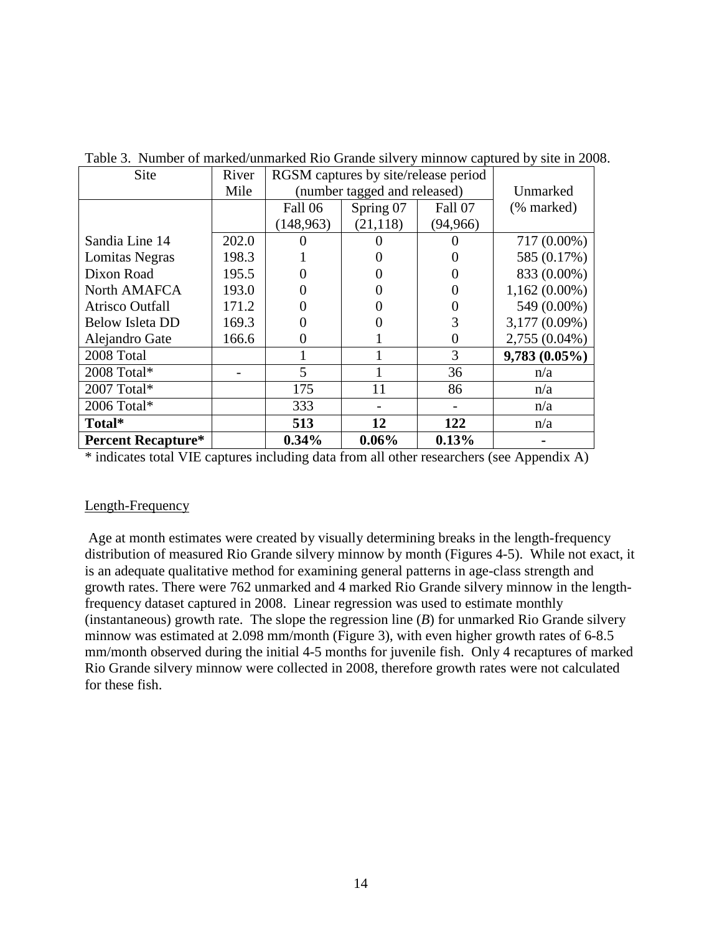| Site                      | River | RGSM captures by site/release period |           |            |                 |
|---------------------------|-------|--------------------------------------|-----------|------------|-----------------|
|                           | Mile  | (number tagged and released)         |           |            | Unmarked        |
|                           |       | Fall 06<br>Spring 07<br>Fall 07      |           | (% marked) |                 |
|                           |       | (148, 963)                           | (21, 118) | (94, 966)  |                 |
| Sandia Line 14            | 202.0 |                                      |           |            | 717 (0.00%)     |
| Lomitas Negras            | 198.3 |                                      |           |            | 585 (0.17%)     |
| Dixon Road                | 195.5 |                                      |           |            | 833 (0.00%)     |
| North AMAFCA              | 193.0 |                                      |           | 0          | $1,162(0.00\%)$ |
| <b>Atrisco Outfall</b>    | 171.2 |                                      |           | 0          | 549 (0.00%)     |
| <b>Below Isleta DD</b>    | 169.3 |                                      |           | 3          | $3,177(0.09\%)$ |
| Alejandro Gate            | 166.6 | 0                                    |           | 0          | 2,755 (0.04%)   |
| 2008 Total                |       |                                      |           | 3          | $9,783(0.05\%)$ |
| 2008 Total*               |       | 5                                    |           | 36         | n/a             |
| 2007 Total*               |       | 175                                  | 11        | 86         | n/a             |
| 2006 Total*               |       | 333                                  |           |            | n/a             |
| Total*                    |       | 513                                  | 12        | 122        | n/a             |
| <b>Percent Recapture*</b> |       | $0.34\%$                             | $0.06\%$  | 0.13%      |                 |

<span id="page-14-1"></span>Table 3. Number of marked/unmarked Rio Grande silvery minnow captured by site in 2008.

\* indicates total VIE captures including data from all other researchers (see Appendix A)

## <span id="page-14-0"></span>Length-Frequency

Age at month estimates were created by visually determining breaks in the length-frequency distribution of measured Rio Grande silvery minnow by month (Figures 4-5). While not exact, it is an adequate qualitative method for examining general patterns in age-class strength and growth rates. There were 762 unmarked and 4 marked Rio Grande silvery minnow in the lengthfrequency dataset captured in 2008. Linear regression was used to estimate monthly (instantaneous) growth rate. The slope the regression line (*B*) for unmarked Rio Grande silvery minnow was estimated at 2.098 mm/month [\(Figure 3\)](#page-15-0), with even higher growth rates of 6-8.5 mm/month observed during the initial 4-5 months for juvenile fish. Only 4 recaptures of marked Rio Grande silvery minnow were collected in 2008, therefore growth rates were not calculated for these fish.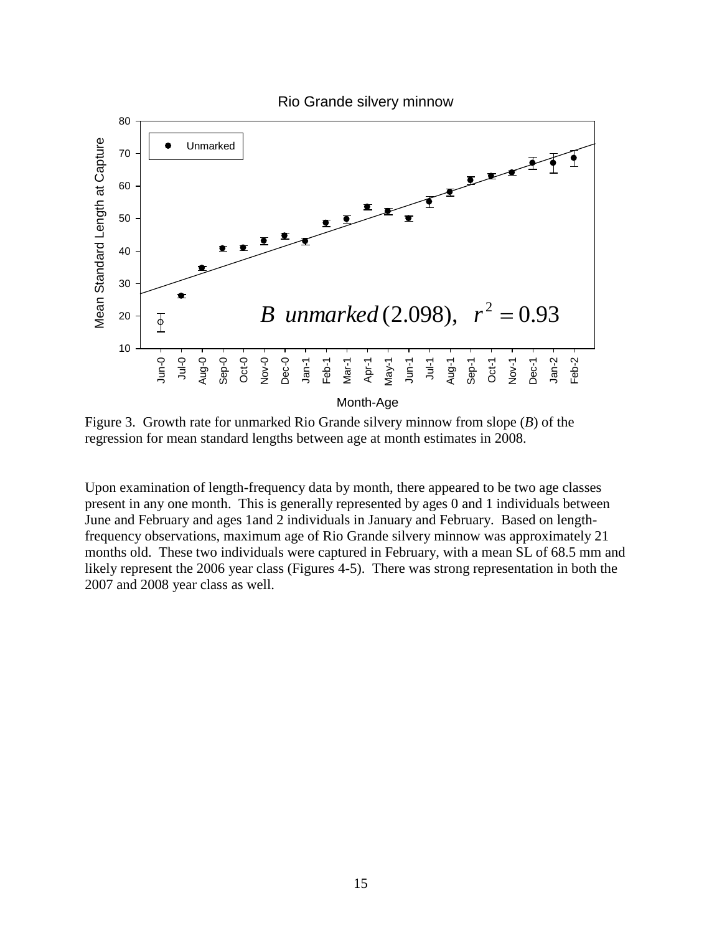

<span id="page-15-0"></span>Figure 3. Growth rate for unmarked Rio Grande silvery minnow from slope (*B*) of the regression for mean standard lengths between age at month estimates in 2008.

Upon examination of length-frequency data by month, there appeared to be two age classes present in any one month. This is generally represented by ages 0 and 1 individuals between June and February and ages 1and 2 individuals in January and February. Based on lengthfrequency observations, maximum age of Rio Grande silvery minnow was approximately 21 months old. These two individuals were captured in February, with a mean SL of 68.5 mm and likely represent the 2006 year class (Figures 4-5). There was strong representation in both the 2007 and 2008 year class as well.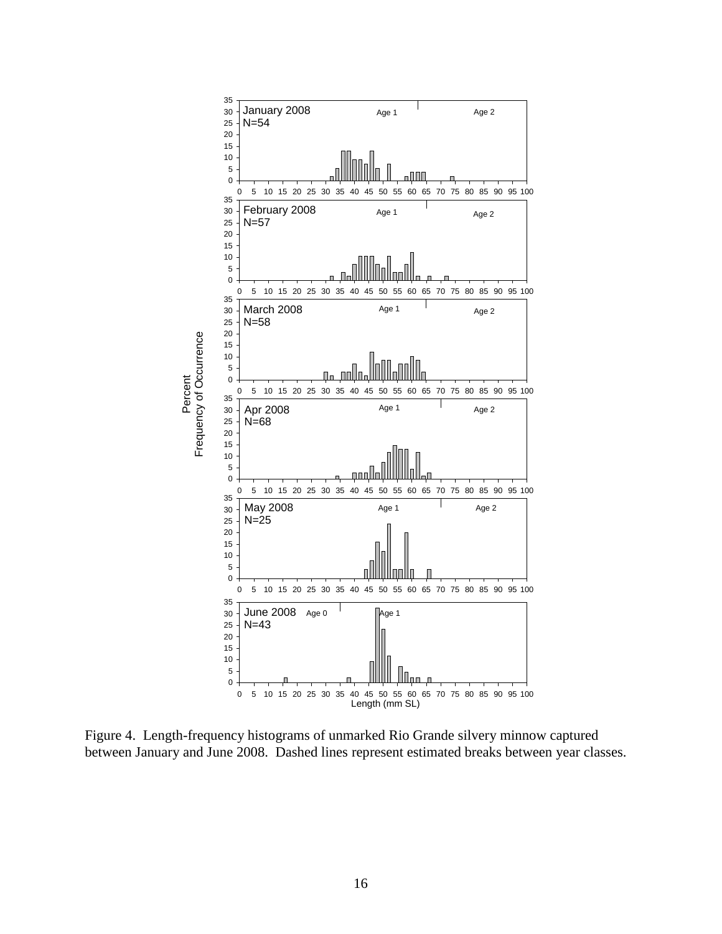

<span id="page-16-0"></span>Figure 4. Length-frequency histograms of unmarked Rio Grande silvery minnow captured between January and June 2008. Dashed lines represent estimated breaks between year classes.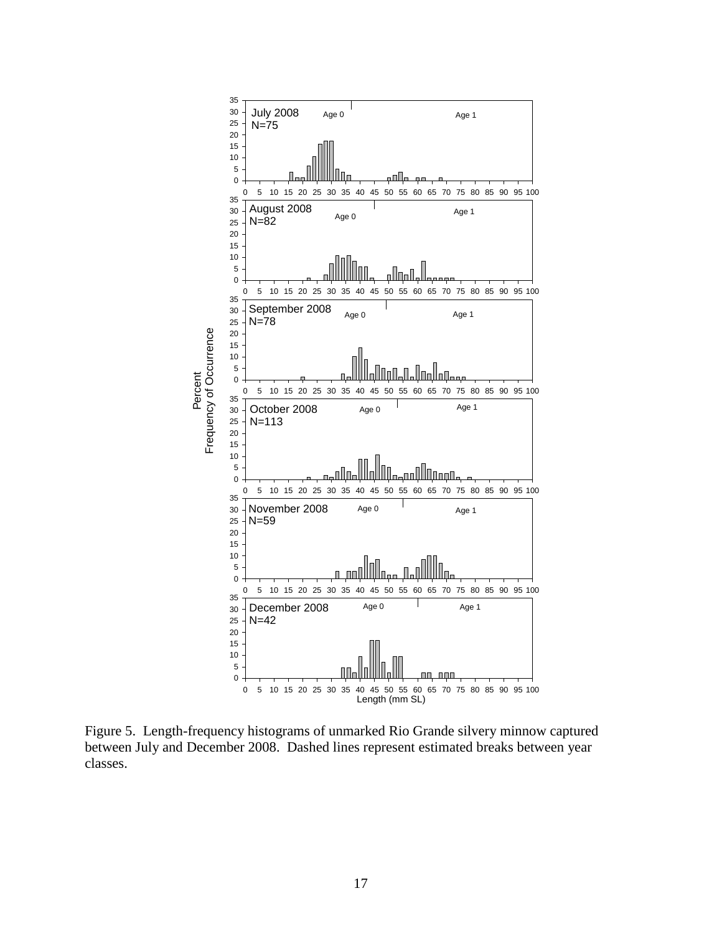

<span id="page-17-0"></span>Figure 5. Length-frequency histograms of unmarked Rio Grande silvery minnow captured between July and December 2008. Dashed lines represent estimated breaks between year classes.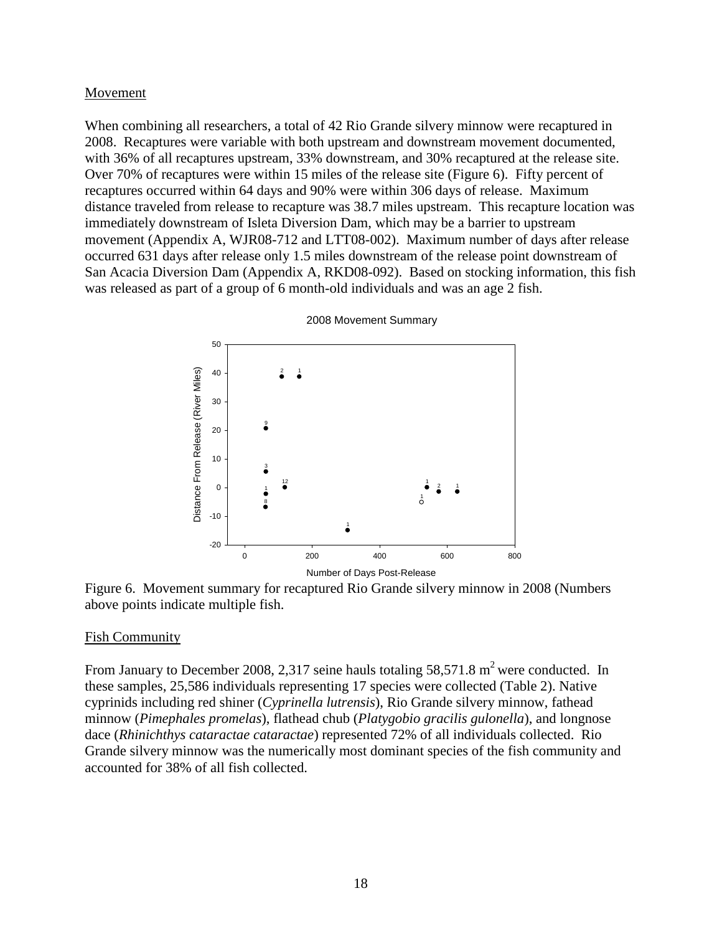#### <span id="page-18-0"></span>Movement

When combining all researchers, a total of 42 Rio Grande silvery minnow were recaptured in 2008. Recaptures were variable with both upstream and downstream movement documented, with 36% of all recaptures upstream, 33% downstream, and 30% recaptured at the release site. Over 70% of recaptures were within 15 miles of the release site [\(Figure 6\)](#page-18-2). Fifty percent of recaptures occurred within 64 days and 90% were within 306 days of release. Maximum distance traveled from release to recapture was 38.7 miles upstream. This recapture location was immediately downstream of Isleta Diversion Dam, which may be a barrier to upstream movement (Appendix A, WJR08-712 and LTT08-002). Maximum number of days after release occurred 631 days after release only 1.5 miles downstream of the release point downstream of San Acacia Diversion Dam (Appendix A, RKD08-092). Based on stocking information, this fish was released as part of a group of 6 month-old individuals and was an age 2 fish.



2008 Movement Summary

<span id="page-18-2"></span>Figure 6. Movement summary for recaptured Rio Grande silvery minnow in 2008 (Numbers above points indicate multiple fish.

#### <span id="page-18-1"></span>Fish Community

From January to December 2008, 2,317 seine hauls totaling  $58,571.8$  m<sup>2</sup> were conducted. In these samples, 25,586 individuals representing 17 species were collected [\(Table 2\)](#page-13-1). Native cyprinids including red shiner (*Cyprinella lutrensis*), Rio Grande silvery minnow, fathead minnow (*Pimephales promelas*), flathead chub (*Platygobio gracilis gulonella*), and longnose dace (*Rhinichthys cataractae cataractae*) represented 72% of all individuals collected. Rio Grande silvery minnow was the numerically most dominant species of the fish community and accounted for 38% of all fish collected.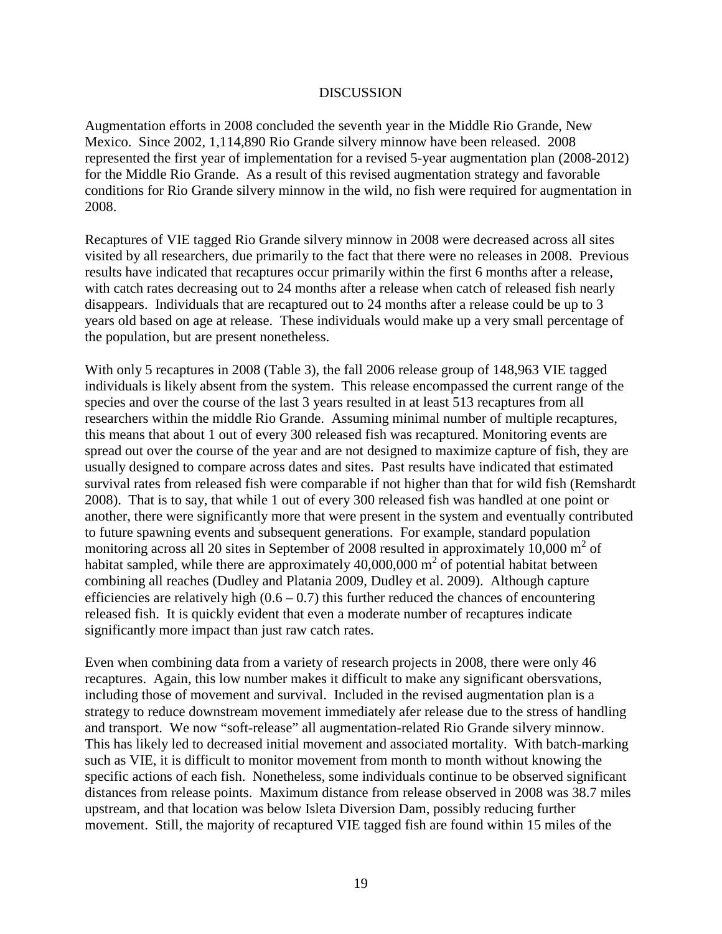### **DISCUSSION**

<span id="page-19-0"></span>Augmentation efforts in 2008 concluded the seventh year in the Middle Rio Grande, New Mexico. Since 2002, 1,114,890 Rio Grande silvery minnow have been released. 2008 represented the first year of implementation for a revised 5-year augmentation plan (2008-2012) for the Middle Rio Grande. As a result of this revised augmentation strategy and favorable conditions for Rio Grande silvery minnow in the wild, no fish were required for augmentation in 2008.

Recaptures of VIE tagged Rio Grande silvery minnow in 2008 were decreased across all sites visited by all researchers, due primarily to the fact that there were no releases in 2008. Previous results have indicated that recaptures occur primarily within the first 6 months after a release, with catch rates decreasing out to 24 months after a release when catch of released fish nearly disappears. Individuals that are recaptured out to 24 months after a release could be up to 3 years old based on age at release. These individuals would make up a very small percentage of the population, but are present nonetheless.

With only 5 recaptures in 2008 (Table 3), the fall 2006 release group of 148,963 VIE tagged individuals is likely absent from the system. This release encompassed the current range of the species and over the course of the last 3 years resulted in at least 513 recaptures from all researchers within the middle Rio Grande. Assuming minimal number of multiple recaptures, this means that about 1 out of every 300 released fish was recaptured. Monitoring events are spread out over the course of the year and are not designed to maximize capture of fish, they are usually designed to compare across dates and sites. Past results have indicated that estimated survival rates from released fish were comparable if not higher than that for wild fish (Remshardt 2008). That is to say, that while 1 out of every 300 released fish was handled at one point or another, there were significantly more that were present in the system and eventually contributed to future spawning events and subsequent generations. For example, standard population monitoring across all 20 sites in September of 2008 resulted in approximately 10,000  $m<sup>2</sup>$  of habitat sampled, while there are approximately  $40,000,000$  m<sup>2</sup> of potential habitat between combining all reaches (Dudley and Platania 2009, Dudley et al. 2009). Although capture efficiencies are relatively high  $(0.6 - 0.7)$  this further reduced the chances of encountering released fish. It is quickly evident that even a moderate number of recaptures indicate significantly more impact than just raw catch rates.

Even when combining data from a variety of research projects in 2008, there were only 46 recaptures. Again, this low number makes it difficult to make any significant obersvations, including those of movement and survival. Included in the revised augmentation plan is a strategy to reduce downstream movement immediately afer release due to the stress of handling and transport. We now "soft-release" all augmentation-related Rio Grande silvery minnow. This has likely led to decreased initial movement and associated mortality. With batch-marking such as VIE, it is difficult to monitor movement from month to month without knowing the specific actions of each fish. Nonetheless, some individuals continue to be observed significant distances from release points. Maximum distance from release observed in 2008 was 38.7 miles upstream, and that location was below Isleta Diversion Dam, possibly reducing further movement. Still, the majority of recaptured VIE tagged fish are found within 15 miles of the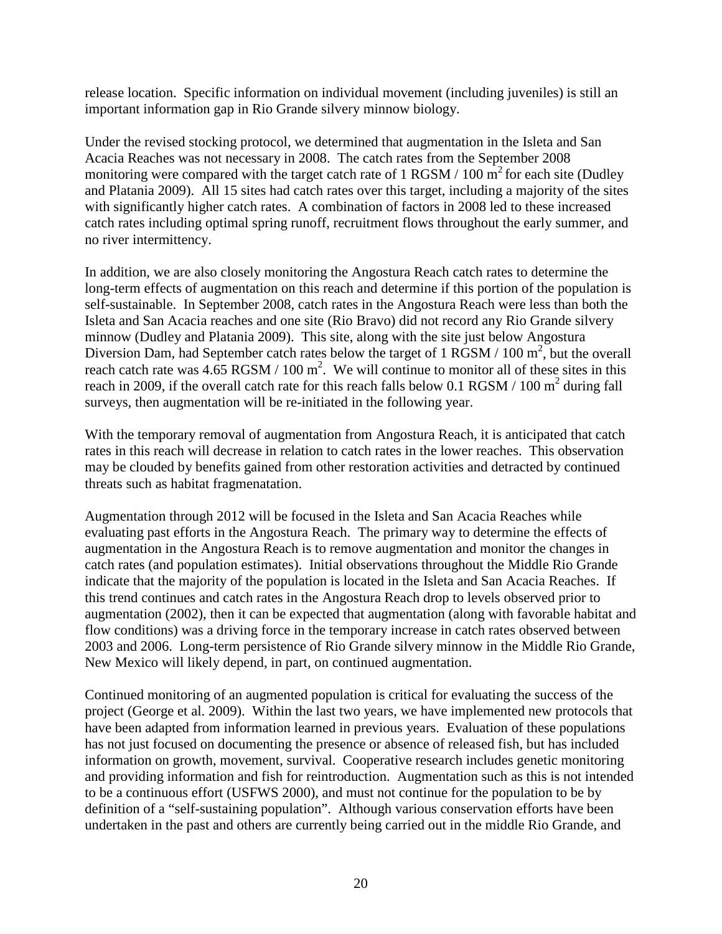release location. Specific information on individual movement (including juveniles) is still an important information gap in Rio Grande silvery minnow biology.

Under the revised stocking protocol, we determined that augmentation in the Isleta and San Acacia Reaches was not necessary in 2008. The catch rates from the September 2008 monitoring were compared with the target catch rate of 1 RGSM  $/$  100 m<sup>2</sup> for each site (Dudley and Platania 2009). All 15 sites had catch rates over this target, including a majority of the sites with significantly higher catch rates. A combination of factors in 2008 led to these increased catch rates including optimal spring runoff, recruitment flows throughout the early summer, and no river intermittency.

In addition, we are also closely monitoring the Angostura Reach catch rates to determine the long-term effects of augmentation on this reach and determine if this portion of the population is self-sustainable. In September 2008, catch rates in the Angostura Reach were less than both the Isleta and San Acacia reaches and one site (Rio Bravo) did not record any Rio Grande silvery minnow (Dudley and Platania 2009). This site, along with the site just below Angostura Diversion Dam, had September catch rates below the target of 1 RGSM  $/ 100 \text{ m}^2$ , but the overall reach catch rate was  $4.65$  RGSM / 100 m<sup>2</sup>. We will continue to monitor all of these sites in this reach in 2009, if the overall catch rate for this reach falls below 0.1 RGSM  $/ 100 \text{ m}^2$  during fall surveys, then augmentation will be re-initiated in the following year.

With the temporary removal of augmentation from Angostura Reach, it is anticipated that catch rates in this reach will decrease in relation to catch rates in the lower reaches. This observation may be clouded by benefits gained from other restoration activities and detracted by continued threats such as habitat fragmenatation.

Augmentation through 2012 will be focused in the Isleta and San Acacia Reaches while evaluating past efforts in the Angostura Reach. The primary way to determine the effects of augmentation in the Angostura Reach is to remove augmentation and monitor the changes in catch rates (and population estimates). Initial observations throughout the Middle Rio Grande indicate that the majority of the population is located in the Isleta and San Acacia Reaches. If this trend continues and catch rates in the Angostura Reach drop to levels observed prior to augmentation (2002), then it can be expected that augmentation (along with favorable habitat and flow conditions) was a driving force in the temporary increase in catch rates observed between 2003 and 2006. Long-term persistence of Rio Grande silvery minnow in the Middle Rio Grande, New Mexico will likely depend, in part, on continued augmentation.

Continued monitoring of an augmented population is critical for evaluating the success of the project (George et al. 2009). Within the last two years, we have implemented new protocols that have been adapted from information learned in previous years. Evaluation of these populations has not just focused on documenting the presence or absence of released fish, but has included information on growth, movement, survival. Cooperative research includes genetic monitoring and providing information and fish for reintroduction. Augmentation such as this is not intended to be a continuous effort (USFWS 2000), and must not continue for the population to be by definition of a "self-sustaining population". Although various conservation efforts have been undertaken in the past and others are currently being carried out in the middle Rio Grande, and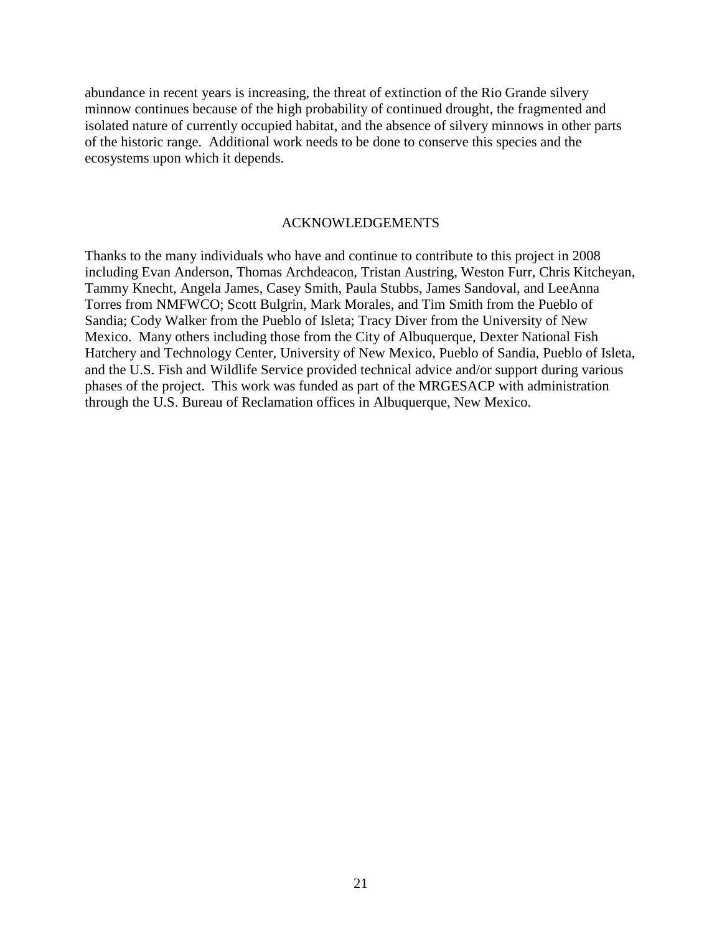abundance in recent years is increasing, the threat of extinction of the Rio Grande silvery minnow continues because of the high probability of continued drought, the fragmented and isolated nature of currently occupied habitat, and the absence of silvery minnows in other parts of the historic range. Additional work needs to be done to conserve this species and the ecosystems upon which it depends.

#### ACKNOWLEDGEMENTS

<span id="page-21-0"></span>Thanks to the many individuals who have and continue to contribute to this project in 2008 including Evan Anderson, Thomas Archdeacon, Tristan Austring, Weston Furr, Chris Kitcheyan, Tammy Knecht, Angela James, Casey Smith, Paula Stubbs, James Sandoval, and LeeAnna Torres from NMFWCO; Scott Bulgrin, Mark Morales, and Tim Smith from the Pueblo of Sandia; Cody Walker from the Pueblo of Isleta; Tracy Diver from the University of New Mexico. Many others including those from the City of Albuquerque, Dexter National Fish Hatchery and Technology Center, University of New Mexico, Pueblo of Sandia, Pueblo of Isleta, and the U.S. Fish and Wildlife Service provided technical advice and/or support during various phases of the project. This work was funded as part of the MRGESACP with administration through the U.S. Bureau of Reclamation offices in Albuquerque, New Mexico.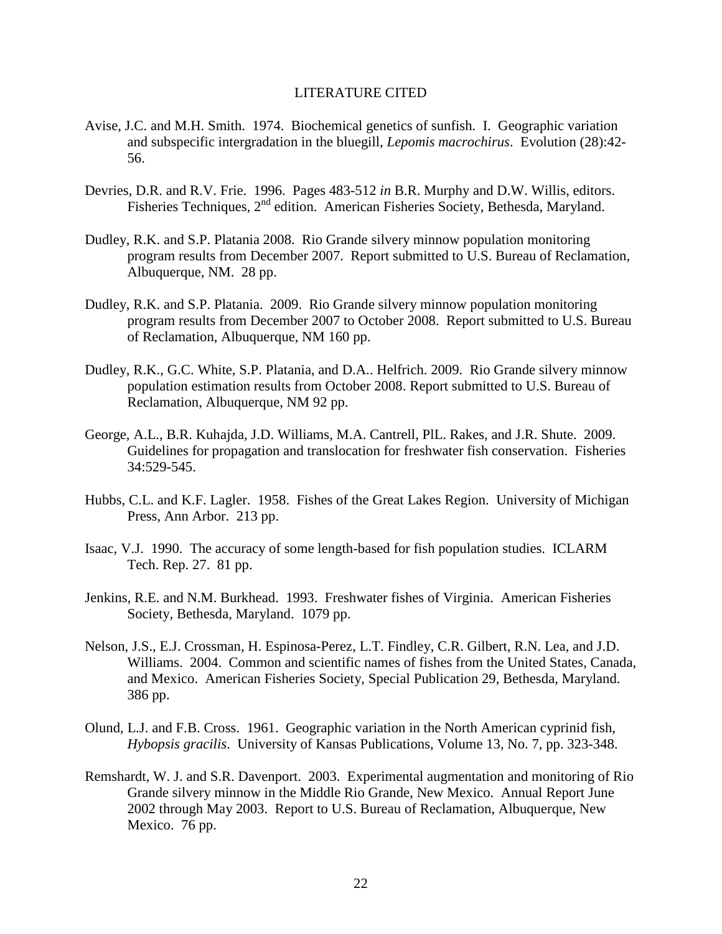#### LITERATURE CITED

- <span id="page-22-0"></span>Avise, J.C. and M.H. Smith. 1974. Biochemical genetics of sunfish. I. Geographic variation and subspecific intergradation in the bluegill, *Lepomis macrochirus*. Evolution (28):42- 56.
- Devries, D.R. and R.V. Frie. 1996. Pages 483-512 *in* B.R. Murphy and D.W. Willis, editors. Fisheries Techniques, 2<sup>nd</sup> edition. American Fisheries Society, Bethesda, Maryland.
- Dudley, R.K. and S.P. Platania 2008. Rio Grande silvery minnow population monitoring program results from December 2007. Report submitted to U.S. Bureau of Reclamation, Albuquerque, NM. 28 pp.
- Dudley, R.K. and S.P. Platania. 2009. Rio Grande silvery minnow population monitoring program results from December 2007 to October 2008. Report submitted to U.S. Bureau of Reclamation, Albuquerque, NM 160 pp.
- Dudley, R.K., G.C. White, S.P. Platania, and D.A.. Helfrich. 2009. Rio Grande silvery minnow population estimation results from October 2008. Report submitted to U.S. Bureau of Reclamation, Albuquerque, NM 92 pp.
- George, A.L., B.R. Kuhajda, J.D. Williams, M.A. Cantrell, PlL. Rakes, and J.R. Shute. 2009. Guidelines for propagation and translocation for freshwater fish conservation. Fisheries 34:529-545.
- Hubbs, C.L. and K.F. Lagler. 1958. Fishes of the Great Lakes Region. University of Michigan Press, Ann Arbor. 213 pp.
- Isaac, V.J. 1990. The accuracy of some length-based for fish population studies. ICLARM Tech. Rep. 27. 81 pp.
- Jenkins, R.E. and N.M. Burkhead. 1993. Freshwater fishes of Virginia. American Fisheries Society, Bethesda, Maryland. 1079 pp.
- Nelson, J.S., E.J. Crossman, H. Espinosa-Perez, L.T. Findley, C.R. Gilbert, R.N. Lea, and J.D. Williams. 2004. Common and scientific names of fishes from the United States, Canada, and Mexico. American Fisheries Society, Special Publication 29, Bethesda, Maryland. 386 pp.
- Olund, L.J. and F.B. Cross. 1961. Geographic variation in the North American cyprinid fish, *Hybopsis gracilis*. University of Kansas Publications, Volume 13, No. 7, pp. 323-348.
- Remshardt, W. J. and S.R. Davenport. 2003. Experimental augmentation and monitoring of Rio Grande silvery minnow in the Middle Rio Grande, New Mexico. Annual Report June 2002 through May 2003. Report to U.S. Bureau of Reclamation, Albuquerque, New Mexico. 76 pp.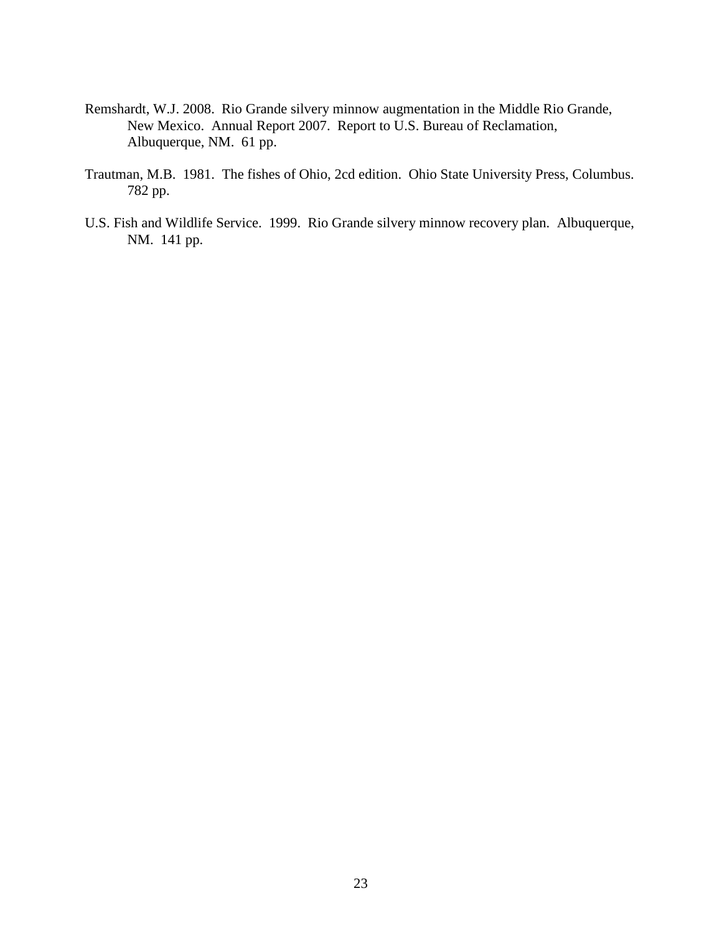- Remshardt, W.J. 2008. Rio Grande silvery minnow augmentation in the Middle Rio Grande, New Mexico. Annual Report 2007. Report to U.S. Bureau of Reclamation, Albuquerque, NM. 61 pp.
- Trautman, M.B. 1981. The fishes of Ohio, 2cd edition. Ohio State University Press, Columbus. 782 pp.
- U.S. Fish and Wildlife Service. 1999. Rio Grande silvery minnow recovery plan. Albuquerque, NM. 141 pp.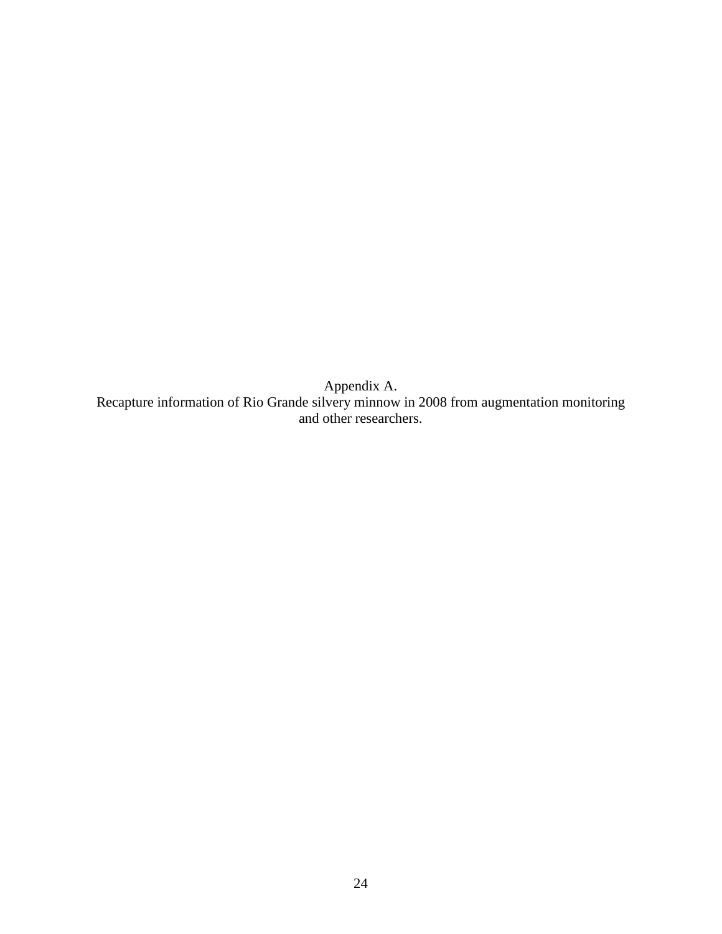<span id="page-24-0"></span>Appendix A. Recapture information of Rio Grande silvery minnow in 2008 from augmentation monitoring and other researchers.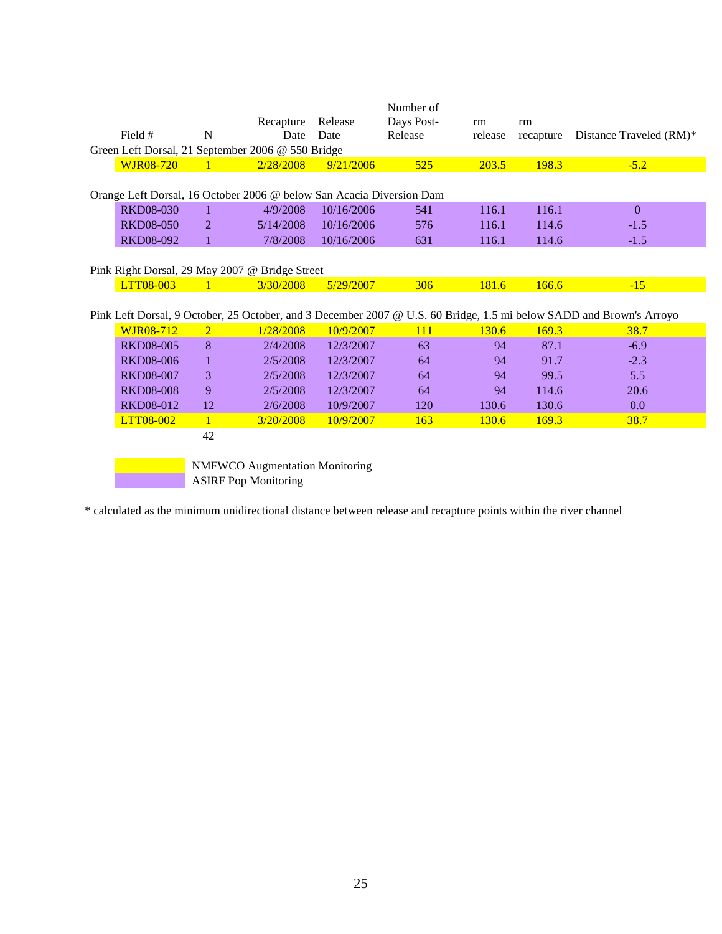|                  |                |                                                                      |            | Number of  |         |           |                                                                                                                     |
|------------------|----------------|----------------------------------------------------------------------|------------|------------|---------|-----------|---------------------------------------------------------------------------------------------------------------------|
|                  |                | Recapture                                                            | Release    | Days Post- | rm      | rm        |                                                                                                                     |
| Field #          | N              | Date                                                                 | Date       | Release    | release | recapture | Distance Traveled (RM)*                                                                                             |
|                  |                | Green Left Dorsal, 21 September 2006 @ 550 Bridge                    |            |            |         |           |                                                                                                                     |
| <b>WJR08-720</b> |                | 2/28/2008                                                            | 9/21/2006  | 525        | 203.5   | 198.3     | $-5.2$                                                                                                              |
|                  |                |                                                                      |            |            |         |           |                                                                                                                     |
|                  |                | Orange Left Dorsal, 16 October 2006 @ below San Acacia Diversion Dam |            |            |         |           |                                                                                                                     |
| RKD08-030        | -1             | 4/9/2008                                                             | 10/16/2006 | 541        | 116.1   | 116.1     | $\overline{0}$                                                                                                      |
| <b>RKD08-050</b> | 2              | 5/14/2008                                                            | 10/16/2006 | 576        | 116.1   | 114.6     | $-1.5$                                                                                                              |
| <b>RKD08-092</b> | 1              | 7/8/2008                                                             | 10/16/2006 | 631        | 116.1   | 114.6     | $-1.5$                                                                                                              |
|                  |                |                                                                      |            |            |         |           |                                                                                                                     |
|                  |                | Pink Right Dorsal, 29 May 2007 @ Bridge Street                       |            |            |         |           |                                                                                                                     |
| LTT08-003        | $\blacksquare$ | 3/30/2008                                                            | 5/29/2007  | 306        | 181.6   | 166.6     | $-15$                                                                                                               |
|                  |                |                                                                      |            |            |         |           |                                                                                                                     |
|                  |                |                                                                      |            |            |         |           | Pink Left Dorsal, 9 October, 25 October, and 3 December 2007 @ U.S. 60 Bridge, 1.5 mi below SADD and Brown's Arroyo |
| WJR08-712        | $\overline{2}$ | 1/28/2008                                                            | 10/9/2007  | <b>111</b> | 130.6   | 169.3     | 38.7                                                                                                                |
| <b>RKD08-005</b> | 8              | 2/4/2008                                                             | 12/3/2007  | 63         | 94      | 87.1      | $-6.9$                                                                                                              |
| <b>RKD08-006</b> | 1              | 2/5/2008                                                             | 12/3/2007  | 64         | 94      | 91.7      | $-2.3$                                                                                                              |
| <b>RKD08-007</b> | 3              | 2/5/2008                                                             | 12/3/2007  | 64         | 94      | 99.5      | 5.5                                                                                                                 |
| <b>RKD08-008</b> | 9              | 2/5/2008                                                             | 12/3/2007  | 64         | 94      | 114.6     | 20.6                                                                                                                |
| <b>RKD08-012</b> | 12             | 2/6/2008                                                             | 10/9/2007  | 120        | 130.6   | 130.6     | 0.0                                                                                                                 |
| LTT08-002        | $\mathbf{1}$   | 3/20/2008                                                            | 10/9/2007  | 163        | 130.6   | 169.3     | 38.7                                                                                                                |
|                  | 42             |                                                                      |            |            |         |           |                                                                                                                     |
|                  |                |                                                                      |            |            |         |           |                                                                                                                     |
|                  |                | <b>NMFWCO</b> Augmentation Monitoring                                |            |            |         |           |                                                                                                                     |
|                  |                | <b>ASIRF Pop Monitoring</b>                                          |            |            |         |           |                                                                                                                     |

\* calculated as the minimum unidirectional distance between release and recapture points within the river channel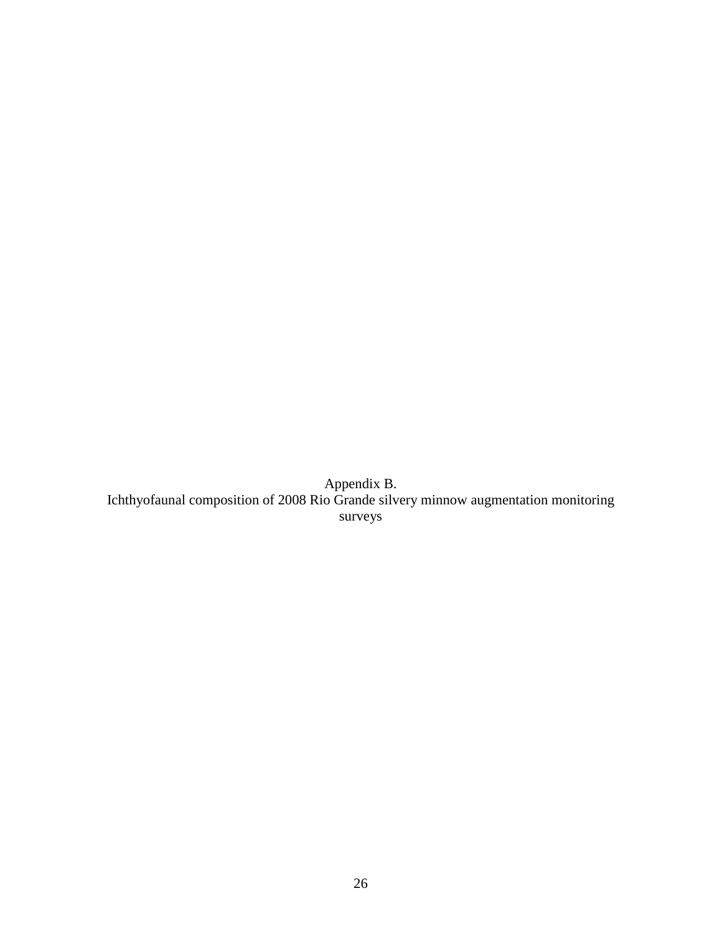<span id="page-26-0"></span>Appendix B. Ichthyofaunal composition of 2008 Rio Grande silvery minnow augmentation monitoring surveys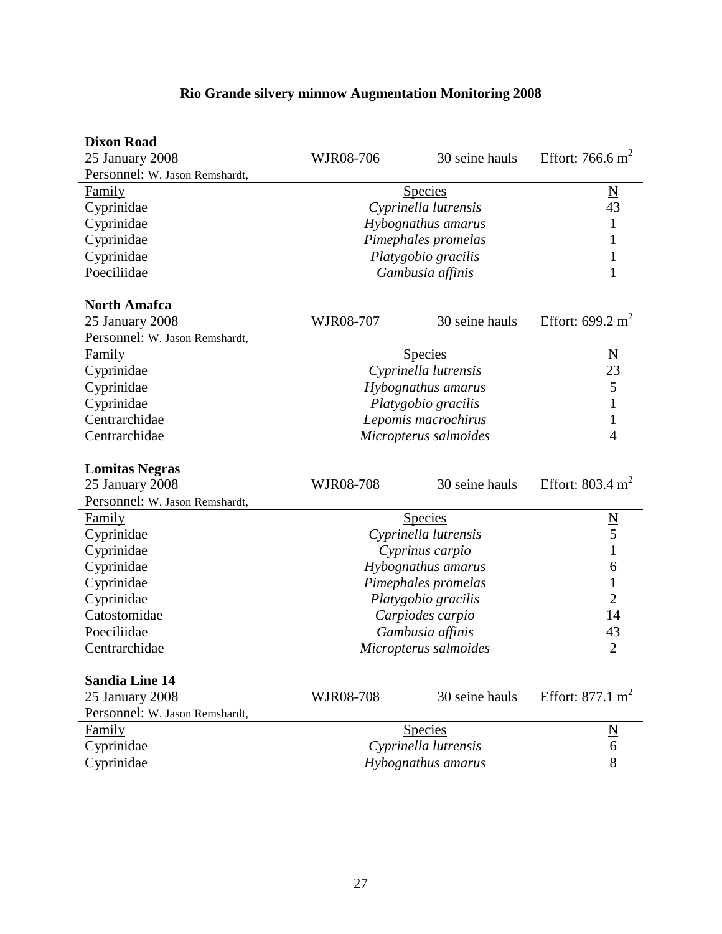# **Rio Grande silvery minnow Augmentation Monitoring 2008**

| <b>Dixon Road</b>                        |                      |                       |                               |
|------------------------------------------|----------------------|-----------------------|-------------------------------|
| 25 January 2008                          | WJR08-706            | 30 seine hauls        | Effort: 766.6 $m^2$           |
| Personnel: W. Jason Remshardt,           |                      |                       |                               |
| <b>Family</b>                            | <b>Species</b>       |                       |                               |
| Cyprinidae                               | Cyprinella lutrensis | $\frac{\text{N}}{43}$ |                               |
| Cyprinidae                               |                      | Hybognathus amarus    | 1                             |
| Cyprinidae                               |                      | Pimephales promelas   | 1                             |
| Cyprinidae                               |                      | Platygobio gracilis   | 1                             |
| Poeciliidae                              |                      | Gambusia affinis      | 1                             |
| <b>North Amafca</b>                      |                      |                       |                               |
| 25 January 2008                          | WJR08-707            | 30 seine hauls        | Effort: 699.2 m <sup>2</sup>  |
| Personnel: W. Jason Remshardt,           |                      |                       |                               |
| <b>Family</b>                            |                      | Species               |                               |
| Cyprinidae                               |                      | Cyprinella lutrensis  | $\frac{N}{23}$                |
| Cyprinidae                               |                      | Hybognathus amarus    | 5                             |
| Cyprinidae                               |                      | Platygobio gracilis   | $\mathbf{1}$                  |
| Centrarchidae                            |                      | Lepomis macrochirus   | 1                             |
| Centrarchidae                            |                      | Micropterus salmoides | $\overline{4}$                |
| <b>Lomitas Negras</b>                    |                      |                       |                               |
|                                          |                      |                       |                               |
|                                          | WJR08-708            | 30 seine hauls        | Effort: 803.4 $m2$            |
| 25 January 2008                          |                      |                       |                               |
| Personnel: W. Jason Remshardt,<br>Family |                      | Species               |                               |
| Cyprinidae                               |                      | Cyprinella lutrensis  |                               |
|                                          |                      | Cyprinus carpio       | $\frac{N}{5}$<br>$\mathbf{1}$ |
| Cyprinidae<br>Cyprinidae                 |                      | Hybognathus amarus    | 6                             |
| Cyprinidae                               |                      | Pimephales promelas   | 1                             |
| Cyprinidae                               |                      | Platygobio gracilis   | $\overline{2}$                |
| Catostomidae                             |                      | Carpiodes carpio      | 14                            |
| Poeciliidae                              |                      | Gambusia affinis      | 43                            |
| Centrarchidae                            |                      | Micropterus salmoides | $\overline{2}$                |
| <b>Sandia Line 14</b>                    |                      |                       |                               |
| 25 January 2008                          | WJR08-708            | 30 seine hauls        | Effort: $877.1 \text{ m}^2$   |
|                                          |                      |                       |                               |
| Personnel: W. Jason Remshardt,<br>Family |                      | Species               |                               |
|                                          |                      | Cyprinella lutrensis  | $\frac{N}{6}$                 |
| Cyprinidae<br>Cyprinidae                 |                      | Hybognathus amarus    | 8                             |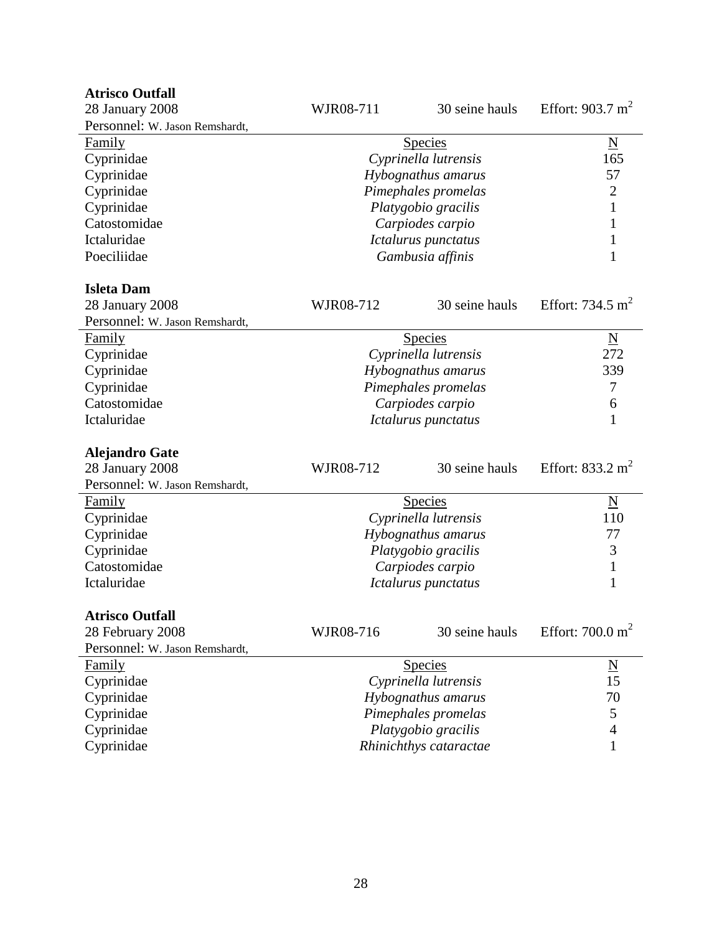| <b>Atrisco Outfall</b>         |                        |                      |                             |
|--------------------------------|------------------------|----------------------|-----------------------------|
| 28 January 2008                | WJR08-711              | 30 seine hauls       | Effort: $903.7 \text{ m}^2$ |
| Personnel: W. Jason Remshardt, |                        |                      |                             |
| Family                         |                        | <b>Species</b>       | $\underline{\mathbf{N}}$    |
| Cyprinidae                     | Cyprinella lutrensis   | 165                  |                             |
| Cyprinidae                     |                        | Hybognathus amarus   | 57                          |
| Cyprinidae                     |                        | Pimephales promelas  | $\overline{2}$              |
| Cyprinidae                     |                        | Platygobio gracilis  | $\mathbf{1}$                |
| Catostomidae                   |                        | Carpiodes carpio     | 1                           |
| Ictaluridae                    |                        | Ictalurus punctatus  | 1                           |
| Poeciliidae                    |                        | Gambusia affinis     | 1                           |
| <b>Isleta Dam</b>              |                        |                      |                             |
| 28 January 2008                | WJR08-712              | 30 seine hauls       | Effort: 734.5 $m2$          |
| Personnel: W. Jason Remshardt, |                        |                      |                             |
| Family                         |                        | <b>Species</b>       | $\underline{\mathbf{N}}$    |
| Cyprinidae                     |                        | Cyprinella lutrensis | 272                         |
| Cyprinidae                     |                        | Hybognathus amarus   | 339                         |
| Cyprinidae                     |                        | Pimephales promelas  | 7                           |
| Catostomidae                   |                        | Carpiodes carpio     | 6                           |
| Ictaluridae                    |                        | Ictalurus punctatus  | 1                           |
|                                |                        |                      |                             |
| <b>Alejandro Gate</b>          |                        |                      |                             |
| 28 January 2008                | WJR08-712              | 30 seine hauls       | Effort: $833.2 \text{ m}^2$ |
| Personnel: W. Jason Remshardt, |                        |                      |                             |
| Family                         |                        | <b>Species</b>       | $\underline{\mathbf{N}}$    |
| Cyprinidae                     |                        | Cyprinella lutrensis | 110                         |
| Cyprinidae                     |                        | Hybognathus amarus   | 77                          |
| Cyprinidae                     |                        | Platygobio gracilis  | 3                           |
| Catostomidae                   |                        | Carpiodes carpio     | $\mathbf{1}$                |
| Ictaluridae                    |                        | Ictalurus punctatus  | 1                           |
| <b>Atrisco Outfall</b>         |                        |                      |                             |
| 28 February 2008               | WJR08-716              | 30 seine hauls       | Effort: $700.0 \text{ m}^2$ |
| Personnel: W. Jason Remshardt, |                        |                      |                             |
| Family                         |                        | <b>Species</b>       | $\underline{\mathbf{N}}$    |
| Cyprinidae                     |                        | Cyprinella lutrensis | 15                          |
| Cyprinidae                     |                        | Hybognathus amarus   | 70                          |
| Cyprinidae                     |                        | Pimephales promelas  | 5                           |
| Cyprinidae                     |                        | Platygobio gracilis  | $\overline{4}$              |
| Cyprinidae                     | Rhinichthys cataractae |                      | 1                           |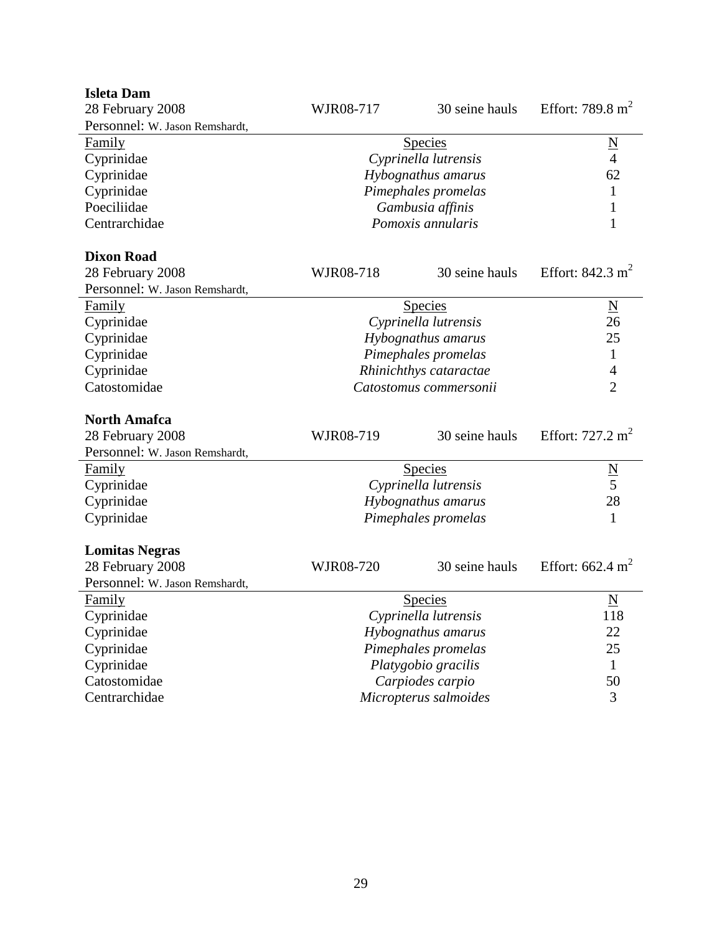| <b>Isleta Dam</b>              |                      |                        |                             |
|--------------------------------|----------------------|------------------------|-----------------------------|
| 28 February 2008               | WJR08-717            | 30 seine hauls         | Effort: 789.8 $m^2$         |
| Personnel: W. Jason Remshardt, |                      |                        |                             |
| Family                         |                      | <b>Species</b>         | $\underline{\underline{N}}$ |
| Cyprinidae                     | Cyprinella lutrensis | $\overline{4}$         |                             |
| Cyprinidae                     |                      | Hybognathus amarus     | 62                          |
| Cyprinidae                     |                      | Pimephales promelas    | $\mathbf 1$                 |
| Poeciliidae                    |                      | Gambusia affinis       | 1                           |
| Centrarchidae                  |                      | Pomoxis annularis      | $\mathbf{1}$                |
| <b>Dixon Road</b>              |                      |                        |                             |
| 28 February 2008               | WJR08-718            | 30 seine hauls         | Effort: $842.3 \text{ m}^2$ |
| Personnel: W. Jason Remshardt, |                      |                        |                             |
| Family                         |                      | Species                | $\underline{\mathbf{N}}$    |
| Cyprinidae                     |                      | Cyprinella lutrensis   | 26                          |
| Cyprinidae                     |                      | Hybognathus amarus     | 25                          |
| Cyprinidae                     |                      | Pimephales promelas    | $\mathbf{1}$                |
| Cyprinidae                     |                      | Rhinichthys cataractae | $\overline{4}$              |
| Catostomidae                   |                      | Catostomus commersonii | $\overline{2}$              |
| <b>North Amafca</b>            |                      |                        |                             |
| 28 February 2008               | WJR08-719            | 30 seine hauls         | Effort: $727.2 \text{ m}^2$ |
| Personnel: W. Jason Remshardt, |                      |                        |                             |
| <b>Family</b>                  |                      | Species                |                             |
| Cyprinidae                     |                      | Cyprinella lutrensis   | $\frac{N}{5}$               |
| Cyprinidae                     |                      | Hybognathus amarus     | 28                          |
| Cyprinidae                     |                      | Pimephales promelas    | $\mathbf{1}$                |
|                                |                      |                        |                             |
| <b>Lomitas Negras</b>          |                      |                        |                             |
| 28 February 2008               | WJR08-720            | 30 seine hauls         | Effort: $662.4 \text{ m}^2$ |
| Personnel: W. Jason Remshardt, |                      |                        |                             |
| <b>Family</b>                  | <b>Species</b>       |                        | $\underline{\rm N}$         |
| Cyprinidae                     |                      | Cyprinella lutrensis   | 118                         |
| Cyprinidae                     |                      | Hybognathus amarus     | 22                          |
| Cyprinidae                     |                      | Pimephales promelas    | 25                          |
| Cyprinidae                     | Platygobio gracilis  |                        | $\mathbf{1}$                |
|                                | Carpiodes carpio     |                        |                             |
| Catostomidae                   |                      |                        | 50                          |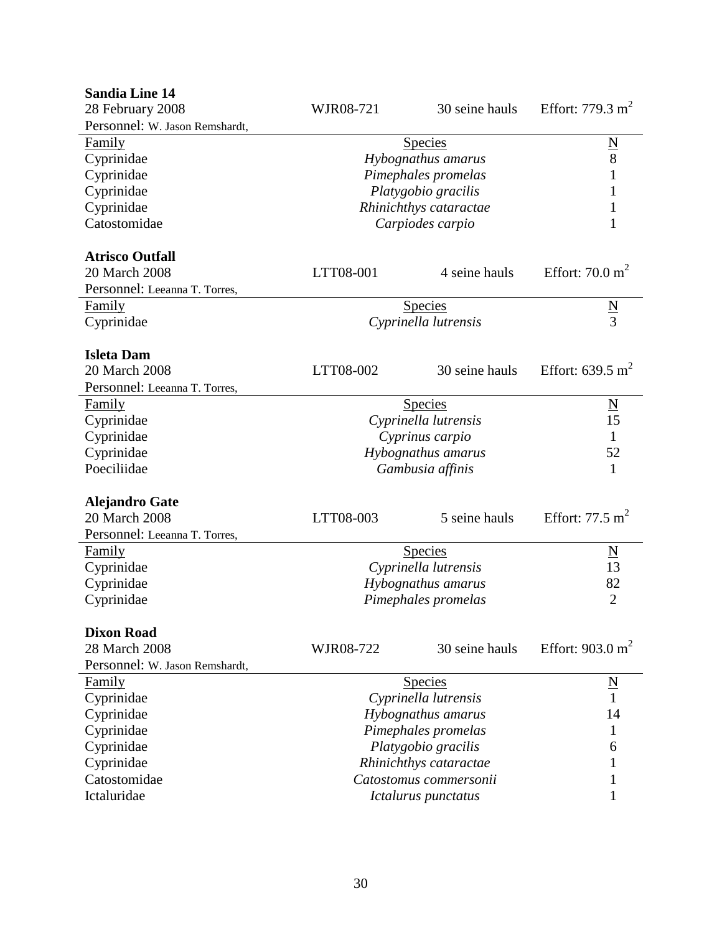| <b>Sandia Line 14</b>          |                     |                        |                             |
|--------------------------------|---------------------|------------------------|-----------------------------|
| 28 February 2008               | WJR08-721           | 30 seine hauls         | Effort: $779.3 \text{ m}^2$ |
| Personnel: W. Jason Remshardt, |                     |                        |                             |
| Family                         | Species             |                        |                             |
| Cyprinidae                     | Hybognathus amarus  | $\frac{N}{8}$          |                             |
| Cyprinidae                     | Pimephales promelas | $\mathbf{1}$           |                             |
| Cyprinidae                     |                     | Platygobio gracilis    | $\mathbf{1}$                |
| Cyprinidae                     |                     | Rhinichthys cataractae | 1                           |
| Catostomidae                   |                     | Carpiodes carpio       | $\mathbf{1}$                |
|                                |                     |                        |                             |
| <b>Atrisco Outfall</b>         |                     |                        |                             |
| 20 March 2008                  | LTT08-001           | 4 seine hauls          | Effort: $70.0 \text{ m}^2$  |
| Personnel: Leeanna T. Torres,  |                     |                        |                             |
| Family                         |                     | Species                | $\frac{N}{3}$               |
| Cyprinidae                     |                     | Cyprinella lutrensis   |                             |
|                                |                     |                        |                             |
| <b>Isleta Dam</b>              |                     |                        |                             |
| 20 March 2008                  | LTT08-002           | 30 seine hauls         | Effort: $639.5 \text{ m}^2$ |
| Personnel: Leeanna T. Torres,  |                     |                        |                             |
| Family                         |                     | Species                | $\underline{\rm N}$         |
| Cyprinidae                     |                     | Cyprinella lutrensis   | 15                          |
| Cyprinidae                     |                     | Cyprinus carpio        | $\mathbf{1}$                |
| Cyprinidae                     |                     | Hybognathus amarus     | 52                          |
| Poeciliidae                    | Gambusia affinis    | $\mathbf{1}$           |                             |
| <b>Alejandro Gate</b>          |                     |                        |                             |
| 20 March 2008                  | LTT08-003           | 5 seine hauls          | Effort: $77.5 \text{ m}^2$  |
| Personnel: Leeanna T. Torres,  |                     |                        |                             |
| Family                         |                     | <b>Species</b>         | $\underline{\mathbf{N}}$    |
| Cyprinidae                     |                     | Cyprinella lutrensis   | 13                          |
| Cyprinidae                     |                     | Hybognathus amarus     | 82                          |
| Cyprinidae                     |                     | Pimephales promelas    | $\overline{2}$              |
|                                |                     |                        |                             |
| <b>Dixon Road</b>              |                     |                        |                             |
| 28 March 2008                  | WJR08-722           | 30 seine hauls         | Effort: $903.0 \text{ m}^2$ |
| Personnel: W. Jason Remshardt, |                     |                        |                             |
| <b>Family</b>                  |                     | <b>Species</b>         | $\underline{N}$             |
| Cyprinidae                     |                     | Cyprinella lutrensis   | $\mathbf{1}$                |
| Cyprinidae                     |                     | Hybognathus amarus     | 14                          |
| Cyprinidae                     |                     | Pimephales promelas    | 1                           |
| Cyprinidae                     |                     | Platygobio gracilis    | 6                           |
| Cyprinidae                     |                     | Rhinichthys cataractae |                             |
| Catostomidae                   |                     | Catostomus commersonii |                             |
| Ictaluridae                    | Ictalurus punctatus |                        |                             |

# 30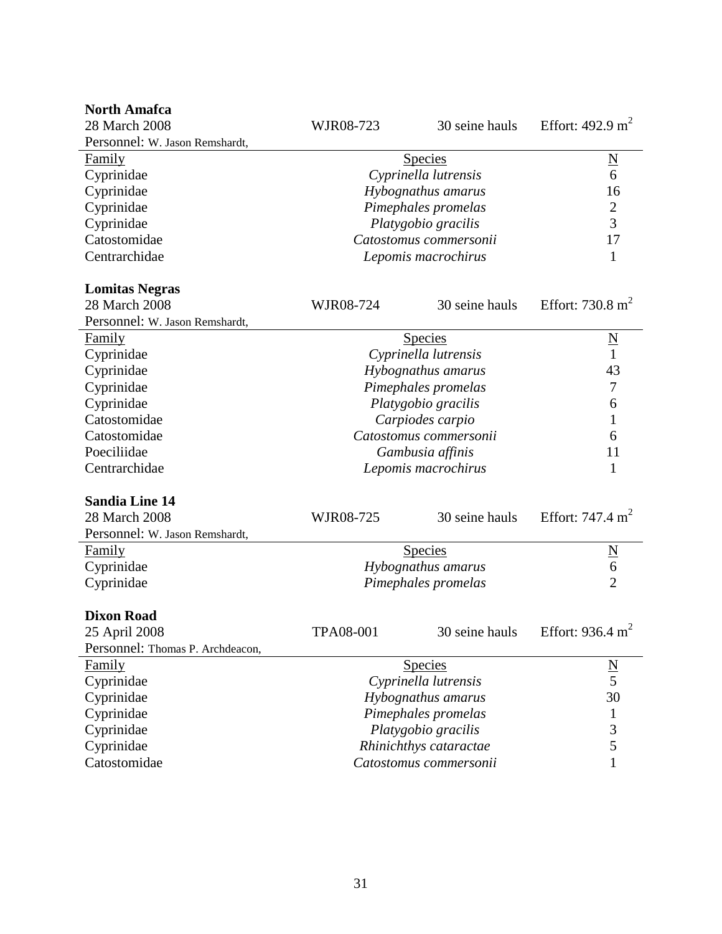| <b>North Amafca</b>              |                        |                        |                             |
|----------------------------------|------------------------|------------------------|-----------------------------|
| 28 March 2008                    | WJR08-723              | 30 seine hauls         | Effort: $492.9 \text{ m}^2$ |
| Personnel: W. Jason Remshardt,   |                        |                        |                             |
| <b>Family</b>                    |                        | <u>Species</u>         | $\frac{N}{6}$               |
| Cyprinidae                       | Cyprinella lutrensis   |                        |                             |
| Cyprinidae                       |                        | Hybognathus amarus     | 16                          |
| Cyprinidae                       |                        | Pimephales promelas    | $\mathbf{2}$                |
| Cyprinidae                       |                        | Platygobio gracilis    | 3                           |
| Catostomidae                     |                        | Catostomus commersonii | 17                          |
| Centrarchidae                    |                        | Lepomis macrochirus    | 1                           |
| <b>Lomitas Negras</b>            |                        |                        |                             |
| 28 March 2008                    | WJR08-724              | 30 seine hauls         | Effort: $730.8 \text{ m}^2$ |
| Personnel: W. Jason Remshardt,   |                        |                        |                             |
| <b>Family</b>                    |                        | <b>Species</b>         | $\overline{\mathsf{N}}$     |
| Cyprinidae                       |                        | Cyprinella lutrensis   | $\mathbf{1}$                |
| Cyprinidae                       |                        | Hybognathus amarus     | 43                          |
| Cyprinidae                       |                        | Pimephales promelas    | 7                           |
| Cyprinidae                       |                        | Platygobio gracilis    | 6                           |
| Catostomidae                     |                        | Carpiodes carpio       | 1                           |
| Catostomidae                     |                        | Catostomus commersonii | 6                           |
| Poeciliidae                      |                        | Gambusia affinis       | 11                          |
| Centrarchidae                    |                        | Lepomis macrochirus    | 1                           |
| <b>Sandia Line 14</b>            |                        |                        |                             |
| 28 March 2008                    | WJR08-725              | 30 seine hauls         | Effort: 747.4 $m2$          |
| Personnel: W. Jason Remshardt,   |                        |                        |                             |
| <b>Family</b>                    |                        | <b>Species</b>         | $\overline{\mathsf{N}}$     |
| Cyprinidae                       |                        | Hybognathus amarus     | 6                           |
| Cyprinidae                       |                        | Pimephales promelas    | $\overline{2}$              |
| <b>Dixon Road</b>                |                        |                        |                             |
| 25 April 2008                    | TPA08-001              | 30 seine hauls         | Effort: 936.4 $m^2$         |
| Personnel: Thomas P. Archdeacon, |                        |                        |                             |
| Family                           |                        | <b>Species</b>         | $\underline{\mathbf{N}}$    |
| Cyprinidae                       |                        | Cyprinella lutrensis   | 5                           |
| Cyprinidae                       |                        | Hybognathus amarus     | 30                          |
| Cyprinidae                       |                        | Pimephales promelas    | 1                           |
| Cyprinidae                       |                        | Platygobio gracilis    | 3                           |
| Cyprinidae                       |                        | Rhinichthys cataractae | 5                           |
| Catostomidae                     | Catostomus commersonii |                        | 1                           |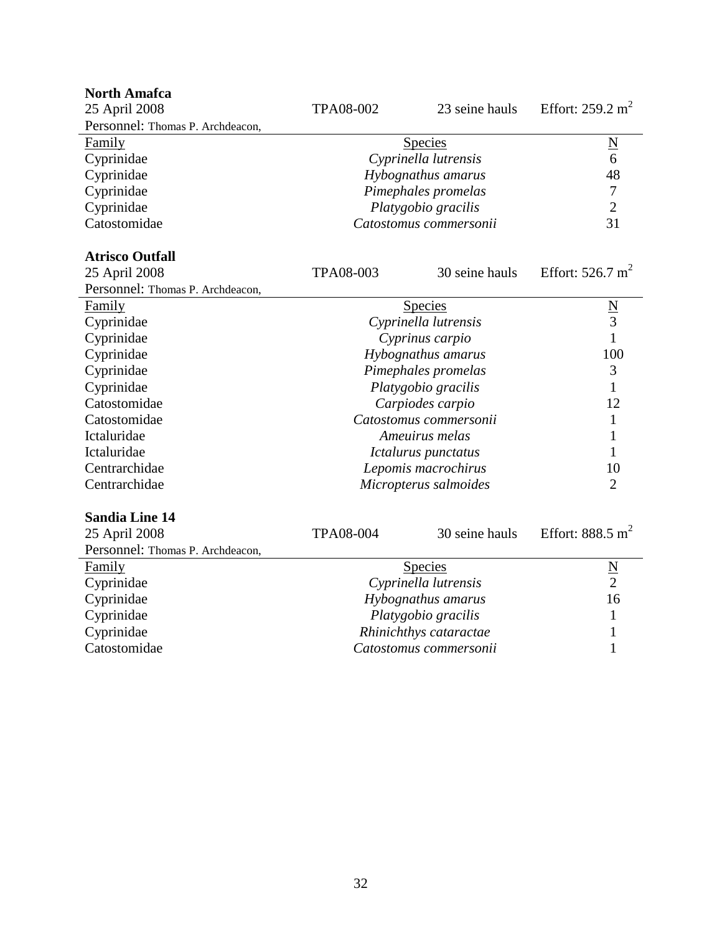| <b>North Amafca</b>              |                     |                        |                             |
|----------------------------------|---------------------|------------------------|-----------------------------|
| 25 April 2008                    | TPA08-002           | 23 seine hauls         | Effort: $259.2 \text{ m}^2$ |
| Personnel: Thomas P. Archdeacon, |                     |                        |                             |
| Family                           |                     | Species                | $\frac{N}{6}$               |
| Cyprinidae                       |                     | Cyprinella lutrensis   |                             |
| Cyprinidae                       | Hybognathus amarus  |                        | 48                          |
| Cyprinidae                       | Pimephales promelas |                        | $\tau$                      |
| Cyprinidae                       |                     | Platygobio gracilis    | $\overline{2}$              |
| Catostomidae                     |                     | Catostomus commersonii | 31                          |
| <b>Atrisco Outfall</b>           |                     |                        |                             |
| 25 April 2008                    | TPA08-003           | 30 seine hauls         | Effort: $526.7 \text{ m}^2$ |
| Personnel: Thomas P. Archdeacon, |                     |                        |                             |
| Family                           |                     | Species                | $\underline{\mathbf{N}}$    |
| Cyprinidae                       |                     | Cyprinella lutrensis   | $\mathfrak{Z}$              |
| Cyprinidae                       |                     | Cyprinus carpio        | $\mathbf{1}$                |
| Cyprinidae                       |                     | Hybognathus amarus     | 100                         |
| Cyprinidae                       |                     | Pimephales promelas    | 3                           |
| Cyprinidae                       |                     | Platygobio gracilis    | $\mathbf{1}$                |
| Catostomidae                     |                     | Carpiodes carpio       | 12                          |
| Catostomidae                     |                     | Catostomus commersonii | 1                           |
| Ictaluridae                      |                     | Ameuirus melas         | 1                           |
| Ictaluridae                      |                     | Ictalurus punctatus    | 1                           |
| Centrarchidae                    |                     | Lepomis macrochirus    | 10                          |
| Centrarchidae                    |                     | Micropterus salmoides  | $\overline{2}$              |
| <b>Sandia Line 14</b>            |                     |                        |                             |
| 25 April 2008                    | <b>TPA08-004</b>    | 30 seine hauls         | Effort: $888.5 \text{ m}^2$ |
| Personnel: Thomas P. Archdeacon, |                     |                        |                             |
| Family                           |                     | Species                |                             |
| Cyprinidae                       |                     | Cyprinella lutrensis   | $\frac{N}{2}$               |
| Cyprinidae                       |                     | Hybognathus amarus     | 16                          |
| Cyprinidae                       |                     | Platygobio gracilis    | 1                           |
| Cyprinidae                       |                     | Rhinichthys cataractae | 1                           |
| Catostomidae                     |                     | Catostomus commersonii | $\mathbf{1}$                |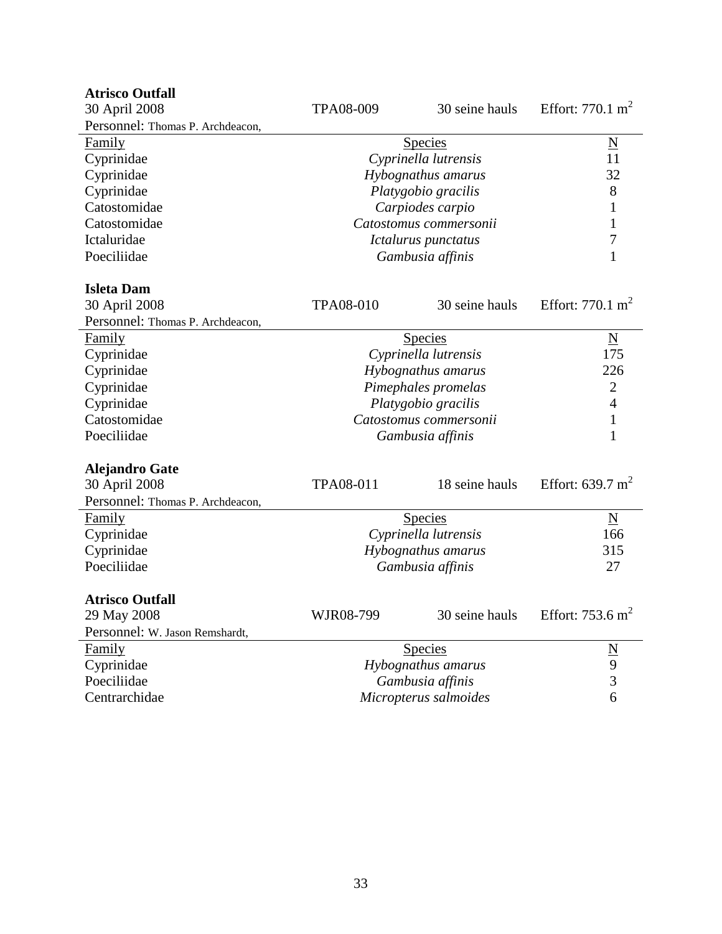| <b>Atrisco Outfall</b>           |                  |                        |                             |
|----------------------------------|------------------|------------------------|-----------------------------|
| 30 April 2008                    | <b>TPA08-009</b> | 30 seine hauls         | Effort: $770.1 \text{ m}^2$ |
| Personnel: Thomas P. Archdeacon, |                  |                        |                             |
| Family                           |                  | <b>Species</b>         | $\underline{\rm N}$         |
| Cyprinidae                       |                  | Cyprinella lutrensis   | 11                          |
| Cyprinidae                       |                  | Hybognathus amarus     | 32                          |
| Cyprinidae                       |                  | Platygobio gracilis    | 8                           |
| Catostomidae                     | Carpiodes carpio |                        | 1                           |
| Catostomidae                     |                  | Catostomus commersonii | 1                           |
| Ictaluridae                      |                  | Ictalurus punctatus    | 7                           |
| Poeciliidae                      |                  | Gambusia affinis       | 1                           |
| <b>Isleta Dam</b>                |                  |                        |                             |
| 30 April 2008                    | TPA08-010        | 30 seine hauls         | Effort: $770.1 \text{ m}^2$ |
| Personnel: Thomas P. Archdeacon, |                  |                        |                             |
| <b>Family</b>                    |                  | Species                | $\underline{\rm N}$         |
| Cyprinidae                       |                  | Cyprinella lutrensis   | 175                         |
| Cyprinidae                       |                  | Hybognathus amarus     | 226                         |
| Cyprinidae                       |                  | Pimephales promelas    | $\overline{2}$              |
| Cyprinidae                       |                  | Platygobio gracilis    | $\overline{4}$              |
| Catostomidae                     |                  | Catostomus commersonii | 1                           |
| Poeciliidae                      |                  | Gambusia affinis       | 1                           |
| <b>Alejandro Gate</b>            |                  |                        |                             |
| 30 April 2008                    | TPA08-011        | 18 seine hauls         | Effort: $639.7 \text{ m}^2$ |
| Personnel: Thomas P. Archdeacon, |                  |                        |                             |
| Family                           |                  | <b>Species</b>         | $\underline{\mathbf{N}}$    |
| Cyprinidae                       |                  | Cyprinella lutrensis   | 166                         |
| Cyprinidae                       |                  | Hybognathus amarus     | 315                         |
| Poeciliidae                      |                  | Gambusia affinis       | 27                          |
| <b>Atrisco Outfall</b>           |                  |                        |                             |
| 29 May 2008                      | WJR08-799        | 30 seine hauls         | Effort: $753.6 \text{ m}^2$ |
| Personnel: W. Jason Remshardt,   |                  |                        |                             |
| Family                           |                  | Species                | $\underline{\rm N}$         |
| Cyprinidae                       |                  | Hybognathus amarus     | 9                           |
| Poeciliidae                      |                  | Gambusia affinis       | 3                           |
| Centrarchidae                    |                  | Micropterus salmoides  | 6                           |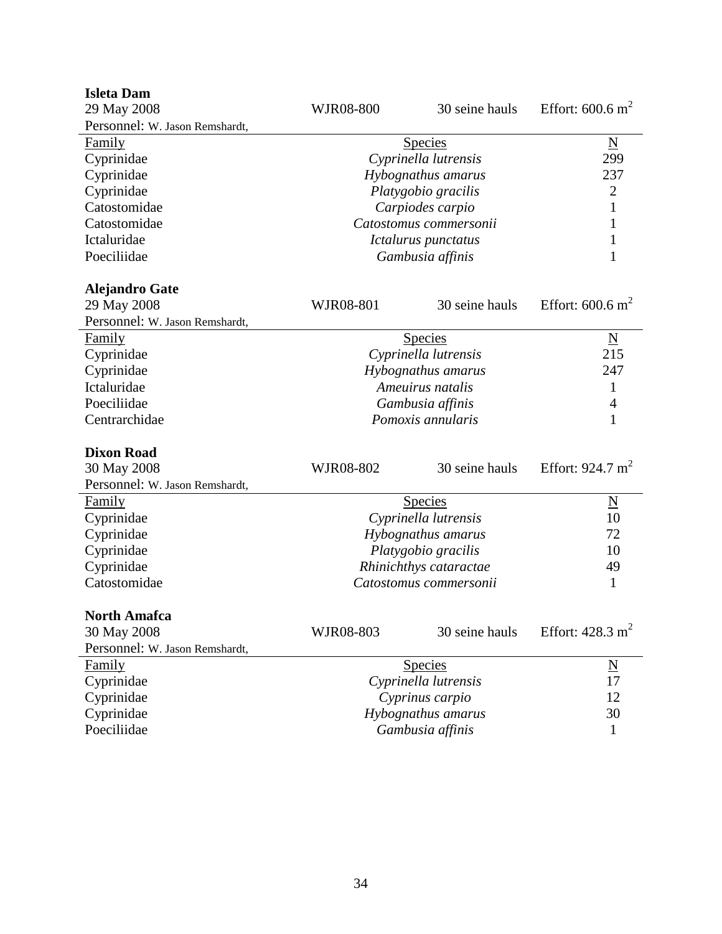| <b>Isleta Dam</b>              |                        |                        |                             |
|--------------------------------|------------------------|------------------------|-----------------------------|
| 29 May 2008                    | WJR08-800              | 30 seine hauls         | Effort: $600.6 \text{ m}^2$ |
| Personnel: W. Jason Remshardt, |                        |                        |                             |
| Family                         |                        | <b>Species</b>         | N                           |
| Cyprinidae                     |                        | Cyprinella lutrensis   | 299                         |
| Cyprinidae                     |                        | Hybognathus amarus     | 237                         |
| Cyprinidae                     | Platygobio gracilis    |                        | $\overline{2}$              |
| Catostomidae                   | Carpiodes carpio       |                        | 1                           |
| Catostomidae                   | Catostomus commersonii |                        | 1                           |
| Ictaluridae                    |                        | Ictalurus punctatus    |                             |
| Poeciliidae                    |                        | Gambusia affinis       | 1                           |
| <b>Alejandro Gate</b>          |                        |                        |                             |
| 29 May 2008                    | WJR08-801              | 30 seine hauls         | Effort: $600.6 \text{ m}^2$ |
| Personnel: W. Jason Remshardt, |                        |                        |                             |
| Family                         |                        | <u>Species</u>         | $\underline{\mathbf{N}}$    |
| Cyprinidae                     |                        | Cyprinella lutrensis   | 215                         |
| Cyprinidae                     |                        | Hybognathus amarus     | 247                         |
| Ictaluridae                    |                        | Ameuirus natalis       | 1                           |
| Poeciliidae                    |                        | Gambusia affinis       | 4                           |
| Centrarchidae                  |                        | Pomoxis annularis      | 1                           |
| <b>Dixon Road</b>              |                        |                        |                             |
| 30 May 2008                    | WJR08-802              | 30 seine hauls         | Effort: $924.7 \text{ m}^2$ |
| Personnel: W. Jason Remshardt, |                        |                        |                             |
| <b>Family</b>                  |                        | <b>Species</b>         | $\underline{\mathbf{N}}$    |
| Cyprinidae                     |                        | Cyprinella lutrensis   | 10                          |
| Cyprinidae                     |                        | Hybognathus amarus     | 72                          |
| Cyprinidae                     |                        | Platygobio gracilis    | 10                          |
| Cyprinidae                     |                        | Rhinichthys cataractae | 49                          |
| Catostomidae                   |                        | Catostomus commersonii | 1                           |
| <b>North Amafca</b>            |                        |                        |                             |
| 30 May 2008                    | WJR08-803              | 30 seine hauls         | Effort: $428.3 \text{ m}^2$ |
| Personnel: W. Jason Remshardt, |                        |                        |                             |
| <b>Family</b>                  |                        | <b>Species</b>         | $\underline{\mathbf{N}}$    |
| Cyprinidae                     |                        | Cyprinella lutrensis   | 17                          |
| Cyprinidae                     |                        | Cyprinus carpio        | 12                          |
| Cyprinidae                     |                        | Hybognathus amarus     | 30                          |
| Poeciliidae                    |                        | Gambusia affinis       | $\mathbf{1}$                |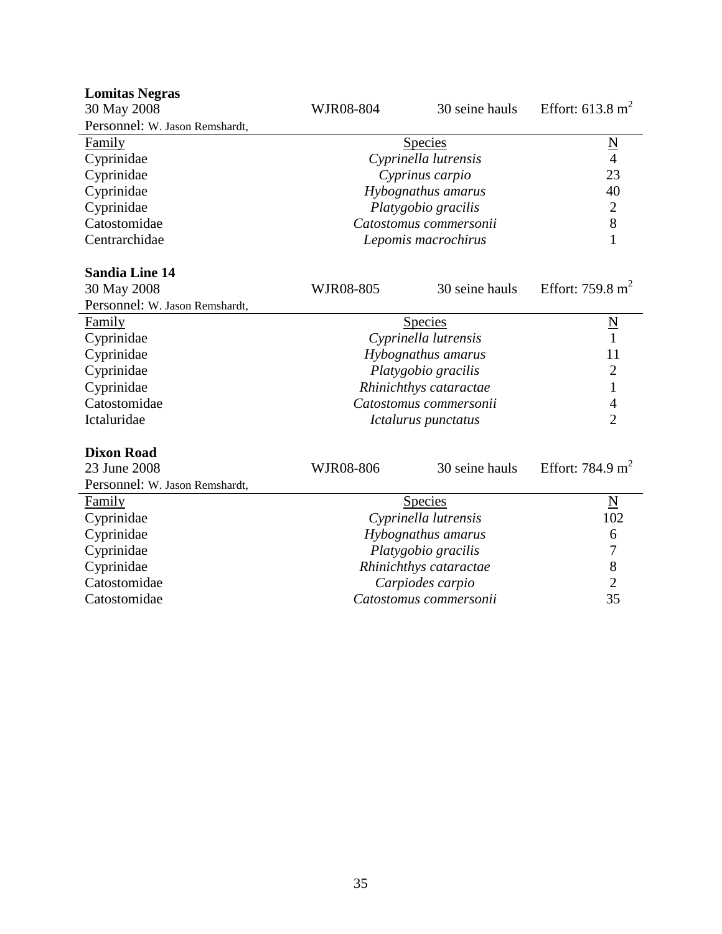| <b>Lomitas Negras</b>          |                    |                        |                              |
|--------------------------------|--------------------|------------------------|------------------------------|
| 30 May 2008                    | WJR08-804          | 30 seine hauls         | Effort: $613.8 \text{ m}^2$  |
| Personnel: W. Jason Remshardt, |                    |                        |                              |
| Family                         |                    | Species                | $\frac{N}{4}$                |
| Cyprinidae                     |                    | Cyprinella lutrensis   |                              |
| Cyprinidae                     | Cyprinus carpio    |                        | 23                           |
| Cyprinidae                     | Hybognathus amarus |                        | 40                           |
| Cyprinidae                     |                    | Platygobio gracilis    | $\overline{2}$               |
| Catostomidae                   |                    | Catostomus commersonii | 8                            |
| Centrarchidae                  |                    | Lepomis macrochirus    | $\mathbf{1}$                 |
| <b>Sandia Line 14</b>          |                    |                        |                              |
| 30 May 2008                    | WJR08-805          | 30 seine hauls         | Effort: $759.8 \text{ m}^2$  |
| Personnel: W. Jason Remshardt, |                    |                        |                              |
| Family                         |                    | <b>Species</b>         | $\underline{\rm N}$          |
| Cyprinidae                     |                    | Cyprinella lutrensis   | $\mathbf{1}$                 |
| Cyprinidae                     |                    | Hybognathus amarus     | 11                           |
| Cyprinidae                     |                    | Platygobio gracilis    | $\overline{2}$               |
| Cyprinidae                     |                    | Rhinichthys cataractae | $\mathbf{1}$                 |
| Catostomidae                   |                    | Catostomus commersonii | $\overline{4}$               |
| Ictaluridae                    |                    | Ictalurus punctatus    | $\overline{2}$               |
| <b>Dixon Road</b>              |                    |                        |                              |
| 23 June 2008                   | WJR08-806          | 30 seine hauls         | Effort: 784.9 m <sup>2</sup> |
| Personnel: W. Jason Remshardt, |                    |                        |                              |
| Family                         |                    | <b>Species</b>         | $\underline{\mathbf{N}}$     |
| Cyprinidae                     |                    | Cyprinella lutrensis   | 102                          |
| Cyprinidae                     |                    | Hybognathus amarus     | 6                            |
| Cyprinidae                     |                    | Platygobio gracilis    | 7                            |
| Cyprinidae                     |                    | Rhinichthys cataractae | 8                            |
| Catostomidae                   |                    | Carpiodes carpio       | $\overline{2}$               |
| Catostomidae                   |                    | Catostomus commersonii | 35                           |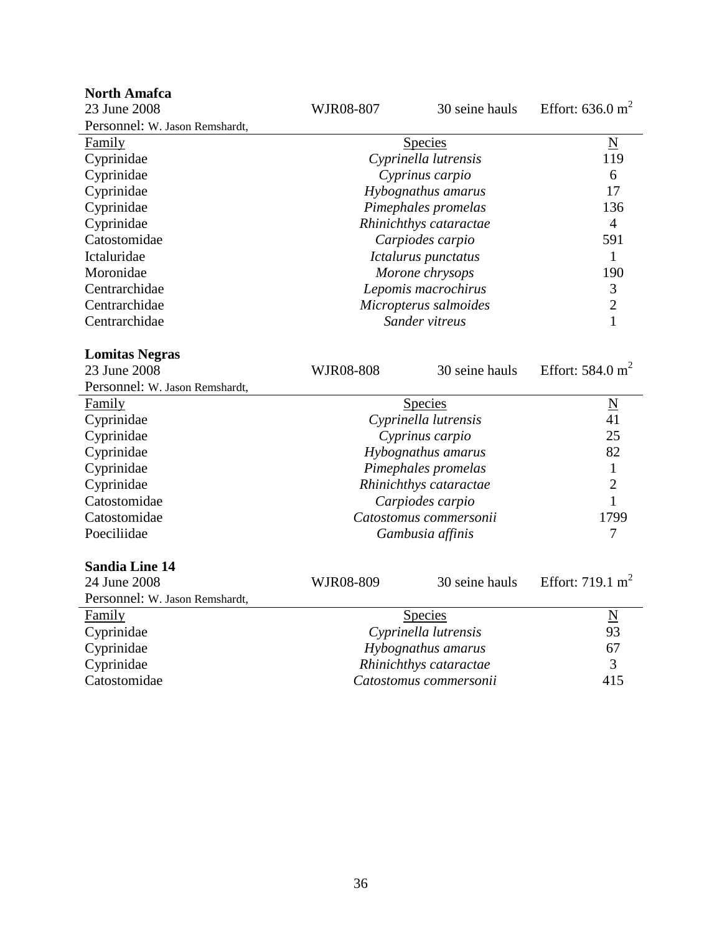| <b>North Amafca</b>            |                     |                        |                             |
|--------------------------------|---------------------|------------------------|-----------------------------|
| 23 June 2008                   | WJR08-807           | 30 seine hauls         | Effort: $636.0 \text{ m}^2$ |
| Personnel: W. Jason Remshardt, |                     |                        |                             |
| Family                         |                     | Species                | $\mathbf N$                 |
| Cyprinidae                     |                     | Cyprinella lutrensis   | 119                         |
| Cyprinidae                     |                     | Cyprinus carpio        | 6                           |
| Cyprinidae                     |                     | Hybognathus amarus     | 17                          |
| Cyprinidae                     | Pimephales promelas |                        | 136                         |
| Cyprinidae                     |                     | Rhinichthys cataractae | $\overline{4}$              |
| Catostomidae                   |                     | Carpiodes carpio       | 591                         |
| Ictaluridae                    |                     | Ictalurus punctatus    | $\mathbf{1}$                |
| Moronidae                      |                     | Morone chrysops        | 190                         |
| Centrarchidae                  |                     | Lepomis macrochirus    | 3                           |
| Centrarchidae                  |                     | Micropterus salmoides  | $\overline{2}$              |
| Centrarchidae                  |                     | Sander vitreus         | $\mathbf{1}$                |
|                                |                     |                        |                             |
| <b>Lomitas Negras</b>          |                     |                        |                             |
| 23 June 2008                   | WJR08-808           | 30 seine hauls         | Effort: $584.0 \text{ m}^2$ |
| Personnel: W. Jason Remshardt, |                     |                        |                             |
| Family                         |                     | <b>Species</b>         | $\overline{\mathbf{N}}$     |
| Cyprinidae                     |                     | Cyprinella lutrensis   | 41                          |
| Cyprinidae                     |                     | Cyprinus carpio        | 25                          |
| Cyprinidae                     |                     | Hybognathus amarus     | 82                          |
| Cyprinidae                     |                     | Pimephales promelas    | $\mathbf{1}$                |
| Cyprinidae                     |                     | Rhinichthys cataractae | $\mathbf{2}$                |
| Catostomidae                   |                     | Carpiodes carpio       | 1                           |
| Catostomidae                   |                     | Catostomus commersonii | 1799                        |
| Poeciliidae                    |                     | Gambusia affinis       | $\overline{7}$              |
| <b>Sandia Line 14</b>          |                     |                        |                             |
| 24 June 2008                   | WJR08-809           | 30 seine hauls         | Effort: $719.1 \text{ m}^2$ |
| Personnel: W. Jason Remshardt, |                     |                        |                             |
| Family                         |                     | Species                | $\underline{\rm N}$         |
| Cyprinidae                     |                     | Cyprinella lutrensis   | 93                          |
| Cyprinidae                     |                     | Hybognathus amarus     | 67                          |
| Cyprinidae                     |                     | Rhinichthys cataractae | 3                           |
| Catostomidae                   |                     | Catostomus commersonii | 415                         |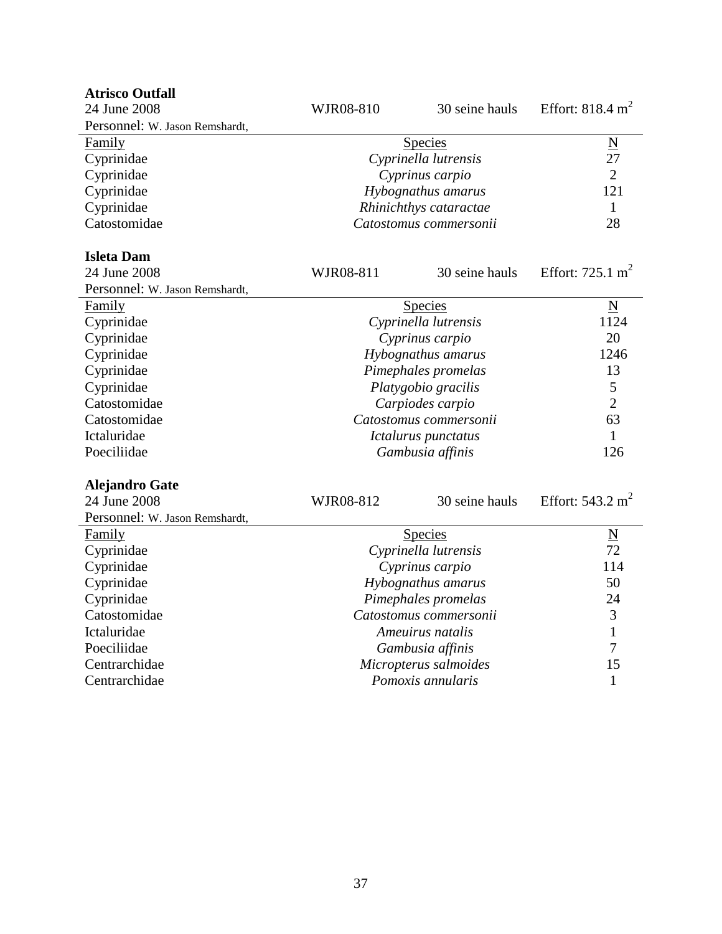| <b>Atrisco Outfall</b>         |                    |                        |                             |
|--------------------------------|--------------------|------------------------|-----------------------------|
| 24 June 2008                   | WJR08-810          | 30 seine hauls         | Effort: $818.4 \text{ m}^2$ |
| Personnel: W. Jason Remshardt, |                    |                        |                             |
| Family                         |                    | <b>Species</b>         | $\underline{N}$             |
| Cyprinidae                     |                    | Cyprinella lutrensis   | 27                          |
| Cyprinidae                     |                    | Cyprinus carpio        | $\overline{2}$              |
| Cyprinidae                     | Hybognathus amarus |                        | 121                         |
| Cyprinidae                     |                    | Rhinichthys cataractae | $\mathbf{1}$                |
| Catostomidae                   |                    | Catostomus commersonii | 28                          |
| <b>Isleta Dam</b>              |                    |                        |                             |
| 24 June 2008                   | WJR08-811          | 30 seine hauls         | Effort: $725.1 \text{ m}^2$ |
| Personnel: W. Jason Remshardt, |                    |                        |                             |
| Family                         |                    | <b>Species</b>         | $\underline{\mathbf{N}}$    |
| Cyprinidae                     |                    | Cyprinella lutrensis   | 1124                        |
| Cyprinidae                     |                    | Cyprinus carpio        | 20                          |
| Cyprinidae                     |                    | Hybognathus amarus     | 1246                        |
| Cyprinidae                     |                    | Pimephales promelas    | 13                          |
| Cyprinidae                     |                    | Platygobio gracilis    | 5                           |
| Catostomidae                   |                    | Carpiodes carpio       | $\overline{2}$              |
| Catostomidae                   |                    | Catostomus commersonii | 63                          |
| Ictaluridae                    |                    | Ictalurus punctatus    | $\mathbf{1}$                |
| Poeciliidae                    |                    | Gambusia affinis       | 126                         |
| <b>Alejandro Gate</b>          |                    |                        |                             |
| 24 June 2008                   | WJR08-812          | 30 seine hauls         | Effort: $543.2 \text{ m}^2$ |
| Personnel: W. Jason Remshardt, |                    |                        |                             |
| Family                         |                    | <b>Species</b>         | $\underline{\mathbf{N}}$    |
| Cyprinidae                     |                    | Cyprinella lutrensis   | 72                          |
| Cyprinidae                     |                    | Cyprinus carpio        | 114                         |
| Cyprinidae                     |                    | Hybognathus amarus     | 50                          |
| Cyprinidae                     |                    | Pimephales promelas    | 24                          |
| Catostomidae                   |                    | Catostomus commersonii | 3                           |
| Ictaluridae                    |                    | Ameuirus natalis       | $\mathbf{1}$                |
| Poeciliidae                    |                    | Gambusia affinis       | 7                           |
| Centrarchidae                  |                    | Micropterus salmoides  | 15                          |
| Centrarchidae                  |                    | Pomoxis annularis      | $\mathbf{1}$                |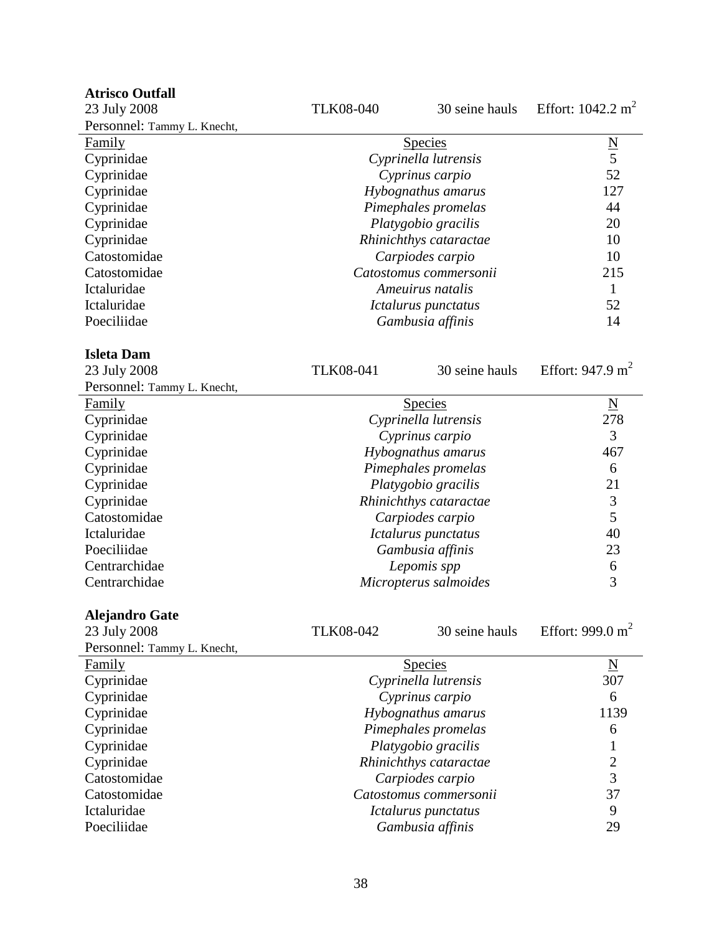| <b>Atrisco Outfall</b>         |                    |                        |                                 |
|--------------------------------|--------------------|------------------------|---------------------------------|
| 23 July 2008                   | <b>TLK08-040</b>   | 30 seine hauls         | Effort: $1042.2 \text{ m}^2$    |
| Personnel: Tammy L. Knecht,    |                    |                        |                                 |
| Family                         |                    | <b>Species</b>         | $\frac{N}{5}$                   |
| Cyprinidae                     |                    | Cyprinella lutrensis   |                                 |
| Cyprinidae                     |                    | Cyprinus carpio        | 52                              |
| Cyprinidae                     | Hybognathus amarus |                        | 127                             |
| Cyprinidae                     |                    | Pimephales promelas    | 44                              |
| Cyprinidae                     |                    | Platygobio gracilis    | 20                              |
| Cyprinidae                     |                    | Rhinichthys cataractae | 10                              |
| Catostomidae                   |                    | Carpiodes carpio       | 10                              |
| Catostomidae                   |                    | Catostomus commersonii | 215                             |
| Ictaluridae                    |                    | Ameuirus natalis       | $\mathbf{1}$                    |
| Ictaluridae                    |                    | Ictalurus punctatus    | 52                              |
| Poeciliidae                    |                    | Gambusia affinis       | 14                              |
|                                |                    |                        |                                 |
| <b>Isleta Dam</b>              |                    |                        |                                 |
| 23 July 2008                   | <b>TLK08-041</b>   | 30 seine hauls         | Effort: $947.9 \text{ m}^2$     |
| Personnel: Tammy L. Knecht,    |                    |                        |                                 |
| Family                         |                    | <b>Species</b>         | $\underline{\mathbf{N}}$        |
| Cyprinidae                     |                    | Cyprinella lutrensis   | 278                             |
| Cyprinidae                     |                    | Cyprinus carpio        | 3                               |
| Cyprinidae                     |                    | Hybognathus amarus     | 467                             |
| Cyprinidae                     |                    | Pimephales promelas    | 6                               |
| Cyprinidae                     |                    | Platygobio gracilis    | 21                              |
| Cyprinidae                     |                    | Rhinichthys cataractae | 3                               |
| Catostomidae                   |                    | Carpiodes carpio       | 5                               |
| Ictaluridae                    |                    | Ictalurus punctatus    | 40                              |
| Poeciliidae                    |                    | Gambusia affinis       | 23                              |
| Centrarchidae                  |                    |                        |                                 |
| Centrarchidae                  |                    | Lepomis spp            | 6<br>3                          |
|                                |                    | Micropterus salmoides  |                                 |
|                                |                    |                        |                                 |
| Alejandro Gate<br>23 July 2008 | TLK08-042          | 30 seine hauls         | Effort: 999.0 $m2$              |
| Personnel: Tammy L. Knecht,    |                    |                        |                                 |
|                                |                    |                        |                                 |
| Family                         |                    | <u>Species</u>         | $\underline{\mathbf{N}}$<br>307 |
| Cyprinidae                     |                    | Cyprinella lutrensis   | 6                               |
| Cyprinidae                     |                    | Cyprinus carpio        |                                 |
| Cyprinidae                     |                    | Hybognathus amarus     | 1139                            |
| Cyprinidae                     |                    | Pimephales promelas    | 6                               |
| Cyprinidae                     |                    | Platygobio gracilis    | $\mathbf 1$                     |
| Cyprinidae                     |                    | Rhinichthys cataractae | $\overline{c}$                  |
| Catostomidae                   |                    | Carpiodes carpio       | $\overline{3}$                  |
| Catostomidae                   |                    | Catostomus commersonii | 37                              |
| Ictaluridae                    |                    | Ictalurus punctatus    | 9                               |
| Poeciliidae                    |                    | Gambusia affinis       | 29                              |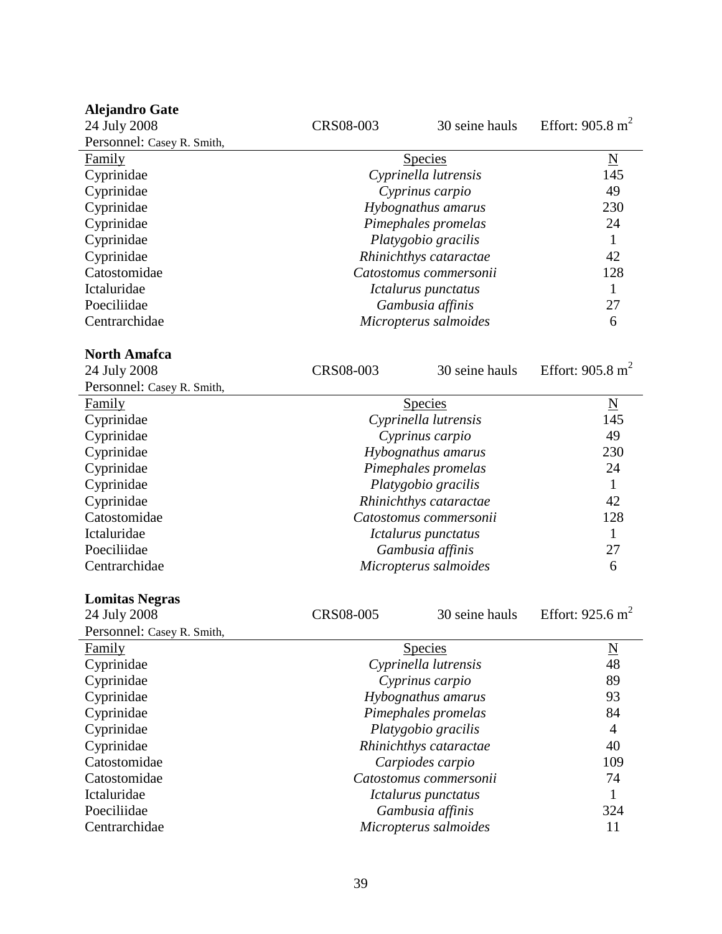| <b>Alejandro Gate</b>      |                        |                        |                             |
|----------------------------|------------------------|------------------------|-----------------------------|
| 24 July 2008               | CRS08-003              | 30 seine hauls         | Effort: $905.8 \text{ m}^2$ |
| Personnel: Casey R. Smith, |                        |                        |                             |
| Family                     |                        | <b>Species</b>         | $\underline{\mathbf{N}}$    |
| Cyprinidae                 |                        | Cyprinella lutrensis   | 145                         |
| Cyprinidae                 |                        | Cyprinus carpio        | 49                          |
| Cyprinidae                 |                        | Hybognathus amarus     | 230                         |
| Cyprinidae                 |                        | Pimephales promelas    | 24                          |
| Cyprinidae                 | Platygobio gracilis    |                        | $\mathbf{1}$                |
| Cyprinidae                 | Rhinichthys cataractae |                        | 42                          |
| Catostomidae               |                        | Catostomus commersonii | 128                         |
| Ictaluridae                |                        | Ictalurus punctatus    | 1                           |
| Poeciliidae                |                        | Gambusia affinis       | 27                          |
| Centrarchidae              |                        | Micropterus salmoides  | 6                           |
| <b>North Amafca</b>        |                        |                        |                             |
| 24 July 2008               | CRS08-003              | 30 seine hauls         | Effort: $905.8 \text{ m}^2$ |
| Personnel: Casey R. Smith, |                        |                        |                             |
| <b>Family</b>              |                        | <b>Species</b>         | $\underline{\rm N}$         |
| Cyprinidae                 |                        | Cyprinella lutrensis   | 145                         |
| Cyprinidae                 |                        | Cyprinus carpio        | 49                          |
| Cyprinidae                 |                        | Hybognathus amarus     | 230                         |
| Cyprinidae                 |                        | Pimephales promelas    | 24                          |
| Cyprinidae                 |                        | Platygobio gracilis    | $\mathbf{1}$                |
| Cyprinidae                 |                        | Rhinichthys cataractae | 42                          |
| Catostomidae               |                        | Catostomus commersonii | 128                         |
| Ictaluridae                |                        | Ictalurus punctatus    | $\mathbf{1}$                |
| Poeciliidae                |                        | Gambusia affinis       | 27                          |
| Centrarchidae              |                        | Micropterus salmoides  | 6                           |
| <b>Lomitas Negras</b>      |                        |                        |                             |
| 24 July 2008               | <b>CRS08-005</b>       | 30 seine hauls         | Effort: $925.6 \text{ m}^2$ |
| Personnel: Casey R. Smith, |                        |                        |                             |
| Family                     |                        | <b>Species</b>         | $\underline{N}$             |
| Cyprinidae                 |                        | Cyprinella lutrensis   | 48                          |
| Cyprinidae                 |                        | Cyprinus carpio        | 89                          |
| Cyprinidae                 |                        | Hybognathus amarus     | 93                          |
| Cyprinidae                 |                        | Pimephales promelas    | 84                          |
| Cyprinidae                 |                        | Platygobio gracilis    | $\overline{4}$              |
| Cyprinidae                 |                        | Rhinichthys cataractae | 40                          |
| Catostomidae               |                        | Carpiodes carpio       | 109                         |
| Catostomidae               |                        | Catostomus commersonii | 74                          |
| Ictaluridae                |                        | Ictalurus punctatus    | 1                           |
| Poeciliidae                |                        | Gambusia affinis       | 324                         |
| Centrarchidae              |                        | Micropterus salmoides  | 11                          |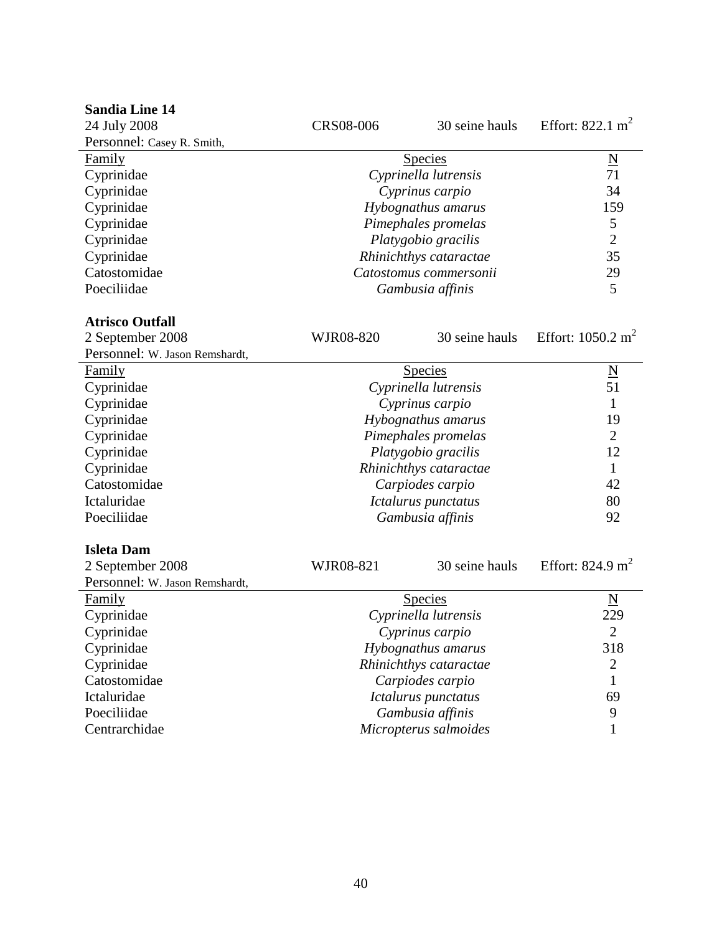| <b>Sandia Line 14</b>          |                     |                        |                              |
|--------------------------------|---------------------|------------------------|------------------------------|
| 24 July 2008                   | <b>CRS08-006</b>    | 30 seine hauls         | Effort: $822.1 \text{ m}^2$  |
| Personnel: Casey R. Smith,     |                     |                        |                              |
| Family                         |                     | <b>Species</b>         | $\underline{\mathbf{N}}$     |
| Cyprinidae                     |                     | Cyprinella lutrensis   | 71                           |
| Cyprinidae                     |                     | Cyprinus carpio        | 34                           |
| Cyprinidae                     | Hybognathus amarus  |                        | 159                          |
| Cyprinidae                     | Pimephales promelas |                        | 5                            |
| Cyprinidae                     |                     | Platygobio gracilis    | $\overline{2}$               |
| Cyprinidae                     |                     | Rhinichthys cataractae | 35                           |
| Catostomidae                   |                     | Catostomus commersonii | 29                           |
| Poeciliidae                    |                     | Gambusia affinis       | 5                            |
| <b>Atrisco Outfall</b>         |                     |                        |                              |
| 2 September 2008               | WJR08-820           | 30 seine hauls         | Effort: $1050.2 \text{ m}^2$ |
| Personnel: W. Jason Remshardt, |                     |                        |                              |
| Family                         |                     | <b>Species</b>         | $\underline{\rm N}$          |
| Cyprinidae                     |                     | Cyprinella lutrensis   | 51                           |
| Cyprinidae                     |                     | Cyprinus carpio        | $\mathbf{1}$                 |
| Cyprinidae                     |                     | Hybognathus amarus     | 19                           |
| Cyprinidae                     |                     | Pimephales promelas    | $\overline{2}$               |
| Cyprinidae                     |                     | Platygobio gracilis    | 12                           |
| Cyprinidae                     |                     | Rhinichthys cataractae | $\mathbf{1}$                 |
| Catostomidae                   |                     | Carpiodes carpio       | 42                           |
| Ictaluridae                    |                     | Ictalurus punctatus    | 80                           |
| Poeciliidae                    |                     | Gambusia affinis       | 92                           |
| <b>Isleta Dam</b>              |                     |                        |                              |
| 2 September 2008               | WJR08-821           | 30 seine hauls         | Effort: $824.9 \text{ m}^2$  |
| Personnel: W. Jason Remshardt, |                     |                        |                              |
| <b>Family</b>                  |                     | <b>Species</b>         |                              |
| Cyprinidae                     |                     | Cyprinella lutrensis   | 229                          |
| Cyprinidae                     |                     | Cyprinus carpio        | $\overline{2}$               |
| Cyprinidae                     |                     | Hybognathus amarus     | 318                          |
| Cyprinidae                     |                     | Rhinichthys cataractae | $\overline{2}$               |
| Catostomidae                   |                     | Carpiodes carpio       | 1                            |
| Ictaluridae                    |                     | Ictalurus punctatus    | 69                           |
| Poeciliidae                    |                     | Gambusia affinis       | 9                            |
| Centrarchidae                  |                     | Micropterus salmoides  | 1                            |
|                                |                     |                        |                              |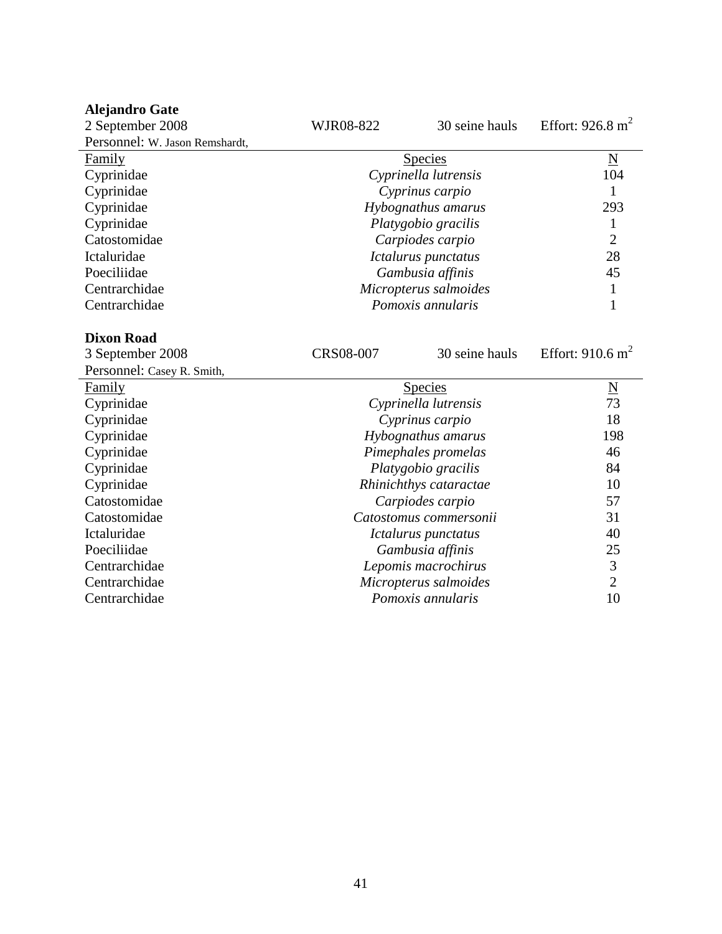| <b>Alejandro Gate</b>          |                     |                        |                             |
|--------------------------------|---------------------|------------------------|-----------------------------|
| 2 September 2008               | WJR08-822           | 30 seine hauls         | Effort: $926.8 \text{ m}^2$ |
| Personnel: W. Jason Remshardt, |                     |                        |                             |
| Family                         |                     | <b>Species</b>         | $\underline{\mathbf{N}}$    |
| Cyprinidae                     |                     | Cyprinella lutrensis   | 104                         |
| Cyprinidae                     |                     | Cyprinus carpio        | $\mathbf{1}$                |
| Cyprinidae                     |                     | Hybognathus amarus     | 293                         |
| Cyprinidae                     | Platygobio gracilis |                        | 1                           |
| Catostomidae                   |                     | Carpiodes carpio       | $\overline{2}$              |
| Ictaluridae                    |                     | Ictalurus punctatus    | 28                          |
| Poeciliidae                    |                     | Gambusia affinis       | 45                          |
| Centrarchidae                  |                     | Micropterus salmoides  | 1                           |
| Centrarchidae                  |                     | Pomoxis annularis      | 1                           |
|                                |                     |                        |                             |
| <b>Dixon Road</b>              |                     |                        |                             |
| 3 September 2008               | <b>CRS08-007</b>    | 30 seine hauls         | Effort: $910.6 \text{ m}^2$ |
| Personnel: Casey R. Smith,     |                     |                        |                             |
| Family                         |                     | <b>Species</b>         | $\underline{\mathbf{N}}$    |
| Cyprinidae                     |                     | Cyprinella lutrensis   | 73                          |
| Cyprinidae                     |                     | Cyprinus carpio        | 18                          |
| Cyprinidae                     |                     | Hybognathus amarus     | 198                         |
| Cyprinidae                     |                     | Pimephales promelas    | 46                          |
| Cyprinidae                     |                     | Platygobio gracilis    | 84                          |
| Cyprinidae                     |                     | Rhinichthys cataractae | 10                          |
| Catostomidae                   |                     | Carpiodes carpio       | 57                          |
| Catostomidae                   |                     | Catostomus commersonii | 31                          |
| Ictaluridae                    |                     | Ictalurus punctatus    | 40                          |
| Poeciliidae                    |                     | Gambusia affinis       | 25                          |
| Centrarchidae                  |                     | Lepomis macrochirus    | $\mathfrak{Z}$              |
|                                |                     |                        |                             |
| Centrarchidae                  |                     | Micropterus salmoides  | $\overline{2}$              |
| Centrarchidae                  |                     | Pomoxis annularis      | 10                          |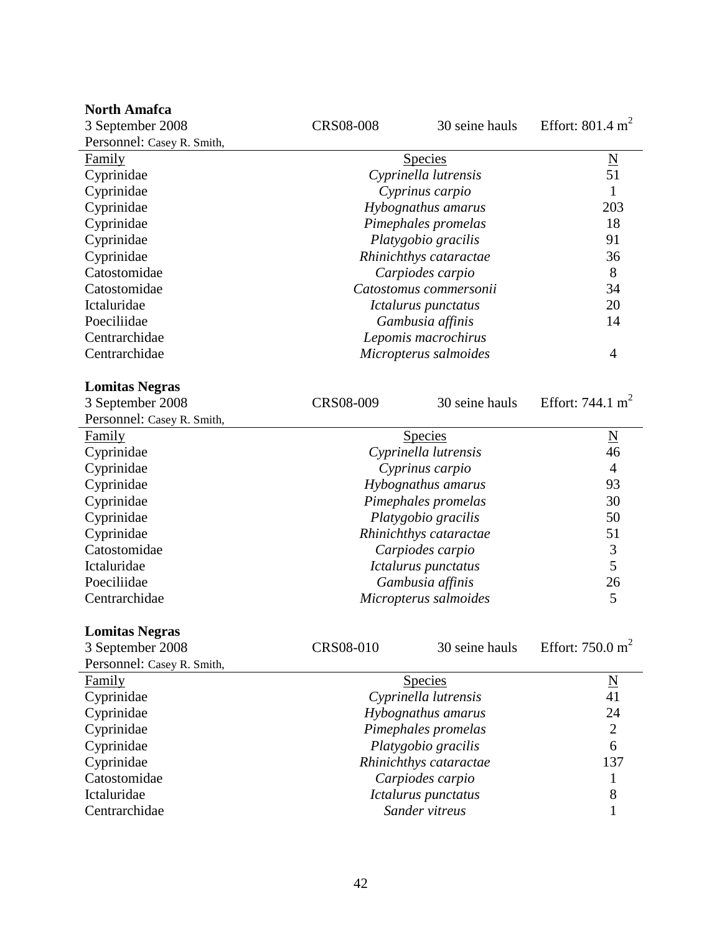| <b>North Amafca</b>        |                  |                        |                             |
|----------------------------|------------------|------------------------|-----------------------------|
| 3 September 2008           | <b>CRS08-008</b> | 30 seine hauls         | Effort: $801.4 \text{ m}^2$ |
| Personnel: Casey R. Smith, |                  |                        |                             |
| Family                     |                  | Species                | $\underline{\underline{N}}$ |
| Cyprinidae                 |                  | Cyprinella lutrensis   | 51                          |
| Cyprinidae                 |                  | Cyprinus carpio        | 1                           |
| Cyprinidae                 |                  | Hybognathus amarus     | 203                         |
| Cyprinidae                 |                  | Pimephales promelas    | 18                          |
| Cyprinidae                 |                  | Platygobio gracilis    | 91                          |
| Cyprinidae                 |                  | Rhinichthys cataractae | 36                          |
| Catostomidae               |                  | Carpiodes carpio       | 8                           |
| Catostomidae               |                  | Catostomus commersonii | 34                          |
| Ictaluridae                |                  | Ictalurus punctatus    | 20                          |
| Poeciliidae                |                  | Gambusia affinis       | 14                          |
| Centrarchidae              |                  | Lepomis macrochirus    |                             |
| Centrarchidae              |                  | Micropterus salmoides  | $\overline{4}$              |
|                            |                  |                        |                             |
| <b>Lomitas Negras</b>      |                  |                        |                             |
| 3 September 2008           | CRS08-009        | 30 seine hauls         | Effort: 744.1 $m^2$         |
| Personnel: Casey R. Smith, |                  |                        |                             |
| <b>Family</b>              |                  | <b>Species</b>         | $\underline{\rm N}$         |
| Cyprinidae                 |                  | Cyprinella lutrensis   | 46                          |
| Cyprinidae                 |                  | Cyprinus carpio        | $\overline{4}$              |
| Cyprinidae                 |                  | Hybognathus amarus     | 93                          |
| Cyprinidae                 |                  | Pimephales promelas    | 30                          |
| Cyprinidae                 |                  | Platygobio gracilis    | 50                          |
| Cyprinidae                 |                  | Rhinichthys cataractae | 51                          |
| Catostomidae               |                  | Carpiodes carpio       | 3                           |
| Ictaluridae                |                  | Ictalurus punctatus    | 5                           |
| Poeciliidae                |                  | Gambusia affinis       | 26                          |
| Centrarchidae              |                  | Micropterus salmoides  | 5                           |
|                            |                  |                        |                             |
| <b>Lomitas Negras</b>      |                  |                        |                             |
| 3 September 2008           | <b>CRS08-010</b> | 30 seine hauls         | Effort: $750.0 \text{ m}^2$ |
| Personnel: Casey R. Smith, |                  |                        |                             |
| Family                     |                  | <b>Species</b>         | $\underline{\rm N}$         |
| Cyprinidae                 |                  | Cyprinella lutrensis   | 41                          |
| Cyprinidae                 |                  | Hybognathus amarus     | 24                          |
| Cyprinidae                 |                  | Pimephales promelas    | $\overline{2}$              |
| Cyprinidae                 |                  | Platygobio gracilis    | 6                           |
| Cyprinidae                 |                  | Rhinichthys cataractae | 137                         |
| Catostomidae               |                  | Carpiodes carpio       | 1                           |
| Ictaluridae                |                  | Ictalurus punctatus    | 8                           |
| Centrarchidae              |                  | Sander vitreus         | $\mathbf{1}$                |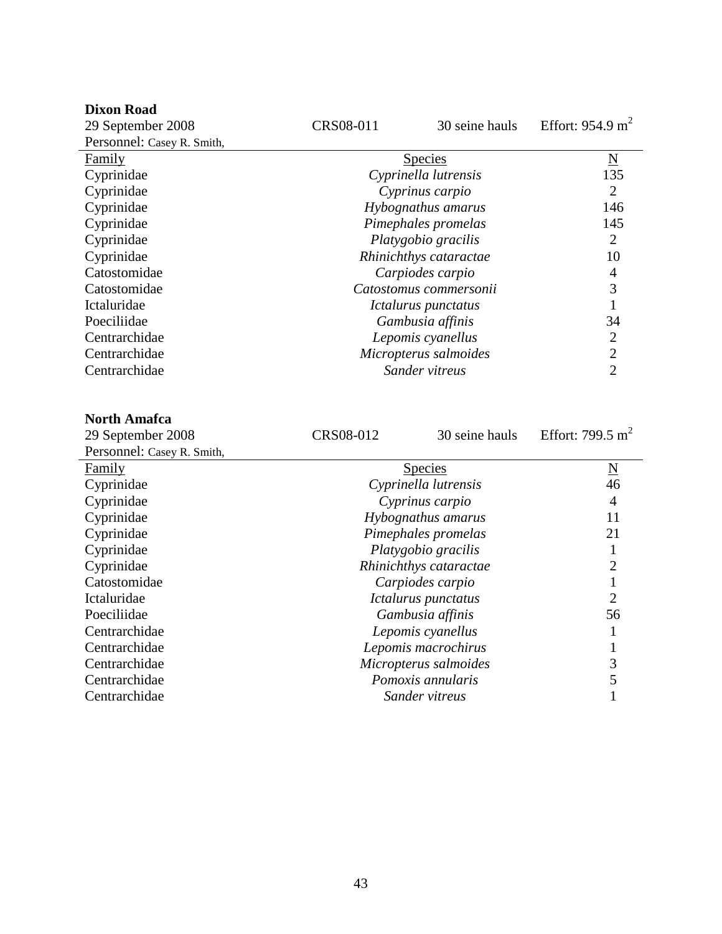| <b>Dixon Road</b><br>29 September 2008<br>Personnel: Casey R. Smith, | CRS08-011 | 30 seine hauls                             | Effort: $954.9 \text{ m}^2$ |
|----------------------------------------------------------------------|-----------|--------------------------------------------|-----------------------------|
| Family                                                               |           | <b>Species</b>                             | $\underline{\mathbf{N}}$    |
| Cyprinidae                                                           |           | Cyprinella lutrensis                       | 135                         |
| Cyprinidae                                                           |           | Cyprinus carpio                            | $\overline{2}$              |
| Cyprinidae                                                           |           | Hybognathus amarus                         | 146                         |
| Cyprinidae                                                           |           | Pimephales promelas                        | 145                         |
| Cyprinidae                                                           |           | Platygobio gracilis                        | $\overline{2}$              |
| Cyprinidae                                                           |           | Rhinichthys cataractae                     | 10                          |
| Catostomidae                                                         |           | Carpiodes carpio                           | 4                           |
| Catostomidae                                                         |           | Catostomus commersonii                     | 3                           |
| Ictaluridae                                                          |           | Ictalurus punctatus                        | 1                           |
| Poeciliidae                                                          |           | Gambusia affinis                           | 34                          |
| Centrarchidae                                                        |           | Lepomis cyanellus                          | $\overline{2}$              |
| Centrarchidae                                                        |           | Micropterus salmoides                      | $\overline{2}$              |
| Centrarchidae                                                        |           | Sander vitreus                             | $\overline{2}$              |
|                                                                      |           |                                            |                             |
| <b>North Amafca</b><br>29 September 2008                             | CRS08-012 | 30 seine hauls                             | Effort: 799.5 $m^2$         |
| Personnel: Casey R. Smith,                                           |           |                                            |                             |
| Family                                                               |           | Species                                    | $\underline{\mathbf{N}}$    |
| Cyprinidae                                                           |           | Cyprinella lutrensis                       | 46                          |
| Cyprinidae                                                           |           | Cyprinus carpio                            | $\overline{4}$              |
| Cyprinidae                                                           |           | Hybognathus amarus                         | 11                          |
| Cyprinidae                                                           |           | Pimephales promelas                        | 21                          |
| Cyprinidae                                                           |           | Platygobio gracilis                        | 1                           |
| Cyprinidae                                                           |           | Rhinichthys cataractae                     | $\overline{2}$              |
| Catostomidae                                                         |           | Carpiodes carpio                           | $\mathbf{1}$                |
| Ictaluridae                                                          |           | Ictalurus punctatus                        | $\overline{2}$              |
| Poeciliidae                                                          |           | Gambusia affinis                           | 56                          |
| Centrarchidae                                                        |           | Lepomis cyanellus                          | $\mathbf{1}$<br>1           |
| Centrarchidae<br>Centrarchidae                                       |           | Lepomis macrochirus                        | 3                           |
| Centrarchidae                                                        |           | Micropterus salmoides<br>Pomoxis annularis | 5                           |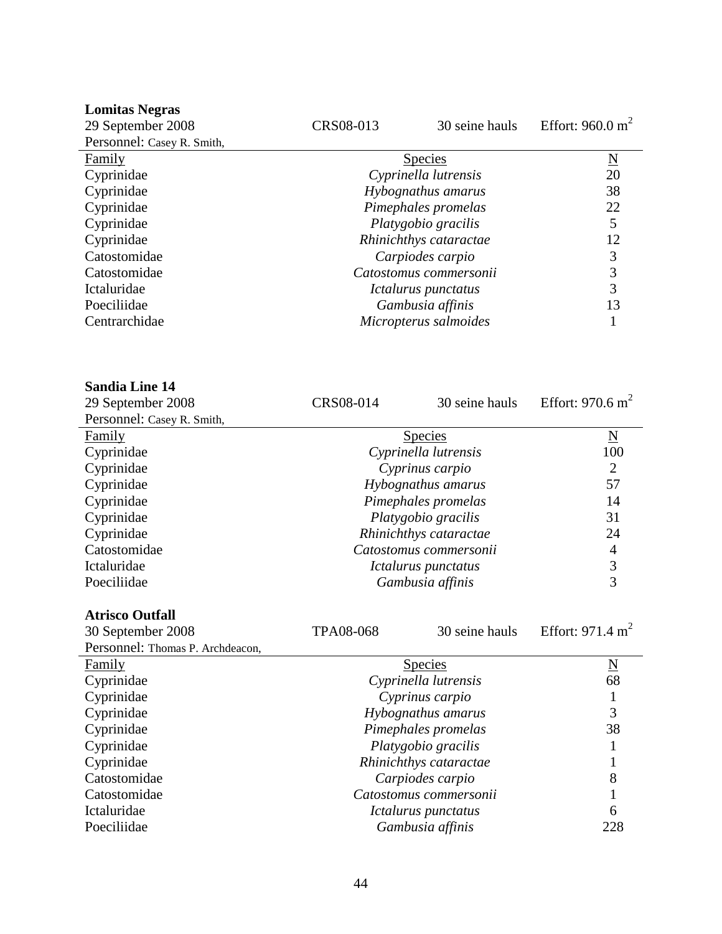| <b>Lomitas Negras</b>      |                     |                            |                             |
|----------------------------|---------------------|----------------------------|-----------------------------|
| 29 September 2008          | CRS08-013           | 30 seine hauls             | Effort: $960.0 \text{ m}^2$ |
| Personnel: Casey R. Smith, |                     |                            |                             |
| Family                     |                     | <b>Species</b>             | $\underline{\rm N}$         |
| Cyprinidae                 |                     | Cyprinella lutrensis       | 20                          |
| Cyprinidae                 |                     | Hybognathus amarus         | 38                          |
| Cyprinidae                 | Pimephales promelas | 22                         |                             |
| Cyprinidae                 |                     | Platygobio gracilis        | 5                           |
| Cyprinidae                 |                     | Rhinichthys cataractae     | 12                          |
| Catostomidae               |                     | Carpiodes carpio           | 3                           |
| Catostomidae               |                     | Catostomus commersonii     | 3                           |
| Ictaluridae                |                     | <i>Ictalurus punctatus</i> | 3                           |
| Poeciliidae                |                     | Gambusia affinis           | 13                          |
| Centrarchidae              |                     | Micropterus salmoides      |                             |
|                            |                     |                            |                             |

|  | <b>Sandia Line 14</b> |
|--|-----------------------|
|--|-----------------------|

| 29 September 2008          | 30 seine hauls<br>CRS08-014 |                     | Effort: 970.6 m <sup>2</sup> |
|----------------------------|-----------------------------|---------------------|------------------------------|
| Personnel: Casey R. Smith, |                             |                     |                              |
| Family                     |                             | <u>Species</u>      | $\underline{\rm N}$          |
| Cyprinidae                 | Cyprinella lutrensis        |                     | 100                          |
| Cyprinidae                 | Cyprinus carpio             | 2                   |                              |
| Cyprinidae                 | Hybognathus amarus          | 57                  |                              |
| Cyprinidae                 | Pimephales promelas         |                     | 14                           |
| Cyprinidae                 | Platygobio gracilis         |                     | 31                           |
| Cyprinidae                 | Rhinichthys cataractae      |                     | 24                           |
| Catostomidae               | Catostomus commersonii      |                     | 4                            |
| Ictaluridae                |                             | Ictalurus punctatus | 3                            |
| Poeciliidae                |                             | Gambusia affinis    | 3                            |

# **Atrisco Outfall**

| 30 September 2008                | 30 seine hauls<br><b>TPA08-068</b> |                      | Effort: 971.4 $m^2$ |  |
|----------------------------------|------------------------------------|----------------------|---------------------|--|
| Personnel: Thomas P. Archdeacon, |                                    |                      |                     |  |
| Family                           |                                    | <b>Species</b>       | $\underline{\rm N}$ |  |
| Cyprinidae                       |                                    | Cyprinella lutrensis | 68                  |  |
| Cyprinidae                       |                                    | Cyprinus carpio      |                     |  |
| Cyprinidae                       | Hybognathus amarus                 |                      | 3                   |  |
| Cyprinidae                       | Pimephales promelas                |                      | 38                  |  |
| Cyprinidae                       | Platygobio gracilis                |                      |                     |  |
| Cyprinidae                       | Rhinichthys cataractae             |                      |                     |  |
| Catostomidae                     |                                    | Carpiodes carpio     | 8                   |  |
| Catostomidae                     | Catostomus commersonii             |                      |                     |  |
| Ictaluridae                      |                                    | Ictalurus punctatus  | 6                   |  |
| Poeciliidae                      |                                    | Gambusia affinis     | 228                 |  |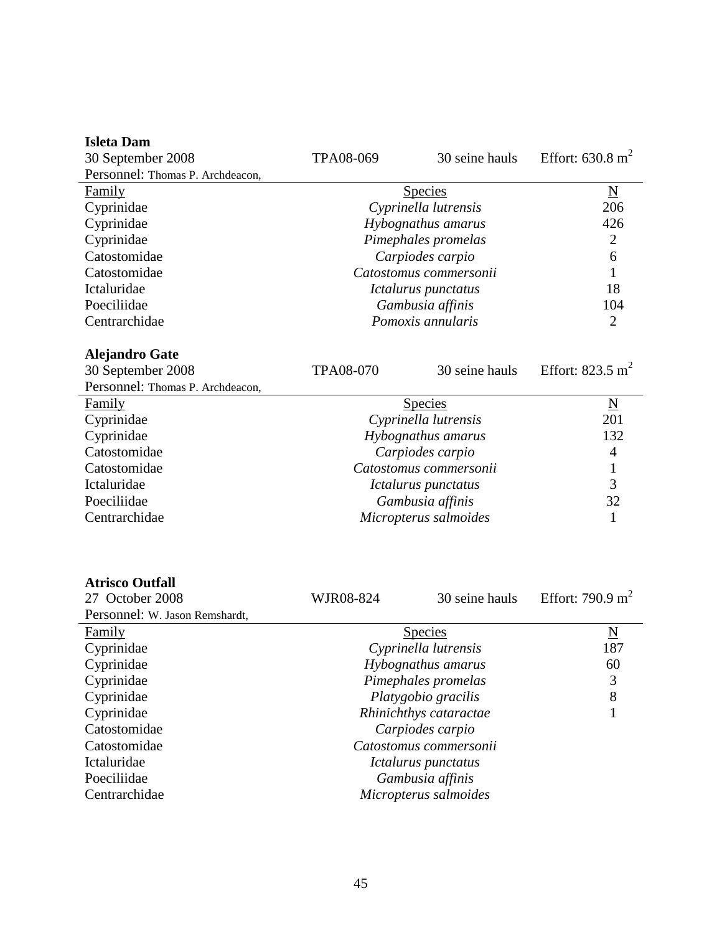| <b>Isleta Dam</b>                                                           |                  |                        |                             |
|-----------------------------------------------------------------------------|------------------|------------------------|-----------------------------|
| 30 September 2008                                                           | TPA08-069        | 30 seine hauls         | Effort: $630.8 \text{ m}^2$ |
| Personnel: Thomas P. Archdeacon,                                            |                  |                        |                             |
| Family                                                                      |                  | <b>Species</b>         | $\underline{\mathbf{N}}$    |
| Cyprinidae                                                                  |                  | Cyprinella lutrensis   | 206                         |
| Cyprinidae                                                                  |                  | Hybognathus amarus     | 426                         |
| Cyprinidae                                                                  |                  | Pimephales promelas    | $\overline{2}$              |
| Catostomidae                                                                |                  | Carpiodes carpio       | 6                           |
| Catostomidae                                                                |                  | Catostomus commersonii | 1                           |
| Ictaluridae                                                                 |                  | Ictalurus punctatus    | 18                          |
| Poeciliidae                                                                 |                  | Gambusia affinis       | 104                         |
| Centrarchidae                                                               |                  | Pomoxis annularis      | $\overline{2}$              |
| <b>Alejandro Gate</b>                                                       |                  |                        |                             |
| 30 September 2008                                                           | <b>TPA08-070</b> | 30 seine hauls         | Effort: $823.5 \text{ m}^2$ |
| Personnel: Thomas P. Archdeacon,                                            |                  |                        |                             |
| Family                                                                      |                  | <b>Species</b>         | $\underline{\mathbf{N}}$    |
| Cyprinidae                                                                  |                  | Cyprinella lutrensis   | 201                         |
| Cyprinidae                                                                  |                  | Hybognathus amarus     | 132                         |
| Catostomidae                                                                |                  | Carpiodes carpio       | $\overline{4}$              |
| Catostomidae                                                                |                  | Catostomus commersonii | $\mathbf 1$                 |
| Ictaluridae                                                                 |                  | Ictalurus punctatus    | 3                           |
| Poeciliidae                                                                 |                  | Gambusia affinis       | 32                          |
| Centrarchidae                                                               |                  | Micropterus salmoides  | 1                           |
| <b>Atrisco Outfall</b><br>27 October 2008<br>Personnel: W. Jason Remshardt, | WJR08-824        | 30 seine hauls         | Effort: 790.9 $m2$          |
| Family                                                                      |                  | <b>Species</b>         | $\underline{\rm N}$         |
| Cyprinidae                                                                  |                  | Cyprinella lutrensis   | 187                         |
| Cyprinidae                                                                  |                  | Hybognathus amarus     | 60                          |
| Cyprinidae                                                                  |                  | Pimephales promelas    | 3                           |
| Cyprinidae                                                                  |                  | Platygobio gracilis    | 8                           |
| Cyprinidae                                                                  |                  | Rhinichthys cataractae | 1                           |
| Catostomidae                                                                |                  | Carpiodes carpio       |                             |
| Catostomidae                                                                |                  | Catostomus commersonii |                             |
| Ictaluridae                                                                 |                  | Ictalurus punctatus    |                             |
| Poeciliidae                                                                 |                  | Gambusia affinis       |                             |
| Centrarchidae                                                               |                  | Micropterus salmoides  |                             |

45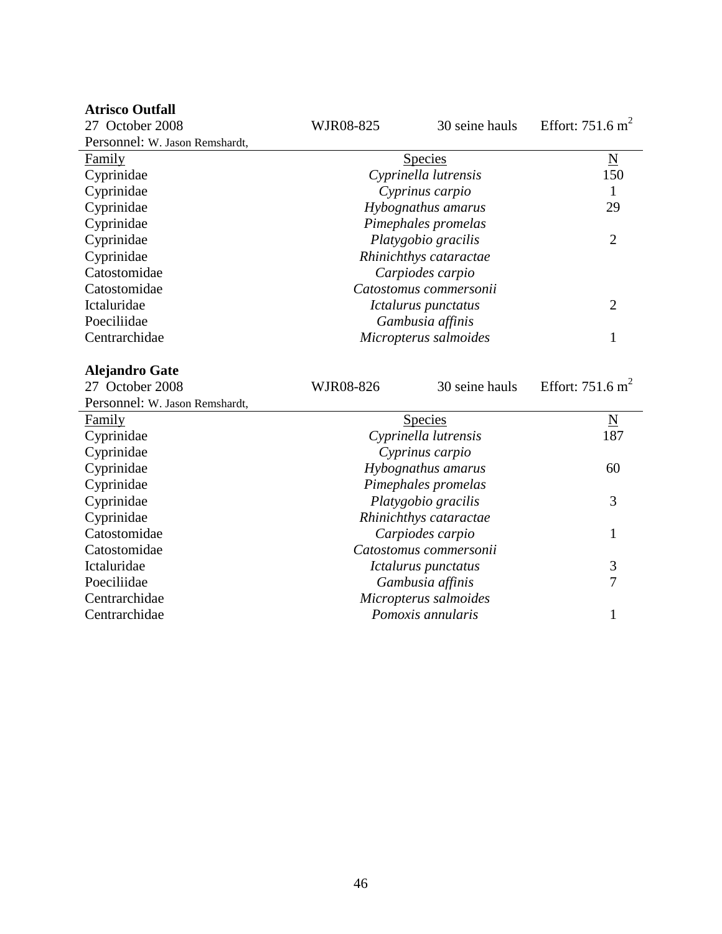| <b>Atrisco Outfall</b>         |           |                                            |                             |
|--------------------------------|-----------|--------------------------------------------|-----------------------------|
| 27 October 2008                | WJR08-825 | 30 seine hauls                             | Effort: $751.6 \text{ m}^2$ |
| Personnel: W. Jason Remshardt, |           |                                            |                             |
| Family                         |           | Species                                    | $\underline{\rm N}$         |
| Cyprinidae                     |           | Cyprinella lutrensis                       | 150                         |
| Cyprinidae                     |           | Cyprinus carpio                            | $\mathbf{1}$                |
| Cyprinidae                     |           | Hybognathus amarus                         | 29                          |
| Cyprinidae                     |           | Pimephales promelas                        |                             |
| Cyprinidae                     |           | Platygobio gracilis                        | $\overline{2}$              |
| Cyprinidae                     |           | Rhinichthys cataractae                     |                             |
| Catostomidae                   |           | Carpiodes carpio                           |                             |
| Catostomidae                   |           | Catostomus commersonii                     |                             |
| Ictaluridae                    |           | Ictalurus punctatus                        | $\overline{2}$              |
| Poeciliidae                    |           | Gambusia affinis                           |                             |
| Centrarchidae                  |           | Micropterus salmoides                      | 1                           |
|                                |           |                                            |                             |
|                                |           |                                            |                             |
| <b>Alejandro Gate</b>          |           |                                            |                             |
| 27 October 2008                | WJR08-826 | 30 seine hauls                             | Effort: $751.6 \text{ m}^2$ |
| Personnel: W. Jason Remshardt, |           |                                            |                             |
| Family                         |           | Species                                    | $\underline{\mathbf{N}}$    |
| Cyprinidae                     |           | Cyprinella lutrensis                       | 187                         |
| Cyprinidae                     |           | Cyprinus carpio                            |                             |
| Cyprinidae                     |           | Hybognathus amarus                         | 60                          |
| Cyprinidae                     |           | Pimephales promelas                        |                             |
| Cyprinidae                     |           | Platygobio gracilis                        | 3                           |
| Cyprinidae                     |           | Rhinichthys cataractae                     |                             |
| Catostomidae                   |           | Carpiodes carpio                           | $\mathbf{1}$                |
| Catostomidae                   |           | Catostomus commersonii                     |                             |
| Ictaluridae                    |           | Ictalurus punctatus                        | 3                           |
| Poeciliidae                    |           | Gambusia affinis                           | 7                           |
| Centrarchidae<br>Centrarchidae |           | Micropterus salmoides<br>Pomoxis annularis |                             |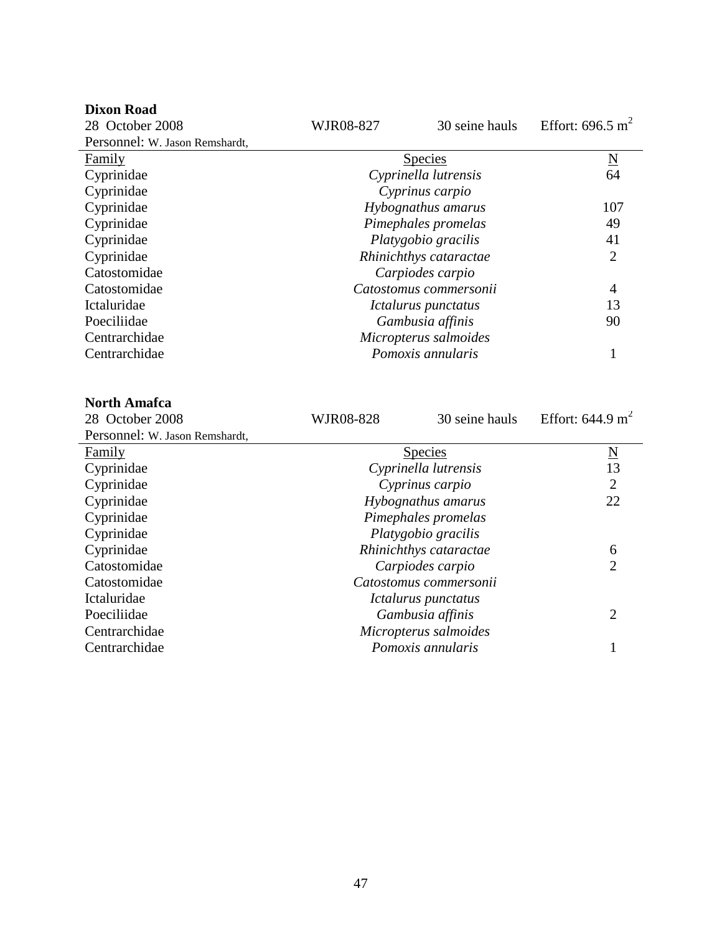| <b>Dixon Road</b>              |                      |                                            |                                |
|--------------------------------|----------------------|--------------------------------------------|--------------------------------|
| 28 October 2008                | WJR08-827            | 30 seine hauls                             | Effort: $696.5 \text{ m}^2$    |
| Personnel: W. Jason Remshardt, |                      |                                            |                                |
| Family                         | Species              |                                            | $\underline{N}$                |
| Cyprinidae                     | Cyprinella lutrensis | 64                                         |                                |
| Cyprinidae                     |                      | Cyprinus carpio                            |                                |
| Cyprinidae                     |                      | Hybognathus amarus                         | 107                            |
| Cyprinidae                     |                      | Pimephales promelas                        | 49                             |
| Cyprinidae                     |                      | Platygobio gracilis                        | 41                             |
| Cyprinidae                     |                      | Rhinichthys cataractae                     | $\overline{2}$                 |
| Catostomidae                   |                      | Carpiodes carpio                           |                                |
| Catostomidae                   |                      | Catostomus commersonii                     | $\overline{4}$                 |
| Ictaluridae                    |                      | Ictalurus punctatus                        | 13                             |
| Poeciliidae                    |                      | Gambusia affinis                           | 90                             |
| Centrarchidae                  |                      | Micropterus salmoides                      |                                |
| Centrarchidae                  |                      | Pomoxis annularis                          | $\mathbf{1}$                   |
|                                |                      |                                            |                                |
|                                |                      |                                            |                                |
|                                |                      |                                            |                                |
| <b>North Amafca</b>            |                      |                                            |                                |
| 28 October 2008                | WJR08-828            | 30 seine hauls                             | Effort: $644.9 \text{ m}^2$    |
| Personnel: W. Jason Remshardt, |                      |                                            |                                |
| Family                         |                      | Species                                    | $\underline{\mathbf{N}}$<br>13 |
| Cyprinidae                     |                      | Cyprinella lutrensis                       | $\overline{2}$                 |
| Cyprinidae                     |                      | Cyprinus carpio                            | 22                             |
| Cyprinidae                     |                      | Hybognathus amarus                         |                                |
| Cyprinidae                     |                      | Pimephales promelas                        |                                |
| Cyprinidae                     |                      | Platygobio gracilis                        | 6                              |
| Cyprinidae<br>Catostomidae     |                      | Rhinichthys cataractae                     | $\overline{2}$                 |
| Catostomidae                   |                      | Carpiodes carpio<br>Catostomus commersonii |                                |
| Ictaluridae                    |                      | Ictalurus punctatus                        |                                |
| Poeciliidae                    |                      | Gambusia affinis                           | $\overline{2}$                 |
| Centrarchidae                  |                      | Micropterus salmoides                      |                                |
| Centrarchidae                  |                      | Pomoxis annularis                          | 1                              |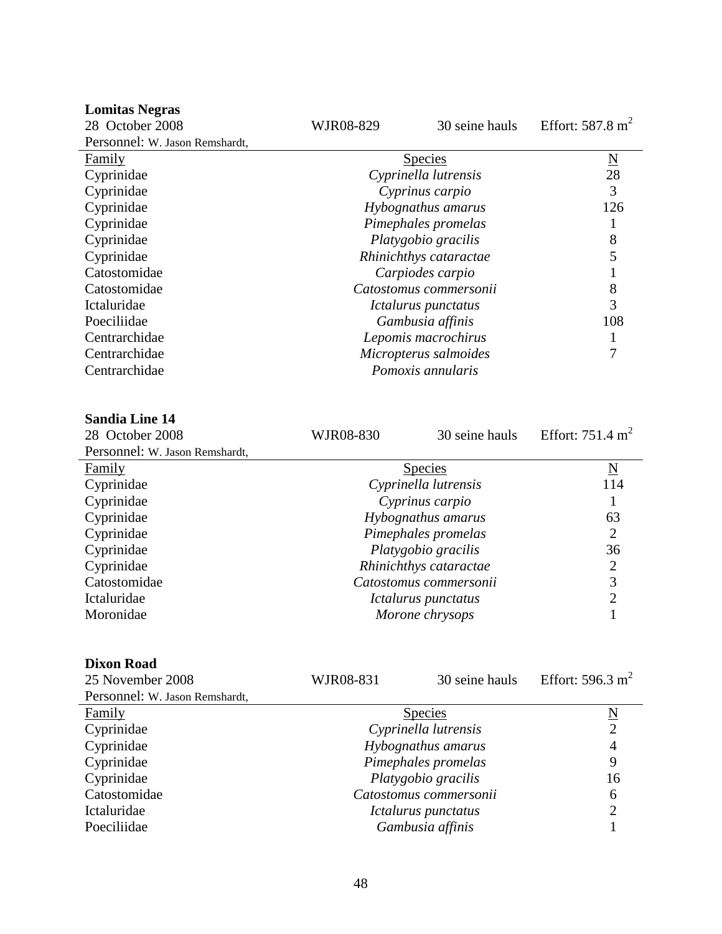| <b>Lomitas Negras</b>          |           |                        |                              |
|--------------------------------|-----------|------------------------|------------------------------|
| 28 October 2008                | WJR08-829 | 30 seine hauls         | Effort: $587.8 \text{ m}^2$  |
| Personnel: W. Jason Remshardt, |           |                        |                              |
| Family                         |           | <b>Species</b>         |                              |
| Cyprinidae                     |           | Cyprinella lutrensis   | $\frac{N}{28}$               |
| Cyprinidae                     |           | Cyprinus carpio        | 3                            |
| Cyprinidae                     |           | Hybognathus amarus     | 126                          |
| Cyprinidae                     |           | Pimephales promelas    | 1                            |
| Cyprinidae                     |           | Platygobio gracilis    | 8                            |
| Cyprinidae                     |           | Rhinichthys cataractae | 5                            |
| Catostomidae                   |           | Carpiodes carpio       | 1                            |
| Catostomidae                   |           | Catostomus commersonii | $8\,$                        |
| Ictaluridae                    |           | Ictalurus punctatus    | 3                            |
| Poeciliidae                    |           | Gambusia affinis       | 108                          |
| Centrarchidae                  |           | Lepomis macrochirus    | 1                            |
| Centrarchidae                  |           | Micropterus salmoides  | 7                            |
| Centrarchidae                  |           | Pomoxis annularis      |                              |
|                                |           |                        |                              |
| <b>Sandia Line 14</b>          |           |                        |                              |
| 28 October 2008                | WJR08-830 | 30 seine hauls         | Effort: $751.4 \text{ m}^2$  |
| Personnel: W. Jason Remshardt, |           |                        |                              |
| <b>Family</b>                  |           | Species                | $\underline{\mathbf{N}}$     |
| Cyprinidae                     |           | Cyprinella lutrensis   | 114                          |
| Cyprinidae                     |           | Cyprinus carpio        | 1                            |
| Cyprinidae                     |           | Hybognathus amarus     | 63                           |
| Cyprinidae                     |           | Pimephales promelas    | $\overline{2}$               |
| Cyprinidae                     |           | Platygobio gracilis    | 36                           |
| Cyprinidae                     |           | Rhinichthys cataractae | $\boldsymbol{2}$             |
| Catostomidae                   |           | Catostomus commersonii | 3                            |
| Ictaluridae                    |           | Ictalurus punctatus    | $\overline{c}$               |
| Moronidae                      |           | Morone chrysops        | $\mathbf{1}$                 |
|                                |           |                        |                              |
| <b>Dixon Road</b>              |           |                        |                              |
| 25 November 2008               | WJR08-831 | 30 seine hauls         | Effort: 596.3 m <sup>2</sup> |
| Personnel: W. Jason Remshardt, |           |                        |                              |
| <b>Family</b>                  |           | <b>Species</b>         | $\underline{\rm N}$          |
| Cyprinidae                     |           | Cyprinella lutrensis   | $\overline{c}$               |
| Cyprinidae                     |           | Hybognathus amarus     | $\overline{4}$               |
| Cyprinidae                     |           | Pimephales promelas    | 9                            |
| Cyprinidae                     |           | Platygobio gracilis    | 16                           |
| Catostomidae                   |           | Catostomus commersonii | 6                            |
| Ictaluridae                    |           | Ictalurus punctatus    | 2                            |
| Poeciliidae                    |           | Gambusia affinis       | 1                            |
|                                |           |                        |                              |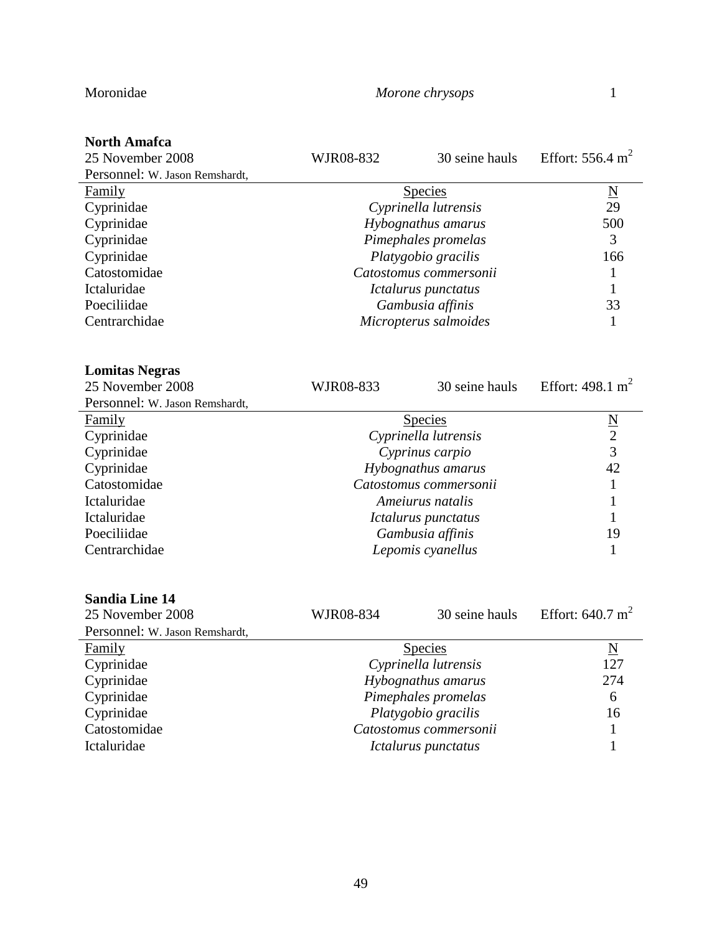Moronidae *Morone chrysops* 1

| <b>North Amafca</b>                                                         |                |                          |                             |
|-----------------------------------------------------------------------------|----------------|--------------------------|-----------------------------|
| 25 November 2008                                                            | WJR08-832      | 30 seine hauls           | Effort: 556.4 $m^2$         |
| Personnel: W. Jason Remshardt,                                              |                |                          |                             |
| Family                                                                      | <u>Species</u> | $\underline{\mathbf{N}}$ |                             |
| Cyprinidae                                                                  |                | Cyprinella lutrensis     | 29                          |
| Cyprinidae                                                                  |                | Hybognathus amarus       | 500                         |
| Cyprinidae                                                                  |                | Pimephales promelas      | 3                           |
| Cyprinidae                                                                  |                | Platygobio gracilis      | 166                         |
| Catostomidae                                                                |                | Catostomus commersonii   | $\mathbf 1$                 |
| Ictaluridae                                                                 |                | Ictalurus punctatus      | 1                           |
| Poeciliidae                                                                 |                | Gambusia affinis         | 33                          |
| Centrarchidae                                                               |                | Micropterus salmoides    | 1                           |
| <b>Lomitas Negras</b><br>25 November 2008                                   | WJR08-833      | 30 seine hauls           | Effort: $498.1 \text{ m}^2$ |
| Personnel: W. Jason Remshardt,                                              |                |                          |                             |
| <b>Family</b>                                                               |                | Species                  | $\frac{N}{2}$               |
| Cyprinidae                                                                  |                | Cyprinella lutrensis     |                             |
| Cyprinidae                                                                  |                | Cyprinus carpio          |                             |
| Cyprinidae                                                                  |                | Hybognathus amarus       | 42                          |
| Catostomidae                                                                |                | Catostomus commersonii   | $\mathbf{1}$                |
| Ictaluridae                                                                 |                | Ameiurus natalis         | 1                           |
| Ictaluridae                                                                 |                | Ictalurus punctatus      | 1                           |
| Poeciliidae                                                                 |                | Gambusia affinis         | 19                          |
| Centrarchidae                                                               |                | Lepomis cyanellus        | 1                           |
| <b>Sandia Line 14</b><br>25 November 2008<br>Personnel: W. Jason Remshardt, | WJR08-834      | 30 seine hauls           | Effort: $640.7 \text{ m}^2$ |
| <b>Family</b>                                                               |                | <b>Species</b>           | $\underline{\rm N}$         |
| Cyprinidae                                                                  |                | Cyprinella lutrensis     | 127                         |
| Cyprinidae                                                                  |                | Hybognathus amarus       | 274                         |
| Cyprinidae                                                                  |                | Pimephales promelas      | 6                           |
| Cyprinidae                                                                  |                | Platygobio gracilis      | 16                          |
| Catostomidae                                                                |                | Catostomus commersonii   | 1                           |
| Ictaluridae                                                                 |                | Ictalurus punctatus      | $\mathbf 1$                 |
|                                                                             |                |                          |                             |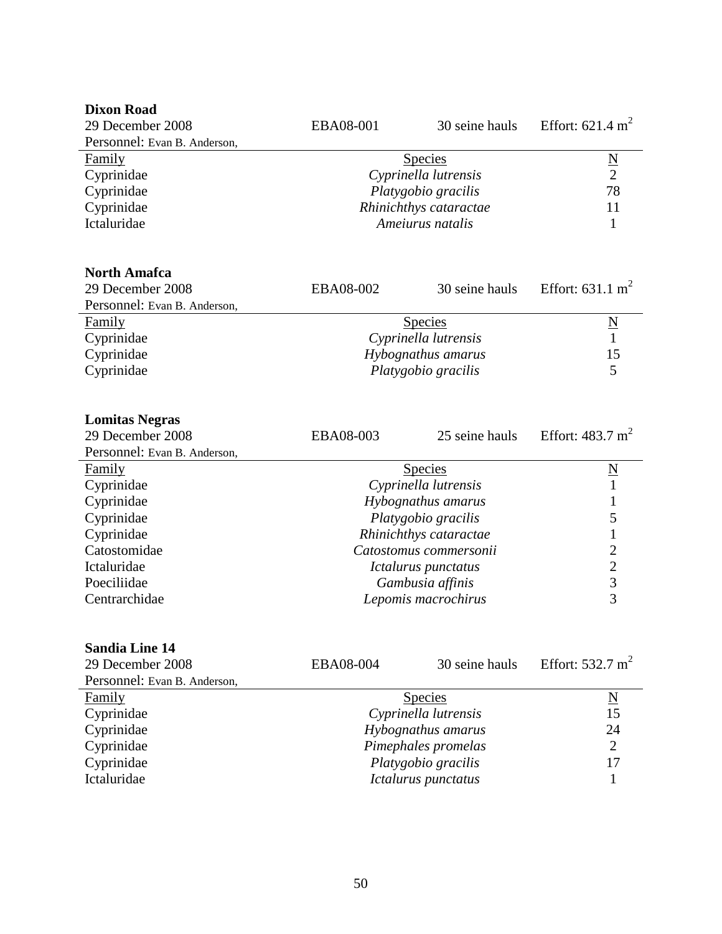| <b>Dixon Road</b>            |                     |                        |                             |
|------------------------------|---------------------|------------------------|-----------------------------|
| 29 December 2008             | EBA08-001           | 30 seine hauls         | Effort: $621.4 \text{ m}^2$ |
| Personnel: Evan B. Anderson, |                     |                        |                             |
| <b>Family</b>                | <b>Species</b>      |                        | $\frac{N}{2}$               |
| Cyprinidae                   |                     | Cyprinella lutrensis   |                             |
| Cyprinidae                   |                     | Platygobio gracilis    | 78                          |
| Cyprinidae                   |                     | Rhinichthys cataractae | 11                          |
| Ictaluridae                  | Ameiurus natalis    |                        | 1                           |
|                              |                     |                        |                             |
| <b>North Amafca</b>          |                     |                        |                             |
| 29 December 2008             | EBA08-002           | 30 seine hauls         | Effort: $631.1 \text{ m}^2$ |
| Personnel: Evan B. Anderson, |                     |                        |                             |
| <b>Family</b>                |                     | Species                |                             |
| Cyprinidae                   |                     | Cyprinella lutrensis   | $\frac{N}{1}$               |
| Cyprinidae                   | Hybognathus amarus  |                        | 15                          |
| Cyprinidae                   |                     | Platygobio gracilis    | 5                           |
|                              |                     |                        |                             |
|                              |                     |                        |                             |
| <b>Lomitas Negras</b>        |                     |                        |                             |
| 29 December 2008             | EBA08-003           | 25 seine hauls         | Effort: $483.7 \text{ m}^2$ |
| Personnel: Evan B. Anderson, |                     |                        |                             |
| <b>Family</b>                | Species             |                        | $\frac{N}{1}$               |
| Cyprinidae                   |                     | Cyprinella lutrensis   |                             |
| Cyprinidae                   | Hybognathus amarus  |                        |                             |
| Cyprinidae                   |                     | Platygobio gracilis    | 5                           |
| Cyprinidae                   |                     | Rhinichthys cataractae | $\mathbf{1}$                |
| Catostomidae                 |                     | Catostomus commersonii | $\overline{c}$              |
| Ictaluridae                  | Ictalurus punctatus |                        | $\overline{c}$              |
| Poeciliidae                  |                     | Gambusia affinis       | 3                           |
| Centrarchidae                |                     | Lepomis macrochirus    | $\overline{3}$              |
|                              |                     |                        |                             |
| <b>Sandia Line 14</b>        |                     |                        |                             |
| 29 December 2008             | EBA08-004           | 30 seine hauls         | Effort: $532.7 \text{ m}^2$ |
| Personnel: Evan B. Anderson, |                     |                        |                             |
| Family                       | <b>Species</b>      |                        |                             |
| Cyprinidae                   |                     | Cyprinella lutrensis   | $\underline{\rm N}$<br>15   |
| Cyprinidae                   |                     | Hybognathus amarus     | 24                          |
| Cyprinidae                   |                     | Pimephales promelas    | $\overline{2}$              |
| Cyprinidae                   |                     | Platygobio gracilis    | 17                          |
| Ictaluridae                  |                     |                        | $\mathbf{1}$                |
|                              | Ictalurus punctatus |                        |                             |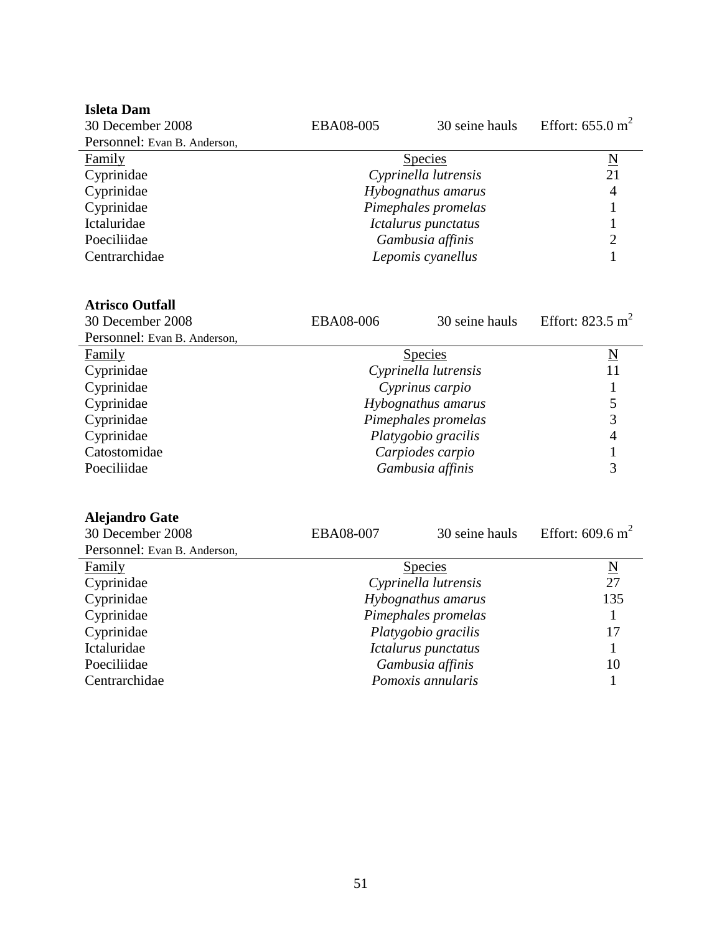| <b>Isleta Dam</b>                          |           |                      |                             |
|--------------------------------------------|-----------|----------------------|-----------------------------|
| 30 December 2008                           | EBA08-005 | 30 seine hauls       | Effort: $655.0 \text{ m}^2$ |
| Personnel: Evan B. Anderson,               |           |                      |                             |
| Family                                     |           | Species              | $\underline{N}$             |
| Cyprinidae                                 |           | Cyprinella lutrensis | 21                          |
| Cyprinidae                                 |           | Hybognathus amarus   | $\overline{4}$              |
| Cyprinidae                                 |           | Pimephales promelas  | $\mathbf{1}$                |
| Ictaluridae                                |           | Ictalurus punctatus  | $\mathbf{1}$                |
| Poeciliidae                                |           | Gambusia affinis     | $\overline{2}$              |
| Centrarchidae                              |           | Lepomis cyanellus    | $\mathbf{1}$                |
| <b>Atrisco Outfall</b><br>30 December 2008 | EBA08-006 | 30 seine hauls       | Effort: $823.5 \text{ m}^2$ |
| Personnel: Evan B. Anderson,               |           |                      |                             |
| <b>Family</b>                              |           | Species              | $\underline{\mathbf{N}}$    |
| Cyprinidae                                 |           | Cyprinella lutrensis | 11                          |
| Cyprinidae                                 |           | Cyprinus carpio      | 1                           |
| Cyprinidae                                 |           | Hybognathus amarus   | 5                           |
| Cyprinidae                                 |           | Pimephales promelas  | 3                           |
| Cyprinidae                                 |           | Platygobio gracilis  | $\overline{4}$              |
| Catostomidae                               |           | Carpiodes carpio     | 1                           |
| Poeciliidae                                |           | Gambusia affinis     | 3                           |
| <b>Alejandro Gate</b>                      |           |                      |                             |
| 30 December 2008                           | EBA08-007 | 30 seine hauls       | Effort: 609.6 $m^2$         |
| Personnel: Evan B. Anderson,               |           |                      |                             |
| Family                                     |           | Species              | $\underline{\mathbf{N}}$    |
| Cyprinidae                                 |           | Cyprinella lutrensis | 27                          |
| Cyprinidae                                 |           | Hybognathus amarus   | 135                         |
| Cyprinidae                                 |           | Pimephales promelas  | 1                           |
| Cyprinidae                                 |           | Platygobio gracilis  | 17                          |
| Ictaluridae                                |           | Ictalurus punctatus  | $\mathbf{1}$                |
| Poeciliidae                                |           | Gambusia affinis     | 10                          |
| Centrarchidae                              |           | Pomoxis annularis    | $\mathbf{1}$                |
|                                            |           |                      |                             |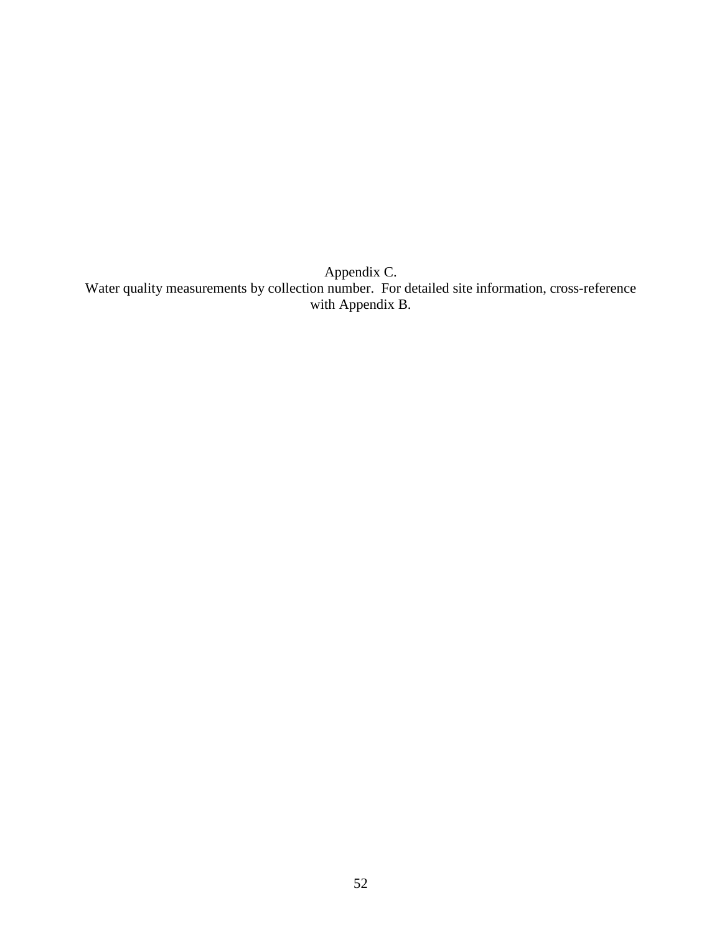<span id="page-52-0"></span>Appendix C. Water quality measurements by collection number. For detailed site information, cross-reference with Appendix B.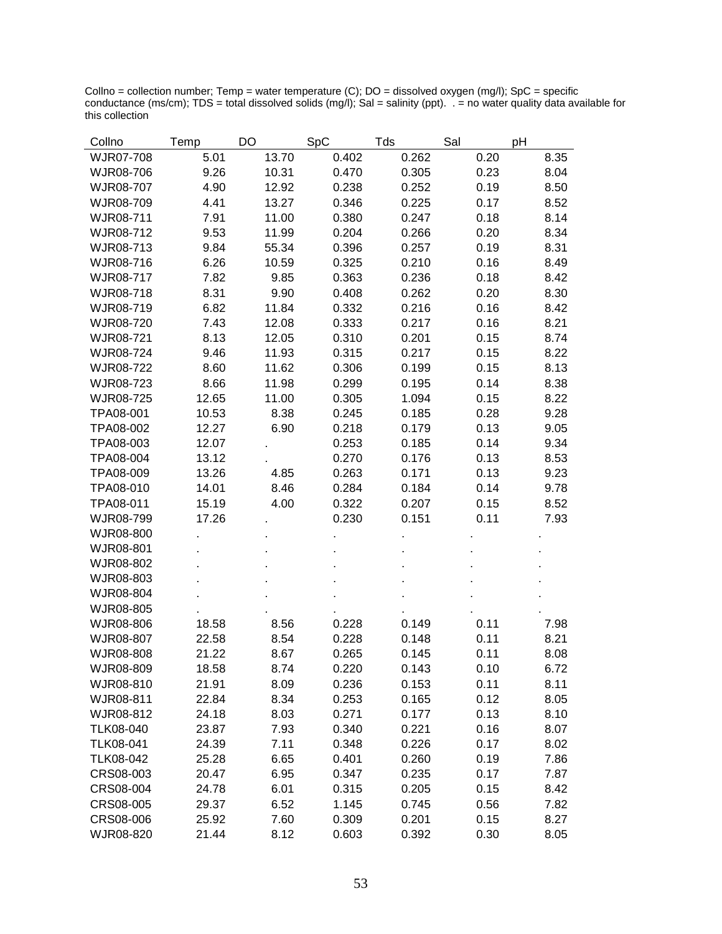Collno = collection number; Temp = water temperature (C); DO = dissolved oxygen (mg/l); SpC = specific conductance (ms/cm); TDS = total dissolved solids (mg/l); Sal = salinity (ppt). . = no water quality data available for this collection

| Collno    | Temp  | DO    | SpC   | Tds   | Sal  | pH   |
|-----------|-------|-------|-------|-------|------|------|
| WJR07-708 | 5.01  | 13.70 | 0.402 | 0.262 | 0.20 | 8.35 |
| WJR08-706 | 9.26  | 10.31 | 0.470 | 0.305 | 0.23 | 8.04 |
| WJR08-707 | 4.90  | 12.92 | 0.238 | 0.252 | 0.19 | 8.50 |
| WJR08-709 | 4.41  | 13.27 | 0.346 | 0.225 | 0.17 | 8.52 |
| WJR08-711 | 7.91  | 11.00 | 0.380 | 0.247 | 0.18 | 8.14 |
| WJR08-712 | 9.53  | 11.99 | 0.204 | 0.266 | 0.20 | 8.34 |
| WJR08-713 | 9.84  | 55.34 | 0.396 | 0.257 | 0.19 | 8.31 |
| WJR08-716 | 6.26  | 10.59 | 0.325 | 0.210 | 0.16 | 8.49 |
| WJR08-717 | 7.82  | 9.85  | 0.363 | 0.236 | 0.18 | 8.42 |
| WJR08-718 | 8.31  | 9.90  | 0.408 | 0.262 | 0.20 | 8.30 |
| WJR08-719 | 6.82  | 11.84 | 0.332 | 0.216 | 0.16 | 8.42 |
| WJR08-720 | 7.43  | 12.08 | 0.333 | 0.217 | 0.16 | 8.21 |
| WJR08-721 | 8.13  | 12.05 | 0.310 | 0.201 | 0.15 | 8.74 |
| WJR08-724 | 9.46  | 11.93 | 0.315 | 0.217 | 0.15 | 8.22 |
| WJR08-722 | 8.60  | 11.62 | 0.306 | 0.199 | 0.15 | 8.13 |
| WJR08-723 | 8.66  | 11.98 | 0.299 | 0.195 | 0.14 | 8.38 |
| WJR08-725 | 12.65 | 11.00 | 0.305 | 1.094 | 0.15 | 8.22 |
| TPA08-001 | 10.53 | 8.38  | 0.245 | 0.185 | 0.28 | 9.28 |
| TPA08-002 | 12.27 | 6.90  | 0.218 | 0.179 | 0.13 | 9.05 |
| TPA08-003 | 12.07 |       | 0.253 | 0.185 | 0.14 | 9.34 |
| TPA08-004 | 13.12 |       | 0.270 | 0.176 | 0.13 | 8.53 |
| TPA08-009 | 13.26 | 4.85  | 0.263 | 0.171 | 0.13 | 9.23 |
| TPA08-010 | 14.01 | 8.46  | 0.284 | 0.184 | 0.14 | 9.78 |
| TPA08-011 | 15.19 | 4.00  | 0.322 | 0.207 | 0.15 | 8.52 |
| WJR08-799 | 17.26 |       | 0.230 | 0.151 | 0.11 | 7.93 |
| WJR08-800 |       |       |       |       |      |      |
| WJR08-801 |       |       |       |       |      |      |
| WJR08-802 |       |       |       |       |      |      |
| WJR08-803 |       |       |       |       |      |      |
| WJR08-804 |       |       |       |       |      |      |
| WJR08-805 |       |       |       |       |      |      |
| WJR08-806 | 18.58 | 8.56  | 0.228 | 0.149 | 0.11 | 7.98 |
| WJR08-807 | 22.58 | 8.54  | 0.228 | 0.148 | 0.11 | 8.21 |
| WJR08-808 | 21.22 | 8.67  | 0.265 | 0.145 | 0.11 | 8.08 |
| WJR08-809 | 18.58 | 8.74  | 0.220 | 0.143 | 0.10 | 6.72 |
| WJR08-810 | 21.91 | 8.09  | 0.236 | 0.153 | 0.11 | 8.11 |
| WJR08-811 | 22.84 | 8.34  | 0.253 | 0.165 | 0.12 | 8.05 |
| WJR08-812 | 24.18 | 8.03  | 0.271 | 0.177 | 0.13 | 8.10 |
| TLK08-040 | 23.87 | 7.93  | 0.340 | 0.221 | 0.16 | 8.07 |
| TLK08-041 | 24.39 | 7.11  | 0.348 | 0.226 | 0.17 | 8.02 |
| TLK08-042 | 25.28 | 6.65  | 0.401 | 0.260 | 0.19 | 7.86 |
| CRS08-003 | 20.47 | 6.95  | 0.347 | 0.235 | 0.17 | 7.87 |
| CRS08-004 | 24.78 | 6.01  | 0.315 | 0.205 | 0.15 | 8.42 |
| CRS08-005 | 29.37 | 6.52  | 1.145 | 0.745 | 0.56 | 7.82 |
| CRS08-006 | 25.92 | 7.60  | 0.309 | 0.201 | 0.15 | 8.27 |
| WJR08-820 | 21.44 | 8.12  | 0.603 | 0.392 | 0.30 | 8.05 |